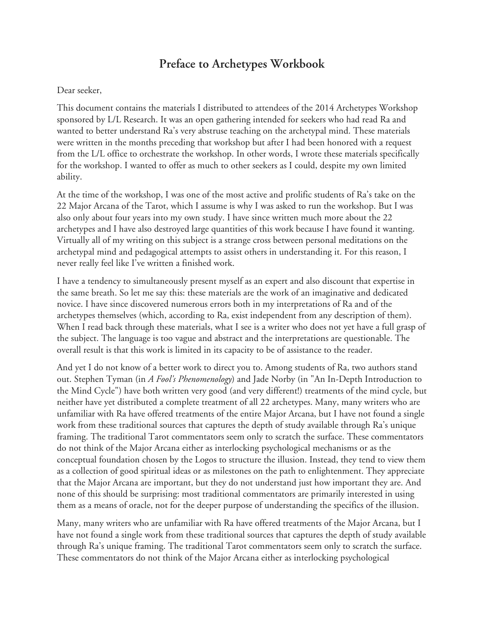# **Preface to Archetypes Workbook**

#### Dear seeker,

This document contains the materials I distributed to attendees of the 2014 Archetypes Workshop sponsored by L/L Research. It was an open gathering intended for seekers who had read Ra and wanted to better understand Ra's very abstruse teaching on the archetypal mind. These materials were written in the months preceding that workshop but after I had been honored with a request from the L/L office to orchestrate the workshop. In other words, I wrote these materials specifically for the workshop. I wanted to offer as much to other seekers as I could, despite my own limited ability.

At the time of the workshop, I was one of the most active and prolific students of Ra's take on the 22 Major Arcana of the Tarot, which I assume is why I was asked to run the workshop. But I was also only about four years into my own study. I have since written much more about the 22 archetypes and I have also destroyed large quantities of this work because I have found it wanting. Virtually all of my writing on this subject is a strange cross between personal meditations on the archetypal mind and pedagogical attempts to assist others in understanding it. For this reason, I never really feel like I've written a finished work.

I have a tendency to simultaneously present myself as an expert and also discount that expertise in the same breath. So let me say this: these materials are the work of an imaginative and dedicated novice. I have since discovered numerous errors both in my interpretations of Ra and of the archetypes themselves (which, according to Ra, exist independent from any description of them). When I read back through these materials, what I see is a writer who does not yet have a full grasp of the subject. The language is too vague and abstract and the interpretations are questionable. The overall result is that this work is limited in its capacity to be of assistance to the reader.

And yet I do not know of a better work to direct you to. Among students of Ra, two authors stand out. Stephen Tyman (in *A Fool's Phenomenology*) and Jade Norby (in "An In-Depth Introduction to the Mind Cycle") have both written very good (and very different!) treatments of the mind cycle, but neither have yet distributed a complete treatment of all 22 archetypes. Many, many writers who are unfamiliar with Ra have offered treatments of the entire Major Arcana, but I have not found a single work from these traditional sources that captures the depth of study available through Ra's unique framing. The traditional Tarot commentators seem only to scratch the surface. These commentators do not think of the Major Arcana either as interlocking psychological mechanisms or as the conceptual foundation chosen by the Logos to structure the illusion. Instead, they tend to view them as a collection of good spiritual ideas or as milestones on the path to enlightenment. They appreciate that the Major Arcana are important, but they do not understand just how important they are. And none of this should be surprising: most traditional commentators are primarily interested in using them as a means of oracle, not for the deeper purpose of understanding the specifics of the illusion.

Many, many writers who are unfamiliar with Ra have offered treatments of the Major Arcana, but I have not found a single work from these traditional sources that captures the depth of study available through Ra's unique framing. The traditional Tarot commentators seem only to scratch the surface. These commentators do not think of the Major Arcana either as interlocking psychological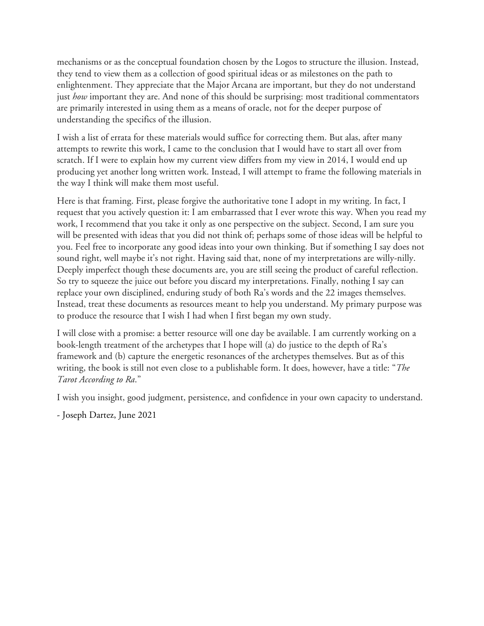mechanisms or as the conceptual foundation chosen by the Logos to structure the illusion. Instead, they tend to view them as a collection of good spiritual ideas or as milestones on the path to enlightenment. They appreciate that the Major Arcana are important, but they do not understand just *how* important they are. And none of this should be surprising: most traditional commentators are primarily interested in using them as a means of oracle, not for the deeper purpose of understanding the specifics of the illusion.

I wish a list of errata for these materials would suffice for correcting them. But alas, after many attempts to rewrite this work, I came to the conclusion that I would have to start all over from scratch. If I were to explain how my current view differs from my view in 2014, I would end up producing yet another long written work. Instead, I will attempt to frame the following materials in the way I think will make them most useful.

Here is that framing. First, please forgive the authoritative tone I adopt in my writing. In fact, I request that you actively question it: I am embarrassed that I ever wrote this way. When you read my work, I recommend that you take it only as one perspective on the subject. Second, I am sure you will be presented with ideas that you did not think of; perhaps some of those ideas will be helpful to you. Feel free to incorporate any good ideas into your own thinking. But if something I say does not sound right, well maybe it's not right. Having said that, none of my interpretations are willy-nilly. Deeply imperfect though these documents are, you are still seeing the product of careful reflection. So try to squeeze the juice out before you discard my interpretations. Finally, nothing I say can replace your own disciplined, enduring study of both Ra's words and the 22 images themselves. Instead, treat these documents as resources meant to help you understand. My primary purpose was to produce the resource that I wish I had when I first began my own study.

I will close with a promise: a better resource will one day be available. I am currently working on a book-length treatment of the archetypes that I hope will (a) do justice to the depth of Ra's framework and (b) capture the energetic resonances of the archetypes themselves. But as of this writing, the book is still not even close to a publishable form. It does, however, have a title: "*The Tarot According to Ra*."

I wish you insight, good judgment, persistence, and confidence in your own capacity to understand.

<sup>-</sup> Joseph Dartez, June 2021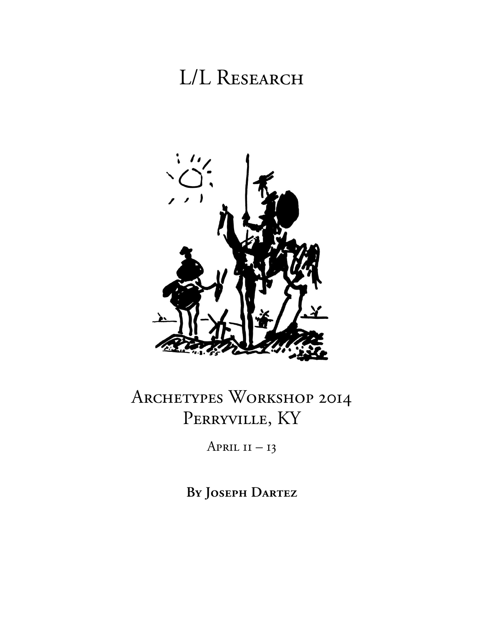# L/L RESEARCH



# Archetypes Workshop 2014 PERRYVILLE, KY

April  $II - 13$ 

**By Joseph Dartez**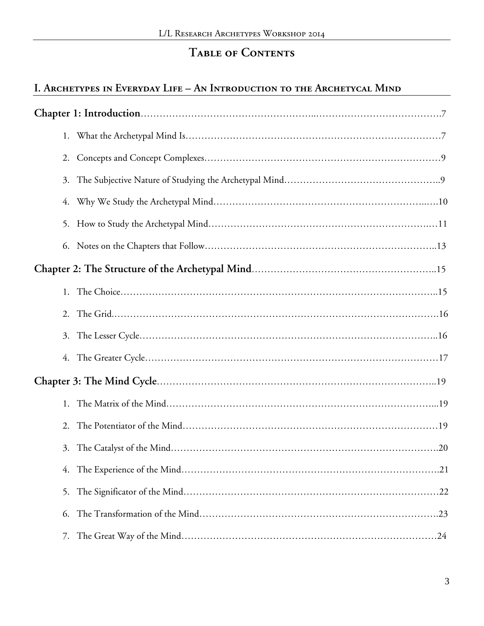# **Table of Contents**

#### **I. Archetypes in Everyday Life – An Introduction to the Archetycal Mind**

| 3. |
|----|
| 4. |
|    |
|    |
|    |
|    |
|    |
| 3. |
|    |
|    |
|    |
| 2. |
| 3. |
| 4. |
| 5. |
| 6. |
| 7. |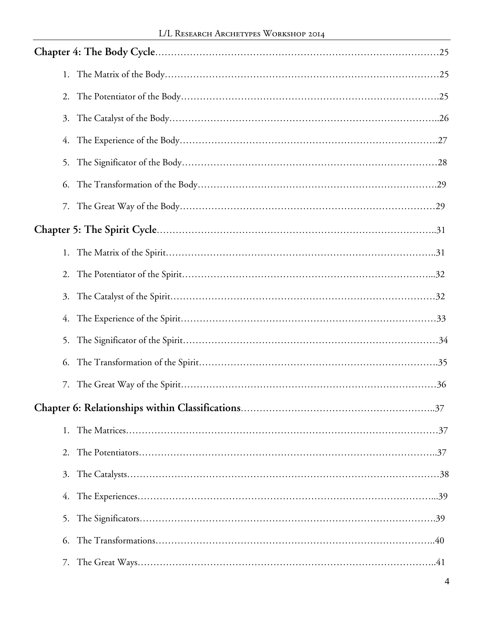| 2. |
|----|
| 3. |
| 4. |
| 5. |
| 6. |
|    |
|    |
|    |
|    |
| 3. |
| 4. |
|    |
| 6. |
| 7. |
|    |
| 1. |
| 2. |
| 3. |
| 4. |
| 5. |
| 6. |
| 7. |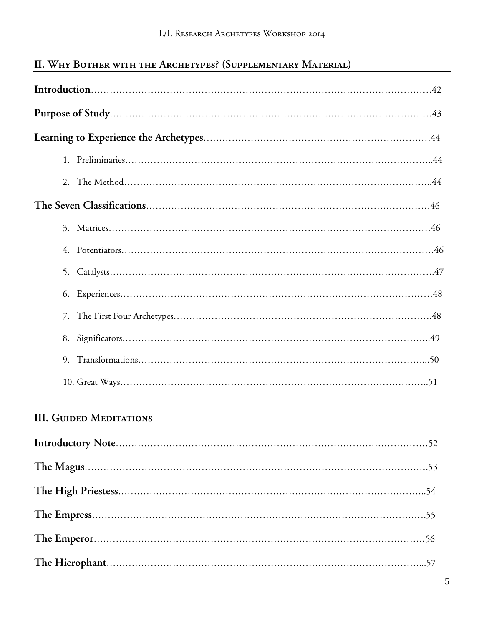# **II. Why Bother with the Archetypes? (Supplementary Material)**

| 4. |  |
|----|--|
| 5. |  |
| 6. |  |
| 7. |  |
|    |  |
| 9. |  |
|    |  |

#### **III. Guided Meditations**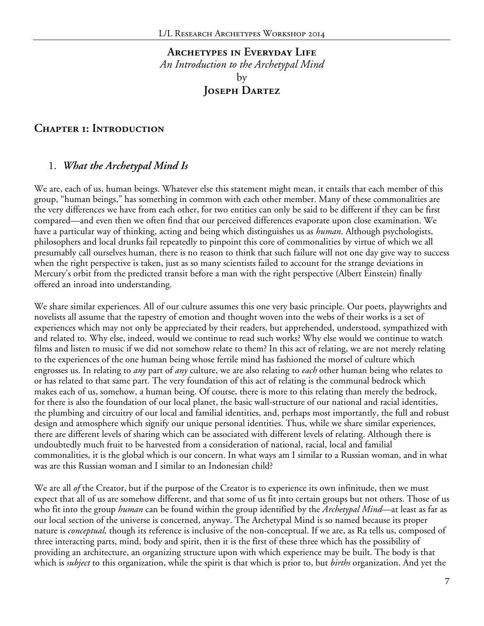#### **Archetypes in Everyday Life** *An Introduction to the Archetypal Mind* by **Joseph Dartez**

#### **Chapter 1: Introduction**

#### 1. *What the Archetypal Mind Is*

We are, each of us, human beings. Whatever else this statement might mean, it entails that each member of this group, "human beings," has something in common with each other member. Many of these commonalities are the very differences we have from each other, for two entities can only be said to be different if they can be first compared—and even then we often find that our perceived differences evaporate upon close examination. We have a particular way of thinking, acting and being which distinguishes us as *human*. Although psychologists, philosophers and local drunks fail repeatedly to pinpoint this core of commonalities by virtue of which we all presumably call ourselves human, there is no reason to think that such failure will not one day give way to success when the right perspective is taken, just as so many scientists failed to account for the strange deviations in Mercury's orbit from the predicted transit before a man with the right perspective (Albert Einstein) finally offered an inroad into understanding.

We share similar experiences. All of our culture assumes this one very basic principle. Our poets, playwrights and novelists all assume that the tapestry of emotion and thought woven into the webs of their works is a set of experiences which may not only be appreciated by their readers, but apprehended, understood, sympathized with and related to. Why else, indeed, would we continue to read such works? Why else would we continue to watch films and listen to music if we did not somehow relate to them? In this act of relating, we are not merely relating to the experiences of the one human being whose fertile mind has fashioned the morsel of culture which engrosses us. In relating to *any* part of *any* culture, we are also relating to *each* other human being who relates to or has related to that same part. The very foundation of this act of relating is the communal bedrock which makes each of us, somehow, a human being. Of course, there is more to this relating than merely the bedrock, for there is also the foundation of our local planet, the basic wall-structure of our national and racial identities, the plumbing and circuitry of our local and familial identities, and, perhaps most importantly, the full and robust design and atmosphere which signify our unique personal identities. Thus, while we share similar experiences, there are different levels of sharing which can be associated with different levels of relating. Although there is undoubtedly much fruit to be harvested from a consideration of national, racial, local and familial commonalities, it is the global which is our concern. In what ways am I similar to a Russian woman, and in what was are this Russian woman and I similar to an Indonesian child?

We are all *of* the Creator, but if the purpose of the Creator is to experience its own infinitude, then we must expect that all of us are somehow different, and that some of us fit into certain groups but not others. Those of us who fit into the group *human* can be found within the group identified by the *Archetypal Mind—*at least as far as our local section of the universe is concerned, anyway. The Archetypal Mind is so named because its proper nature is *conceptual,* though its reference is inclusive of the non-conceptual. If we are, as Ra tells us, composed of three interacting parts, mind, body and spirit, then it is the first of these three which has the possibility of providing an architecture, an organizing structure upon with which experience may be built. The body is that which is *subject* to this organization, while the spirit is that which is prior to, but *births* organization. And yet the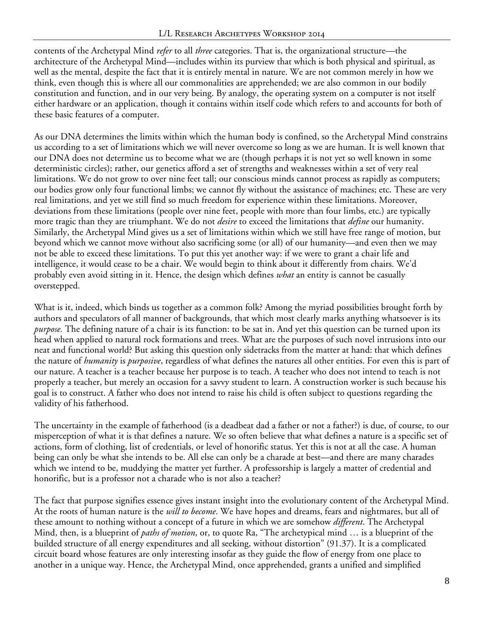contents of the Archetypal Mind *refer* to all *three* categories. That is, the organizational structure—the architecture of the Archetypal Mind—includes within its purview that which is both physical and spiritual, as well as the mental, despite the fact that it is entirely mental in nature. We are not common merely in how we think, even though this is where all our commonalities are apprehended; we are also common in our bodily constitution and function, and in our very being. By analogy, the operating system on a computer is not itself either hardware or an application, though it contains within itself code which refers to and accounts for both of these basic features of a computer.

As our DNA determines the limits within which the human body is confined, so the Archetypal Mind constrains us according to a set of limitations which we will never overcome so long as we are human. It is well known that our DNA does not determine us to become what we are (though perhaps it is not yet so well known in some deterministic circles); rather, our genetics afford a set of strengths and weaknesses within a set of very real limitations. We do not grow to over nine feet tall; our conscious minds cannot process as rapidly as computers; our bodies grow only four functional limbs; we cannot fly without the assistance of machines; etc. These are very real limitations, and yet we still find so much freedom for experience within these limitations. Moreover, deviations from these limitations (people over nine feet, people with more than four limbs, etc.) are typically more tragic than they are triumphant. We do not *desire* to exceed the limitations that *define* our humanity. Similarly, the Archetypal Mind gives us a set of limitations within which we still have free range of motion, but beyond which we cannot move without also sacrificing some (or all) of our humanity—and even then we may not be able to exceed these limitations. To put this yet another way: if we were to grant a chair life and intelligence, it would cease to be a chair. We would begin to think about it differently from chairs. We'd probably even avoid sitting in it. Hence, the design which defines *what* an entity is cannot be casually overstepped.

What is it, indeed, which binds us together as a common folk? Among the myriad possibilities brought forth by authors and speculators of all manner of backgrounds, that which most clearly marks anything whatsoever is its *purpose.* The defining nature of a chair is its function: to be sat in. And yet this question can be turned upon its head when applied to natural rock formations and trees. What are the purposes of such novel intrusions into our neat and functional world? But asking this question only sidetracks from the matter at hand: that which defines the nature of *humanity* is *purposive*, regardless of what defines the natures all other entities. For even this is part of our nature. A teacher is a teacher because her purpose is to teach. A teacher who does not intend to teach is not properly a teacher, but merely an occasion for a savvy student to learn. A construction worker is such because his goal is to construct. A father who does not intend to raise his child is often subject to questions regarding the validity of his fatherhood.

The uncertainty in the example of fatherhood (is a deadbeat dad a father or not a father?) is due, of course, to our misperception of what it is that defines a nature. We so often believe that what defines a nature is a specific set of actions, form of clothing, list of credentials, or level of honorific status. Yet this is not at all the case. A human being can only be what she intends to be. All else can only be a charade at best—and there are many charades which we intend to be, muddying the matter yet further. A professorship is largely a matter of credential and honorific, but is a professor not a charade who is not also a teacher?

The fact that purpose signifies essence gives instant insight into the evolutionary content of the Archetypal Mind. At the roots of human nature is the *will to become*. We have hopes and dreams, fears and nightmares, but all of these amount to nothing without a concept of a future in which we are somehow *different*. The Archetypal Mind, then, is a blueprint of *paths of motion*, or, to quote Ra, "The archetypical mind … is a blueprint of the builded structure of all energy expenditures and all seeking, without distortion" (91.37). It is a complicated circuit board whose features are only interesting insofar as they guide the flow of energy from one place to another in a unique way. Hence, the Archetypal Mind, once apprehended, grants a unified and simplified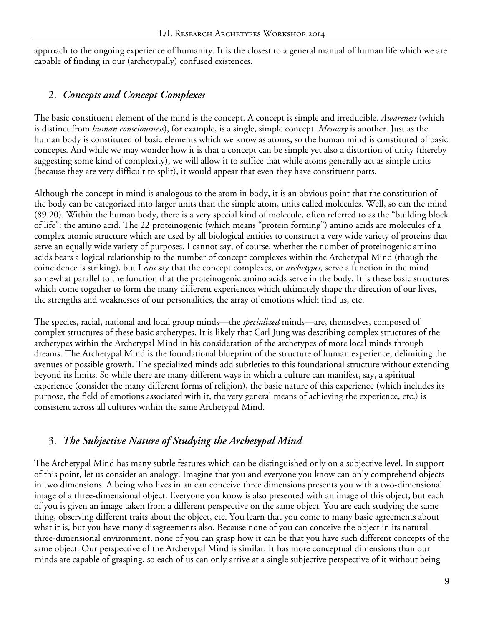approach to the ongoing experience of humanity. It is the closest to a general manual of human life which we are capable of finding in our (archetypally) confused existences.

#### 2. *Concepts and Concept Complexes*

The basic constituent element of the mind is the concept. A concept is simple and irreducible. *Awareness* (which is distinct from *human consciousness*), for example, is a single, simple concept. *Memory* is another. Just as the human body is constituted of basic elements which we know as atoms, so the human mind is constituted of basic concepts. And while we may wonder how it is that a concept can be simple yet also a distortion of unity (thereby suggesting some kind of complexity), we will allow it to suffice that while atoms generally act as simple units (because they are very difficult to split), it would appear that even they have constituent parts.

Although the concept in mind is analogous to the atom in body, it is an obvious point that the constitution of the body can be categorized into larger units than the simple atom, units called molecules. Well, so can the mind (89.20). Within the human body, there is a very special kind of molecule, often referred to as the "building block of life": the amino acid. The 22 proteinogenic (which means "protein forming") amino acids are molecules of a complex atomic structure which are used by all biological entities to construct a very wide variety of proteins that serve an equally wide variety of purposes. I cannot say, of course, whether the number of proteinogenic amino acids bears a logical relationship to the number of concept complexes within the Archetypal Mind (though the coincidence is striking), but I *can* say that the concept complexes, or *archetypes,* serve a function in the mind somewhat parallel to the function that the proteinogenic amino acids serve in the body. It is these basic structures which come together to form the many different experiences which ultimately shape the direction of our lives, the strengths and weaknesses of our personalities, the array of emotions which find us, etc.

The species, racial, national and local group minds—the *specialized* minds—are, themselves, composed of complex structures of these basic archetypes. It is likely that Carl Jung was describing complex structures of the archetypes within the Archetypal Mind in his consideration of the archetypes of more local minds through dreams. The Archetypal Mind is the foundational blueprint of the structure of human experience, delimiting the avenues of possible growth. The specialized minds add subtleties to this foundational structure without extending beyond its limits. So while there are many different ways in which a culture can manifest, say, a spiritual experience (consider the many different forms of religion), the basic nature of this experience (which includes its purpose, the field of emotions associated with it, the very general means of achieving the experience, etc.) is consistent across all cultures within the same Archetypal Mind.

#### 3. *The Subjective Nature of Studying the Archetypal Mind*

The Archetypal Mind has many subtle features which can be distinguished only on a subjective level. In support of this point, let us consider an analogy. Imagine that you and everyone you know can only comprehend objects in two dimensions. A being who lives in an can conceive three dimensions presents you with a two-dimensional image of a three-dimensional object. Everyone you know is also presented with an image of this object, but each of you is given an image taken from a different perspective on the same object. You are each studying the same thing, observing different traits about the object, etc. You learn that you come to many basic agreements about what it is, but you have many disagreements also. Because none of you can conceive the object in its natural three-dimensional environment, none of you can grasp how it can be that you have such different concepts of the same object. Our perspective of the Archetypal Mind is similar. It has more conceptual dimensions than our minds are capable of grasping, so each of us can only arrive at a single subjective perspective of it without being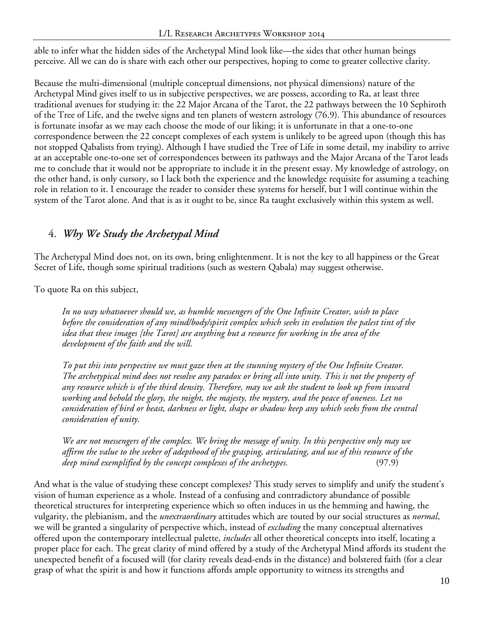able to infer what the hidden sides of the Archetypal Mind look like—the sides that other human beings perceive. All we can do is share with each other our perspectives, hoping to come to greater collective clarity.

Because the multi-dimensional (multiple conceptual dimensions, not physical dimensions) nature of the Archetypal Mind gives itself to us in subjective perspectives, we are possess, according to Ra, at least three traditional avenues for studying it: the 22 Major Arcana of the Tarot, the 22 pathways between the 10 Sephiroth of the Tree of Life, and the twelve signs and ten planets of western astrology (76.9). This abundance of resources is fortunate insofar as we may each choose the mode of our liking; it is unfortunate in that a one-to-one correspondence between the 22 concept complexes of each system is unlikely to be agreed upon (though this has not stopped Qabalists from trying). Although I have studied the Tree of Life in some detail, my inability to arrive at an acceptable one-to-one set of correspondences between its pathways and the Major Arcana of the Tarot leads me to conclude that it would not be appropriate to include it in the present essay. My knowledge of astrology, on the other hand, is only cursory, so I lack both the experience and the knowledge requisite for assuming a teaching role in relation to it. I encourage the reader to consider these systems for herself, but I will continue within the system of the Tarot alone. And that is as it ought to be, since Ra taught exclusively within this system as well.

#### 4. *Why We Study the Archetypal Mind*

The Archetypal Mind does not, on its own, bring enlightenment. It is not the key to all happiness or the Great Secret of Life, though some spiritual traditions (such as western Qabala) may suggest otherwise.

To quote Ra on this subject,

*In no way whatsoever should we, as humble messengers of the One Infinite Creator, wish to place before the consideration of any mind/body/spirit complex which seeks its evolution the palest tint of the idea that these images [the Tarot] are anything but a resource for working in the area of the development of the faith and the will.*

*To put this into perspective we must gaze then at the stunning mystery of the One Infinite Creator. The archetypical mind does not resolve any paradox or bring all into unity. This is not the property of any resource which is of the third density. Therefore, may we ask the student to look up from inward working and behold the glory, the might, the majesty, the mystery, and the peace of oneness. Let no consideration of bird or beast, darkness or light, shape or shadow keep any which seeks from the central consideration of unity.*

*We are not messengers of the complex. We bring the message of unity. In this perspective only may we affirm the value to the seeker of adepthood of the grasping, articulating, and use of this resource of the deep mind exemplified by the concept complexes of the archetypes.* (97.9)

And what is the value of studying these concept complexes? This study serves to simplify and unify the student's vision of human experience as a whole. Instead of a confusing and contradictory abundance of possible theoretical structures for interpreting experience which so often induces in us the hemming and hawing, the vulgarity, the plebianism, and the *unextraordinary* attitudes which are touted by our social structures as *normal*, we will be granted a singularity of perspective which, instead of *excluding* the many conceptual alternatives offered upon the contemporary intellectual palette, *includes* all other theoretical concepts into itself, locating a proper place for each. The great clarity of mind offered by a study of the Archetypal Mind affords its student the unexpected benefit of a focused will (for clarity reveals dead-ends in the distance) and bolstered faith (for a clear grasp of what the spirit is and how it functions affords ample opportunity to witness its strengths and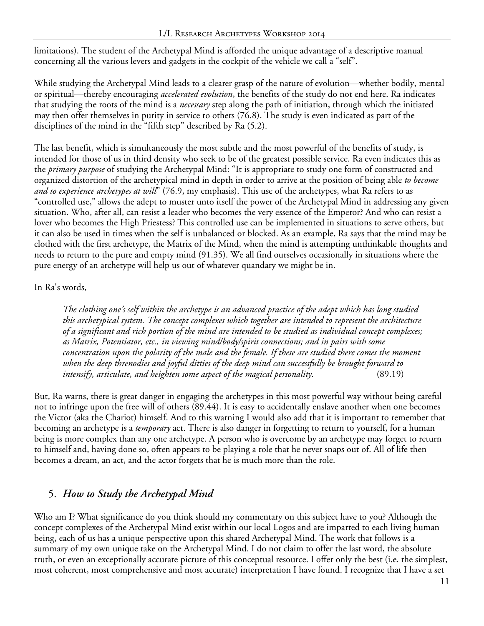limitations). The student of the Archetypal Mind is afforded the unique advantage of a descriptive manual concerning all the various levers and gadgets in the cockpit of the vehicle we call a "self".

While studying the Archetypal Mind leads to a clearer grasp of the nature of evolution—whether bodily, mental or spiritual—thereby encouraging *accelerated evolution*, the benefits of the study do not end here. Ra indicates that studying the roots of the mind is a *necessary* step along the path of initiation, through which the initiated may then offer themselves in purity in service to others (76.8). The study is even indicated as part of the disciplines of the mind in the "fifth step" described by Ra (5.2).

The last benefit, which is simultaneously the most subtle and the most powerful of the benefits of study, is intended for those of us in third density who seek to be of the greatest possible service. Ra even indicates this as the *primary purpose* of studying the Archetypal Mind: "It is appropriate to study one form of constructed and organized distortion of the archetypical mind in depth in order to arrive at the position of being able *to become and to experience archetypes at will*" (76.9, my emphasis). This use of the archetypes, what Ra refers to as "controlled use," allows the adept to muster unto itself the power of the Archetypal Mind in addressing any given situation. Who, after all, can resist a leader who becomes the very essence of the Emperor? And who can resist a lover who becomes the High Priestess? This controlled use can be implemented in situations to serve others, but it can also be used in times when the self is unbalanced or blocked. As an example, Ra says that the mind may be clothed with the first archetype, the Matrix of the Mind, when the mind is attempting unthinkable thoughts and needs to return to the pure and empty mind (91.35). We all find ourselves occasionally in situations where the pure energy of an archetype will help us out of whatever quandary we might be in.

#### In Ra's words,

*The clothing one's self within the archetype is an advanced practice of the adept which has long studied this archetypical system. The concept complexes which together are intended to represent the architecture of a significant and rich portion of the mind are intended to be studied as individual concept complexes; as Matrix, Potentiator, etc., in viewing mind/body/spirit connections; and in pairs with some concentration upon the polarity of the male and the female. If these are studied there comes the moment when the deep threnodies and joyful ditties of the deep mind can successfully be brought forward to intensify, articulate, and heighten some aspect of the magical personality.* (89.19)

But, Ra warns, there is great danger in engaging the archetypes in this most powerful way without being careful not to infringe upon the free will of others (89.44). It is easy to accidentally enslave another when one becomes the Victor (aka the Chariot) himself. And to this warning I would also add that it is important to remember that becoming an archetype is a *temporary* act. There is also danger in forgetting to return to yourself, for a human being is more complex than any one archetype. A person who is overcome by an archetype may forget to return to himself and, having done so, often appears to be playing a role that he never snaps out of. All of life then becomes a dream, an act, and the actor forgets that he is much more than the role.

#### 5. *How to Study the Archetypal Mind*

Who am I? What significance do you think should my commentary on this subject have to you? Although the concept complexes of the Archetypal Mind exist within our local Logos and are imparted to each living human being, each of us has a unique perspective upon this shared Archetypal Mind. The work that follows is a summary of my own unique take on the Archetypal Mind. I do not claim to offer the last word, the absolute truth, or even an exceptionally accurate picture of this conceptual resource. I offer only the best (i.e. the simplest, most coherent, most comprehensive and most accurate) interpretation I have found. I recognize that I have a set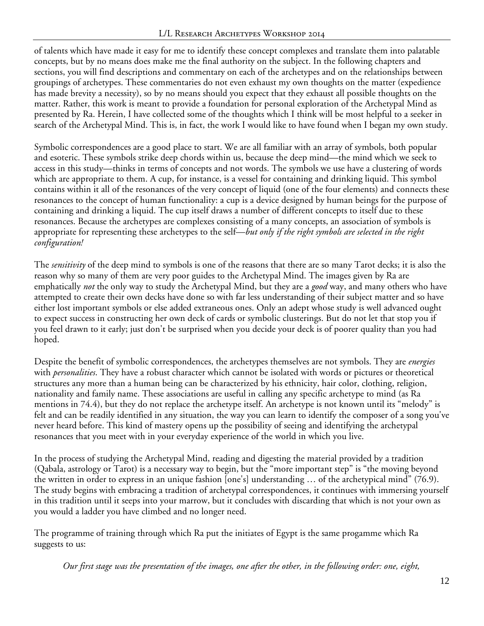of talents which have made it easy for me to identify these concept complexes and translate them into palatable concepts, but by no means does make me the final authority on the subject. In the following chapters and sections, you will find descriptions and commentary on each of the archetypes and on the relationships between groupings of archetypes. These commentaries do not even exhaust my own thoughts on the matter (expedience has made brevity a necessity), so by no means should you expect that they exhaust all possible thoughts on the matter. Rather, this work is meant to provide a foundation for personal exploration of the Archetypal Mind as presented by Ra. Herein, I have collected some of the thoughts which I think will be most helpful to a seeker in search of the Archetypal Mind. This is, in fact, the work I would like to have found when I began my own study.

Symbolic correspondences are a good place to start. We are all familiar with an array of symbols, both popular and esoteric. These symbols strike deep chords within us, because the deep mind—the mind which we seek to access in this study—thinks in terms of concepts and not words. The symbols we use have a clustering of words which are appropriate to them. A cup, for instance, is a vessel for containing and drinking liquid. This symbol contains within it all of the resonances of the very concept of liquid (one of the four elements) and connects these resonances to the concept of human functionality: a cup is a device designed by human beings for the purpose of containing and drinking a liquid. The cup itself draws a number of different concepts to itself due to these resonances. Because the archetypes are complexes consisting of a many concepts, an association of symbols is appropriate for representing these archetypes to the self—*but only if the right symbols are selected in the right configuration!*

The *sensitivity* of the deep mind to symbols is one of the reasons that there are so many Tarot decks; it is also the reason why so many of them are very poor guides to the Archetypal Mind. The images given by Ra are emphatically *not* the only way to study the Archetypal Mind, but they are a *good* way, and many others who have attempted to create their own decks have done so with far less understanding of their subject matter and so have either lost important symbols or else added extraneous ones. Only an adept whose study is well advanced ought to expect success in constructing her own deck of cards or symbolic clusterings. But do not let that stop you if you feel drawn to it early; just don't be surprised when you decide your deck is of poorer quality than you had hoped.

Despite the benefit of symbolic correspondences, the archetypes themselves are not symbols. They are *energies* with *personalities*. They have a robust character which cannot be isolated with words or pictures or theoretical structures any more than a human being can be characterized by his ethnicity, hair color, clothing, religion, nationality and family name. These associations are useful in calling any specific archetype to mind (as Ra mentions in 74.4), but they do not replace the archetype itself. An archetype is not known until its "melody" is felt and can be readily identified in any situation, the way you can learn to identify the composer of a song you've never heard before. This kind of mastery opens up the possibility of seeing and identifying the archetypal resonances that you meet with in your everyday experience of the world in which you live.

In the process of studying the Archetypal Mind, reading and digesting the material provided by a tradition (Qabala, astrology or Tarot) is a necessary way to begin, but the "more important step" is "the moving beyond the written in order to express in an unique fashion [one's] understanding … of the archetypical mind" (76.9). The study begins with embracing a tradition of archetypal correspondences, it continues with immersing yourself in this tradition until it seeps into your marrow, but it concludes with discarding that which is not your own as you would a ladder you have climbed and no longer need.

The programme of training through which Ra put the initiates of Egypt is the same progamme which Ra suggests to us:

*Our first stage was the presentation of the images, one after the other, in the following order: one, eight,*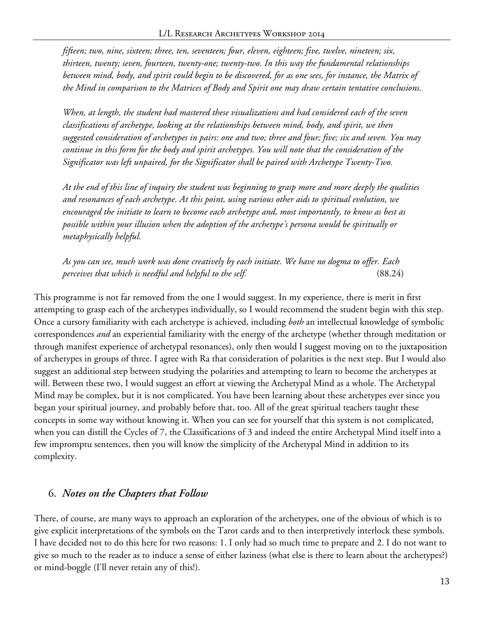*fifteen; two, nine, sixteen; three, ten, seventeen; four, eleven, eighteen; five, twelve, nineteen; six, thirteen, twenty; seven, fourteen, twenty-one; twenty-two. In this way the fundamental relationships between mind, body, and spirit could begin to be discovered, for as one sees, for instance, the Matrix of the Mind in comparison to the Matrices of Body and Spirit one may draw certain tentative conclusions.*

*When, at length, the student had mastered these visualizations and had considered each of the seven classifications of archetype, looking at the relationships between mind, body, and spirit, we then suggested consideration of archetypes in pairs: one and two; three and four; five; six and seven. You may continue in this form for the body and spirit archetypes. You will note that the consideration of the Significator was left unpaired, for the Significator shall be paired with Archetype Twenty-Two.*

*At the end of this line of inquiry the student was beginning to grasp more and more deeply the qualities and resonances of each archetype. At this point, using various other aids to spiritual evolution, we encouraged the initiate to learn to become each archetype and, most importantly, to know as best as possible within your illusion when the adoption of the archetype's persona would be spiritually or metaphysically helpful.*

*As you can see, much work was done creatively by each initiate. We have no dogma to offer. Each perceives that which is needful and helpful to the self.* (88.24)

This programme is not far removed from the one I would suggest. In my experience, there is merit in first attempting to grasp each of the archetypes individually, so I would recommend the student begin with this step. Once a cursory familiarity with each archetype is achieved, including *both* an intellectual knowledge of symbolic correspondences *and* an experiential familiarity with the energy of the archetype (whether through meditation or through manifest experience of archetypal resonances), only then would I suggest moving on to the juxtaposition of archetypes in groups of three. I agree with Ra that consideration of polarities is the next step. But I would also suggest an additional step between studying the polarities and attempting to learn to become the archetypes at will. Between these two, I would suggest an effort at viewing the Archetypal Mind as a whole. The Archetypal Mind may be complex, but it is not complicated. You have been learning about these archetypes ever since you began your spiritual journey, and probably before that, too. All of the great spiritual teachers taught these concepts in some way without knowing it. When you can see for yourself that this system is not complicated, when you can distill the Cycles of 7, the Classifications of 3 and indeed the entire Archetypal Mind itself into a few impromptu sentences, then you will know the simplicity of the Archetypal Mind in addition to its complexity.

#### 6. *Notes on the Chapters that Follow*

There, of course, are many ways to approach an exploration of the archetypes, one of the obvious of which is to give explicit interpretations of the symbols on the Tarot cards and to then interpretively interlock these symbols. I have decided not to do this here for two reasons: 1. I only had so much time to prepare and 2. I do not want to give so much to the reader as to induce a sense of either laziness (what else is there to learn about the archetypes?) or mind-boggle (I'll never retain any of this!).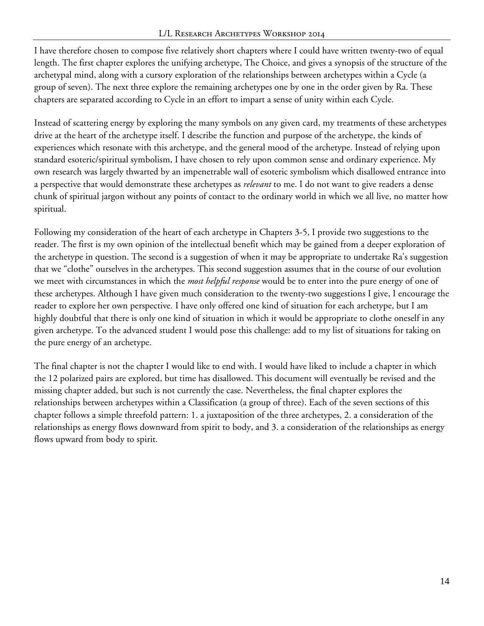I have therefore chosen to compose five relatively short chapters where I could have written twenty-two of equal length. The first chapter explores the unifying archetype, The Choice, and gives a synopsis of the structure of the archetypal mind, along with a cursory exploration of the relationships between archetypes within a Cycle (a group of seven). The next three explore the remaining archetypes one by one in the order given by Ra. These chapters are separated according to Cycle in an effort to impart a sense of unity within each Cycle.

Instead of scattering energy by exploring the many symbols on any given card, my treatments of these archetypes drive at the heart of the archetype itself. I describe the function and purpose of the archetype, the kinds of experiences which resonate with this archetype, and the general mood of the archetype. Instead of relying upon standard esoteric/spiritual symbolism, I have chosen to rely upon common sense and ordinary experience. My own research was largely thwarted by an impenetrable wall of esoteric symbolism which disallowed entrance into a perspective that would demonstrate these archetypes as *relevant* to me. I do not want to give readers a dense chunk of spiritual jargon without any points of contact to the ordinary world in which we all live, no matter how spiritual.

Following my consideration of the heart of each archetype in Chapters 3-5, I provide two suggestions to the reader. The first is my own opinion of the intellectual benefit which may be gained from a deeper exploration of the archetype in question. The second is a suggestion of when it may be appropriate to undertake Ra's suggestion that we "clothe" ourselves in the archetypes. This second suggestion assumes that in the course of our evolution we meet with circumstances in which the *most helpful response* would be to enter into the pure energy of one of these archetypes. Although I have given much consideration to the twenty-two suggestions I give, I encourage the reader to explore her own perspective. I have only offered one kind of situation for each archetype, but I am highly doubtful that there is only one kind of situation in which it would be appropriate to clothe oneself in any given archetype. To the advanced student I would pose this challenge: add to my list of situations for taking on the pure energy of an archetype.

The final chapter is not the chapter I would like to end with. I would have liked to include a chapter in which the 12 polarized pairs are explored, but time has disallowed. This document will eventually be revised and the missing chapter added, but such is not currently the case. Nevertheless, the final chapter explores the relationships between archetypes within a Classification (a group of three). Each of the seven sections of this chapter follows a simple threefold pattern: 1. a juxtaposition of the three archetypes, 2. a consideration of the relationships as energy flows downward from spirit to body, and 3. a consideration of the relationships as energy flows upward from body to spirit.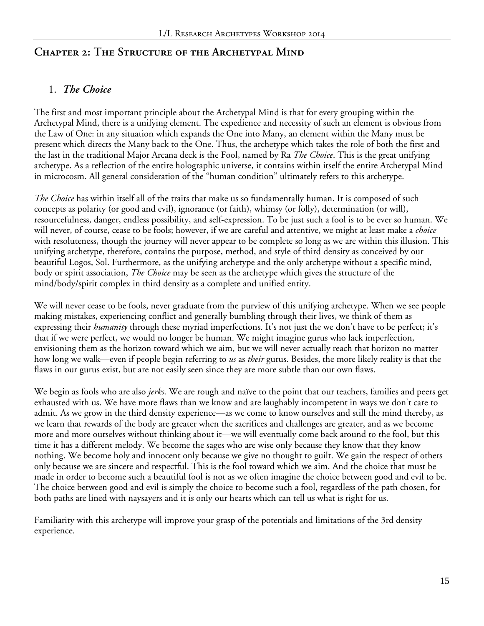#### **Chapter 2: The Structure of the Archetypal Mind**

#### 1. *The Choice*

The first and most important principle about the Archetypal Mind is that for every grouping within the Archetypal Mind, there is a unifying element. The expedience and necessity of such an element is obvious from the Law of One: in any situation which expands the One into Many, an element within the Many must be present which directs the Many back to the One. Thus, the archetype which takes the role of both the first and the last in the traditional Major Arcana deck is the Fool, named by Ra *The Choice*. This is the great unifying archetype. As a reflection of the entire holographic universe, it contains within itself the entire Archetypal Mind in microcosm. All general consideration of the "human condition" ultimately refers to this archetype.

*The Choice* has within itself all of the traits that make us so fundamentally human. It is composed of such concepts as polarity (or good and evil), ignorance (or faith), whimsy (or folly), determination (or will), resourcefulness, danger, endless possibility, and self-expression. To be just such a fool is to be ever so human. We will never, of course, cease to be fools; however, if we are careful and attentive, we might at least make a *choice* with resoluteness, though the journey will never appear to be complete so long as we are within this illusion. This unifying archetype, therefore, contains the purpose, method, and style of third density as conceived by our beautiful Logos, Sol. Furthermore, as the unifying archetype and the only archetype without a specific mind, body or spirit association, *The Choice* may be seen as the archetype which gives the structure of the mind/body/spirit complex in third density as a complete and unified entity.

We will never cease to be fools, never graduate from the purview of this unifying archetype. When we see people making mistakes, experiencing conflict and generally bumbling through their lives, we think of them as expressing their *humanity* through these myriad imperfections. It's not just the we don't have to be perfect; it's that if we were perfect, we would no longer be human. We might imagine gurus who lack imperfection, envisioning them as the horizon toward which we aim, but we will never actually reach that horizon no matter how long we walk—even if people begin referring to *us* as *their* gurus. Besides, the more likely reality is that the flaws in our gurus exist, but are not easily seen since they are more subtle than our own flaws.

We begin as fools who are also *jerks*. We are rough and naïve to the point that our teachers, families and peers get exhausted with us. We have more flaws than we know and are laughably incompetent in ways we don't care to admit. As we grow in the third density experience—as we come to know ourselves and still the mind thereby, as we learn that rewards of the body are greater when the sacrifices and challenges are greater, and as we become more and more ourselves without thinking about it—we will eventually come back around to the fool, but this time it has a different melody. We become the sages who are wise only because they know that they know nothing. We become holy and innocent only because we give no thought to guilt. We gain the respect of others only because we are sincere and respectful. This is the fool toward which we aim. And the choice that must be made in order to become such a beautiful fool is not as we often imagine the choice between good and evil to be. The choice between good and evil is simply the choice to become such a fool, regardless of the path chosen, for both paths are lined with naysayers and it is only our hearts which can tell us what is right for us.

Familiarity with this archetype will improve your grasp of the potentials and limitations of the 3rd density experience.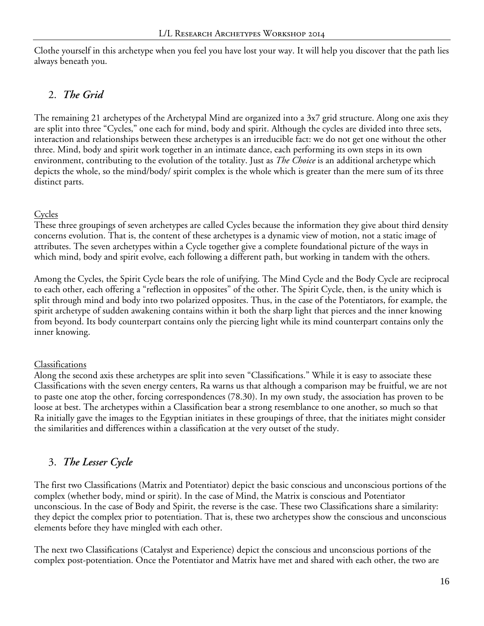Clothe yourself in this archetype when you feel you have lost your way. It will help you discover that the path lies always beneath you.

## 2. *The Grid*

The remaining 21 archetypes of the Archetypal Mind are organized into a 3x7 grid structure. Along one axis they are split into three "Cycles," one each for mind, body and spirit. Although the cycles are divided into three sets, interaction and relationships between these archetypes is an irreducible fact: we do not get one without the other three. Mind, body and spirit work together in an intimate dance, each performing its own steps in its own environment, contributing to the evolution of the totality. Just as *The Choice* is an additional archetype which depicts the whole, so the mind/body/ spirit complex is the whole which is greater than the mere sum of its three distinct parts.

#### Cycles

These three groupings of seven archetypes are called Cycles because the information they give about third density concerns evolution. That is, the content of these archetypes is a dynamic view of motion, not a static image of attributes. The seven archetypes within a Cycle together give a complete foundational picture of the ways in which mind, body and spirit evolve, each following a different path, but working in tandem with the others.

Among the Cycles, the Spirit Cycle bears the role of unifying. The Mind Cycle and the Body Cycle are reciprocal to each other, each offering a "reflection in opposites" of the other. The Spirit Cycle, then, is the unity which is split through mind and body into two polarized opposites. Thus, in the case of the Potentiators, for example, the spirit archetype of sudden awakening contains within it both the sharp light that pierces and the inner knowing from beyond. Its body counterpart contains only the piercing light while its mind counterpart contains only the inner knowing.

#### **Classifications**

Along the second axis these archetypes are split into seven "Classifications." While it is easy to associate these Classifications with the seven energy centers, Ra warns us that although a comparison may be fruitful, we are not to paste one atop the other, forcing correspondences (78.30). In my own study, the association has proven to be loose at best. The archetypes within a Classification bear a strong resemblance to one another, so much so that Ra initially gave the images to the Egyptian initiates in these groupings of three, that the initiates might consider the similarities and differences within a classification at the very outset of the study.

# 3. *The Lesser Cycle*

The first two Classifications (Matrix and Potentiator) depict the basic conscious and unconscious portions of the complex (whether body, mind or spirit). In the case of Mind, the Matrix is conscious and Potentiator unconscious. In the case of Body and Spirit, the reverse is the case. These two Classifications share a similarity: they depict the complex prior to potentiation. That is, these two archetypes show the conscious and unconscious elements before they have mingled with each other.

The next two Classifications (Catalyst and Experience) depict the conscious and unconscious portions of the complex post-potentiation. Once the Potentiator and Matrix have met and shared with each other, the two are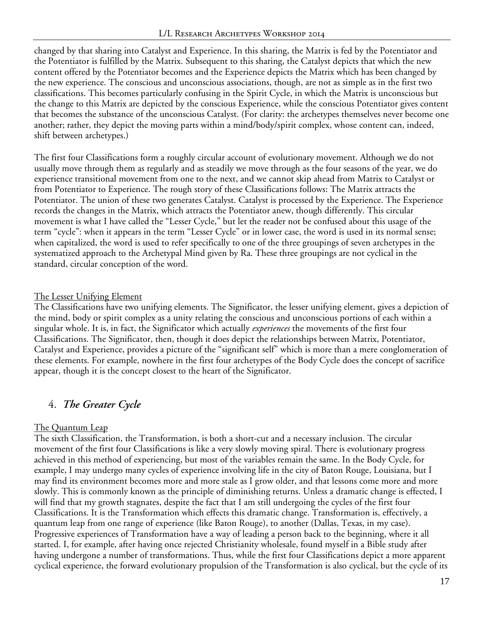changed by that sharing into Catalyst and Experience. In this sharing, the Matrix is fed by the Potentiator and the Potentiator is fulfilled by the Matrix. Subsequent to this sharing, the Catalyst depicts that which the new content offered by the Potentiator becomes and the Experience depicts the Matrix which has been changed by the new experience. The conscious and unconscious associations, though, are not as simple as in the first two classifications. This becomes particularly confusing in the Spirit Cycle, in which the Matrix is unconscious but the change to this Matrix are depicted by the conscious Experience, while the conscious Potentiator gives content that becomes the substance of the unconscious Catalyst. (For clarity: the archetypes themselves never become one another; rather, they depict the moving parts within a mind/body/spirit complex, whose content can, indeed, shift between archetypes.)

The first four Classifications form a roughly circular account of evolutionary movement. Although we do not usually move through them as regularly and as steadily we move through as the four seasons of the year, we do experience transitional movement from one to the next, and we cannot skip ahead from Matrix to Catalyst or from Potentiator to Experience. The rough story of these Classifications follows: The Matrix attracts the Potentiator. The union of these two generates Catalyst. Catalyst is processed by the Experience. The Experience records the changes in the Matrix, which attracts the Potentiator anew, though differently. This circular movement is what I have called the "Lesser Cycle," but let the reader not be confused about this usage of the term "cycle": when it appears in the term "Lesser Cycle" or in lower case, the word is used in its normal sense; when capitalized, the word is used to refer specifically to one of the three groupings of seven archetypes in the systematized approach to the Archetypal Mind given by Ra. These three groupings are not cyclical in the standard, circular conception of the word.

#### The Lesser Unifying Element

The Classifications have two unifying elements. The Significator, the lesser unifying element, gives a depiction of the mind, body or spirit complex as a unity relating the conscious and unconscious portions of each within a singular whole. It is, in fact, the Significator which actually *experiences* the movements of the first four Classifications. The Significator, then, though it does depict the relationships between Matrix, Potentiator, Catalyst and Experience, provides a picture of the "significant self" which is more than a mere conglomeration of these elements. For example, nowhere in the first four archetypes of the Body Cycle does the concept of sacrifice appear, though it is the concept closest to the heart of the Significator.

#### 4. *The Greater Cycle*

#### The Quantum Leap

The sixth Classification, the Transformation, is both a short-cut and a necessary inclusion. The circular movement of the first four Classifications is like a very slowly moving spiral. There is evolutionary progress achieved in this method of experiencing, but most of the variables remain the same. In the Body Cycle, for example, I may undergo many cycles of experience involving life in the city of Baton Rouge, Louisiana, but I may find its environment becomes more and more stale as I grow older, and that lessons come more and more slowly. This is commonly known as the principle of diminishing returns. Unless a dramatic change is effected, I will find that my growth stagnates, despite the fact that I am still undergoing the cycles of the first four Classifications. It is the Transformation which effects this dramatic change. Transformation is, effectively, a quantum leap from one range of experience (like Baton Rouge), to another (Dallas, Texas, in my case). Progressive experiences of Transformation have a way of leading a person back to the beginning, where it all started. I, for example, after having once rejected Christianity wholesale, found myself in a Bible study after having undergone a number of transformations. Thus, while the first four Classifications depict a more apparent cyclical experience, the forward evolutionary propulsion of the Transformation is also cyclical, but the cycle of its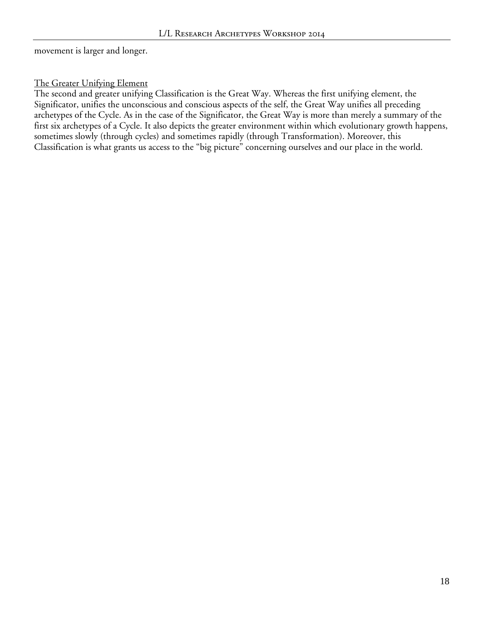movement is larger and longer.

#### The Greater Unifying Element

The second and greater unifying Classification is the Great Way. Whereas the first unifying element, the Significator, unifies the unconscious and conscious aspects of the self, the Great Way unifies all preceding archetypes of the Cycle. As in the case of the Significator, the Great Way is more than merely a summary of the first six archetypes of a Cycle. It also depicts the greater environment within which evolutionary growth happens, sometimes slowly (through cycles) and sometimes rapidly (through Transformation). Moreover, this Classification is what grants us access to the "big picture" concerning ourselves and our place in the world.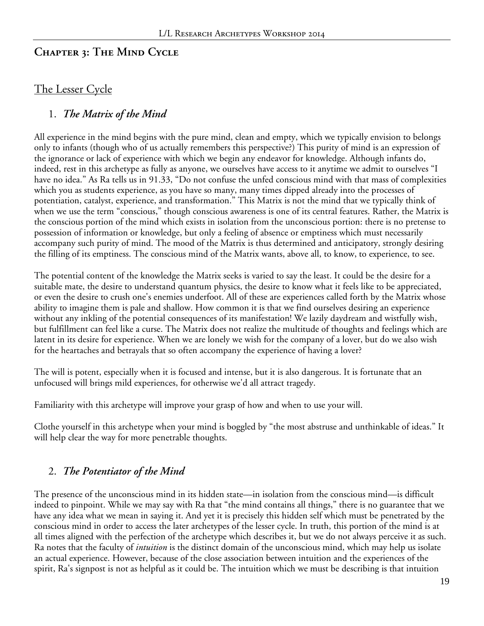#### **Chapter 3: The Mind Cycle**

#### The Lesser Cycle

#### 1. *The Matrix of the Mind*

All experience in the mind begins with the pure mind, clean and empty, which we typically envision to belongs only to infants (though who of us actually remembers this perspective?) This purity of mind is an expression of the ignorance or lack of experience with which we begin any endeavor for knowledge. Although infants do, indeed, rest in this archetype as fully as anyone, we ourselves have access to it anytime we admit to ourselves "I have no idea." As Ra tells us in 91.33, "Do not confuse the unfed conscious mind with that mass of complexities which you as students experience, as you have so many, many times dipped already into the processes of potentiation, catalyst, experience, and transformation." This Matrix is not the mind that we typically think of when we use the term "conscious," though conscious awareness is one of its central features. Rather, the Matrix is the conscious portion of the mind which exists in isolation from the unconscious portion: there is no pretense to possession of information or knowledge, but only a feeling of absence or emptiness which must necessarily accompany such purity of mind. The mood of the Matrix is thus determined and anticipatory, strongly desiring the filling of its emptiness. The conscious mind of the Matrix wants, above all, to know, to experience, to see.

The potential content of the knowledge the Matrix seeks is varied to say the least. It could be the desire for a suitable mate, the desire to understand quantum physics, the desire to know what it feels like to be appreciated, or even the desire to crush one's enemies underfoot. All of these are experiences called forth by the Matrix whose ability to imagine them is pale and shallow. How common it is that we find ourselves desiring an experience without any inkling of the potential consequences of its manifestation! We lazily daydream and wistfully wish, but fulfillment can feel like a curse. The Matrix does not realize the multitude of thoughts and feelings which are latent in its desire for experience. When we are lonely we wish for the company of a lover, but do we also wish for the heartaches and betrayals that so often accompany the experience of having a lover?

The will is potent, especially when it is focused and intense, but it is also dangerous. It is fortunate that an unfocused will brings mild experiences, for otherwise we'd all attract tragedy.

Familiarity with this archetype will improve your grasp of how and when to use your will.

Clothe yourself in this archetype when your mind is boggled by "the most abstruse and unthinkable of ideas." It will help clear the way for more penetrable thoughts.

#### 2. *The Potentiator of the Mind*

The presence of the unconscious mind in its hidden state—in isolation from the conscious mind—is difficult indeed to pinpoint. While we may say with Ra that "the mind contains all things," there is no guarantee that we have any idea what we mean in saying it. And yet it is precisely this hidden self which must be penetrated by the conscious mind in order to access the later archetypes of the lesser cycle. In truth, this portion of the mind is at all times aligned with the perfection of the archetype which describes it, but we do not always perceive it as such. Ra notes that the faculty of *intuition* is the distinct domain of the unconscious mind, which may help us isolate an actual experience. However, because of the close association between intuition and the experiences of the spirit, Ra's signpost is not as helpful as it could be. The intuition which we must be describing is that intuition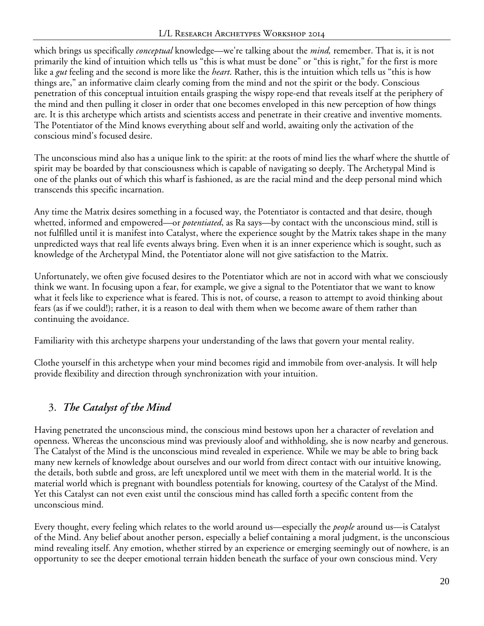which brings us specifically *conceptual* knowledge—we're talking about the *mind,* remember. That is, it is not primarily the kind of intuition which tells us "this is what must be done" or "this is right," for the first is more like a *gut* feeling and the second is more like the *heart*. Rather, this is the intuition which tells us "this is how things are," an informative claim clearly coming from the mind and not the spirit or the body. Conscious penetration of this conceptual intuition entails grasping the wispy rope-end that reveals itself at the periphery of the mind and then pulling it closer in order that one becomes enveloped in this new perception of how things are. It is this archetype which artists and scientists access and penetrate in their creative and inventive moments. The Potentiator of the Mind knows everything about self and world, awaiting only the activation of the conscious mind's focused desire.

The unconscious mind also has a unique link to the spirit: at the roots of mind lies the wharf where the shuttle of spirit may be boarded by that consciousness which is capable of navigating so deeply. The Archetypal Mind is one of the planks out of which this wharf is fashioned, as are the racial mind and the deep personal mind which transcends this specific incarnation.

Any time the Matrix desires something in a focused way, the Potentiator is contacted and that desire, though whetted, informed and empowered—or *potentiated*, as Ra says—by contact with the unconscious mind, still is not fulfilled until it is manifest into Catalyst, where the experience sought by the Matrix takes shape in the many unpredicted ways that real life events always bring. Even when it is an inner experience which is sought, such as knowledge of the Archetypal Mind, the Potentiator alone will not give satisfaction to the Matrix.

Unfortunately, we often give focused desires to the Potentiator which are not in accord with what we consciously think we want. In focusing upon a fear, for example, we give a signal to the Potentiator that we want to know what it feels like to experience what is feared. This is not, of course, a reason to attempt to avoid thinking about fears (as if we could!); rather, it is a reason to deal with them when we become aware of them rather than continuing the avoidance.

Familiarity with this archetype sharpens your understanding of the laws that govern your mental reality.

Clothe yourself in this archetype when your mind becomes rigid and immobile from over-analysis. It will help provide flexibility and direction through synchronization with your intuition.

# 3. *The Catalyst of the Mind*

Having penetrated the unconscious mind, the conscious mind bestows upon her a character of revelation and openness. Whereas the unconscious mind was previously aloof and withholding, she is now nearby and generous. The Catalyst of the Mind is the unconscious mind revealed in experience. While we may be able to bring back many new kernels of knowledge about ourselves and our world from direct contact with our intuitive knowing, the details, both subtle and gross, are left unexplored until we meet with them in the material world. It is the material world which is pregnant with boundless potentials for knowing, courtesy of the Catalyst of the Mind. Yet this Catalyst can not even exist until the conscious mind has called forth a specific content from the unconscious mind.

Every thought, every feeling which relates to the world around us—especially the *people* around us—is Catalyst of the Mind. Any belief about another person, especially a belief containing a moral judgment, is the unconscious mind revealing itself. Any emotion, whether stirred by an experience or emerging seemingly out of nowhere, is an opportunity to see the deeper emotional terrain hidden beneath the surface of your own conscious mind. Very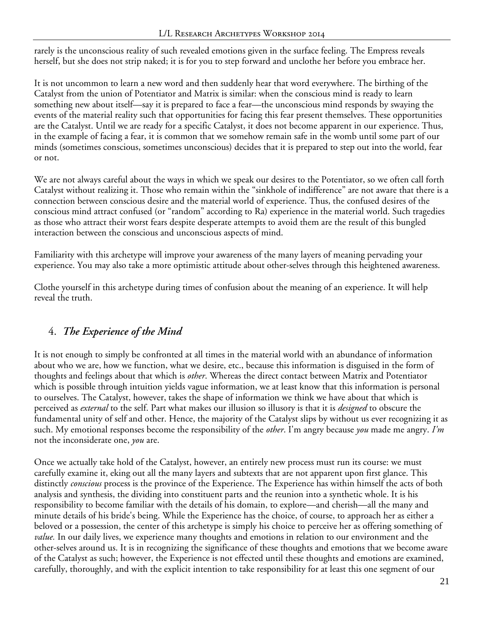rarely is the unconscious reality of such revealed emotions given in the surface feeling. The Empress reveals herself, but she does not strip naked; it is for you to step forward and unclothe her before you embrace her.

It is not uncommon to learn a new word and then suddenly hear that word everywhere. The birthing of the Catalyst from the union of Potentiator and Matrix is similar: when the conscious mind is ready to learn something new about itself—say it is prepared to face a fear—the unconscious mind responds by swaying the events of the material reality such that opportunities for facing this fear present themselves. These opportunities are the Catalyst. Until we are ready for a specific Catalyst, it does not become apparent in our experience. Thus, in the example of facing a fear, it is common that we somehow remain safe in the womb until some part of our minds (sometimes conscious, sometimes unconscious) decides that it is prepared to step out into the world, fear or not.

We are not always careful about the ways in which we speak our desires to the Potentiator, so we often call forth Catalyst without realizing it. Those who remain within the "sinkhole of indifference" are not aware that there is a connection between conscious desire and the material world of experience. Thus, the confused desires of the conscious mind attract confused (or "random" according to Ra) experience in the material world. Such tragedies as those who attract their worst fears despite desperate attempts to avoid them are the result of this bungled interaction between the conscious and unconscious aspects of mind.

Familiarity with this archetype will improve your awareness of the many layers of meaning pervading your experience. You may also take a more optimistic attitude about other-selves through this heightened awareness.

Clothe yourself in this archetype during times of confusion about the meaning of an experience. It will help reveal the truth.

## 4. *The Experience of the Mind*

It is not enough to simply be confronted at all times in the material world with an abundance of information about who we are, how we function, what we desire, etc., because this information is disguised in the form of thoughts and feelings about that which is *other*. Whereas the direct contact between Matrix and Potentiator which is possible through intuition yields vague information, we at least know that this information is personal to ourselves. The Catalyst, however, takes the shape of information we think we have about that which is perceived as *external* to the self. Part what makes our illusion so illusory is that it is *designed* to obscure the fundamental unity of self and other. Hence, the majority of the Catalyst slips by without us ever recognizing it as such. My emotional responses become the responsibility of the *other*. I'm angry because *you* made me angry. *I'm* not the inconsiderate one, *you* are.

Once we actually take hold of the Catalyst, however, an entirely new process must run its course: we must carefully examine it, eking out all the many layers and subtexts that are not apparent upon first glance. This distinctly *conscious* process is the province of the Experience. The Experience has within himself the acts of both analysis and synthesis, the dividing into constituent parts and the reunion into a synthetic whole. It is his responsibility to become familiar with the details of his domain, to explore—and cherish—all the many and minute details of his bride's being. While the Experience has the choice, of course, to approach her as either a beloved or a possession, the center of this archetype is simply his choice to perceive her as offering something of *value.* In our daily lives, we experience many thoughts and emotions in relation to our environment and the other-selves around us. It is in recognizing the significance of these thoughts and emotions that we become aware of the Catalyst as such; however, the Experience is not effected until these thoughts and emotions are examined, carefully, thoroughly, and with the explicit intention to take responsibility for at least this one segment of our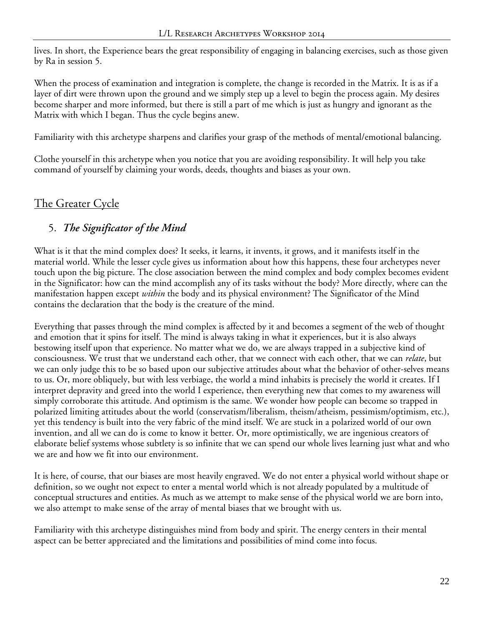lives. In short, the Experience bears the great responsibility of engaging in balancing exercises, such as those given by Ra in session 5.

When the process of examination and integration is complete, the change is recorded in the Matrix. It is as if a layer of dirt were thrown upon the ground and we simply step up a level to begin the process again. My desires become sharper and more informed, but there is still a part of me which is just as hungry and ignorant as the Matrix with which I began. Thus the cycle begins anew.

Familiarity with this archetype sharpens and clarifies your grasp of the methods of mental/emotional balancing.

Clothe yourself in this archetype when you notice that you are avoiding responsibility. It will help you take command of yourself by claiming your words, deeds, thoughts and biases as your own.

## The Greater Cycle

## 5. *The Significator of the Mind*

What is it that the mind complex does? It seeks, it learns, it invents, it grows, and it manifests itself in the material world. While the lesser cycle gives us information about how this happens, these four archetypes never touch upon the big picture. The close association between the mind complex and body complex becomes evident in the Significator: how can the mind accomplish any of its tasks without the body? More directly, where can the manifestation happen except *within* the body and its physical environment? The Significator of the Mind contains the declaration that the body is the creature of the mind.

Everything that passes through the mind complex is affected by it and becomes a segment of the web of thought and emotion that it spins for itself. The mind is always taking in what it experiences, but it is also always bestowing itself upon that experience. No matter what we do, we are always trapped in a subjective kind of consciousness. We trust that we understand each other, that we connect with each other, that we can *relate*, but we can only judge this to be so based upon our subjective attitudes about what the behavior of other-selves means to us. Or, more obliquely, but with less verbiage, the world a mind inhabits is precisely the world it creates. If I interpret depravity and greed into the world I experience, then everything new that comes to my awareness will simply corroborate this attitude. And optimism is the same. We wonder how people can become so trapped in polarized limiting attitudes about the world (conservatism/liberalism, theism/atheism, pessimism/optimism, etc.), yet this tendency is built into the very fabric of the mind itself. We are stuck in a polarized world of our own invention, and all we can do is come to know it better. Or, more optimistically, we are ingenious creators of elaborate belief systems whose subtlety is so infinite that we can spend our whole lives learning just what and who we are and how we fit into our environment.

It is here, of course, that our biases are most heavily engraved. We do not enter a physical world without shape or definition, so we ought not expect to enter a mental world which is not already populated by a multitude of conceptual structures and entities. As much as we attempt to make sense of the physical world we are born into, we also attempt to make sense of the array of mental biases that we brought with us.

Familiarity with this archetype distinguishes mind from body and spirit. The energy centers in their mental aspect can be better appreciated and the limitations and possibilities of mind come into focus.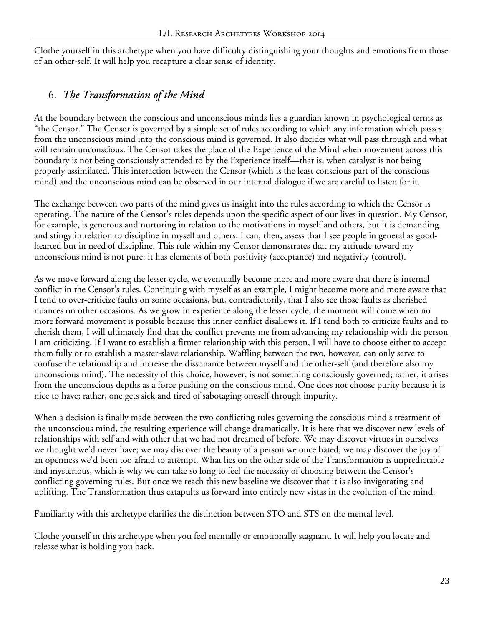Clothe yourself in this archetype when you have difficulty distinguishing your thoughts and emotions from those of an other-self. It will help you recapture a clear sense of identity.

#### 6. *The Transformation of the Mind*

At the boundary between the conscious and unconscious minds lies a guardian known in psychological terms as "the Censor." The Censor is governed by a simple set of rules according to which any information which passes from the unconscious mind into the conscious mind is governed. It also decides what will pass through and what will remain unconscious. The Censor takes the place of the Experience of the Mind when movement across this boundary is not being consciously attended to by the Experience itself—that is, when catalyst is not being properly assimilated. This interaction between the Censor (which is the least conscious part of the conscious mind) and the unconscious mind can be observed in our internal dialogue if we are careful to listen for it.

The exchange between two parts of the mind gives us insight into the rules according to which the Censor is operating. The nature of the Censor's rules depends upon the specific aspect of our lives in question. My Censor, for example, is generous and nurturing in relation to the motivations in myself and others, but it is demanding and stingy in relation to discipline in myself and others. I can, then, assess that I see people in general as goodhearted but in need of discipline. This rule within my Censor demonstrates that my attitude toward my unconscious mind is not pure: it has elements of both positivity (acceptance) and negativity (control).

As we move forward along the lesser cycle, we eventually become more and more aware that there is internal conflict in the Censor's rules. Continuing with myself as an example, I might become more and more aware that I tend to over-criticize faults on some occasions, but, contradictorily, that I also see those faults as cherished nuances on other occasions. As we grow in experience along the lesser cycle, the moment will come when no more forward movement is possible because this inner conflict disallows it. If I tend both to criticize faults and to cherish them, I will ultimately find that the conflict prevents me from advancing my relationship with the person I am criticizing. If I want to establish a firmer relationship with this person, I will have to choose either to accept them fully or to establish a master-slave relationship. Waffling between the two, however, can only serve to confuse the relationship and increase the dissonance between myself and the other-self (and therefore also my unconscious mind). The necessity of this choice, however, is not something consciously governed; rather, it arises from the unconscious depths as a force pushing on the conscious mind. One does not choose purity because it is nice to have; rather, one gets sick and tired of sabotaging oneself through impurity.

When a decision is finally made between the two conflicting rules governing the conscious mind's treatment of the unconscious mind, the resulting experience will change dramatically. It is here that we discover new levels of relationships with self and with other that we had not dreamed of before. We may discover virtues in ourselves we thought we'd never have; we may discover the beauty of a person we once hated; we may discover the joy of an openness we'd been too afraid to attempt. What lies on the other side of the Transformation is unpredictable and mysterious, which is why we can take so long to feel the necessity of choosing between the Censor's conflicting governing rules. But once we reach this new baseline we discover that it is also invigorating and uplifting. The Transformation thus catapults us forward into entirely new vistas in the evolution of the mind.

Familiarity with this archetype clarifies the distinction between STO and STS on the mental level.

Clothe yourself in this archetype when you feel mentally or emotionally stagnant. It will help you locate and release what is holding you back.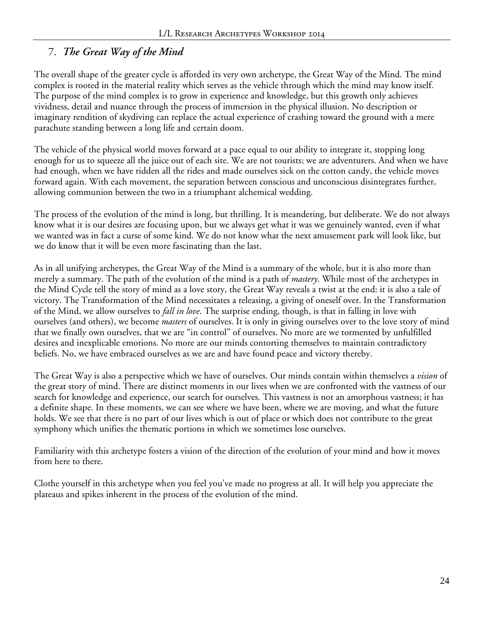#### 7. *The Great Way of the Mind*

The overall shape of the greater cycle is afforded its very own archetype, the Great Way of the Mind. The mind complex is rooted in the material reality which serves as the vehicle through which the mind may know itself. The purpose of the mind complex is to grow in experience and knowledge, but this growth only achieves vividness, detail and nuance through the process of immersion in the physical illusion. No description or imaginary rendition of skydiving can replace the actual experience of crashing toward the ground with a mere parachute standing between a long life and certain doom.

The vehicle of the physical world moves forward at a pace equal to our ability to integrate it, stopping long enough for us to squeeze all the juice out of each site. We are not tourists; we are adventurers. And when we have had enough, when we have ridden all the rides and made ourselves sick on the cotton candy, the vehicle moves forward again. With each movement, the separation between conscious and unconscious disintegrates further, allowing communion between the two in a triumphant alchemical wedding.

The process of the evolution of the mind is long, but thrilling. It is meandering, but deliberate. We do not always know what it is our desires are focusing upon, but we always get what it was we genuinely wanted, even if what we wanted was in fact a curse of some kind. We do not know what the next amusement park will look like, but we do know that it will be even more fascinating than the last.

As in all unifying archetypes, the Great Way of the Mind is a summary of the whole, but it is also more than merely a summary. The path of the evolution of the mind is a path of *mastery*. While most of the archetypes in the Mind Cycle tell the story of mind as a love story, the Great Way reveals a twist at the end: it is also a tale of victory. The Transformation of the Mind necessitates a releasing, a giving of oneself over. In the Transformation of the Mind, we allow ourselves to *fall in love*. The surprise ending, though, is that in falling in love with ourselves (and others), we become *masters* of ourselves. It is only in giving ourselves over to the love story of mind that we finally own ourselves, that we are "in control" of ourselves. No more are we tormented by unfulfilled desires and inexplicable emotions. No more are our minds contorting themselves to maintain contradictory beliefs. No, we have embraced ourselves as we are and have found peace and victory thereby.

The Great Way is also a perspective which we have of ourselves. Our minds contain within themselves a *vision* of the great story of mind. There are distinct moments in our lives when we are confronted with the vastness of our search for knowledge and experience, our search for ourselves. This vastness is not an amorphous vastness; it has a definite shape. In these moments, we can see where we have been, where we are moving, and what the future holds. We see that there is no part of our lives which is out of place or which does not contribute to the great symphony which unifies the thematic portions in which we sometimes lose ourselves.

Familiarity with this archetype fosters a vision of the direction of the evolution of your mind and how it moves from here to there.

Clothe yourself in this archetype when you feel you've made no progress at all. It will help you appreciate the plateaus and spikes inherent in the process of the evolution of the mind.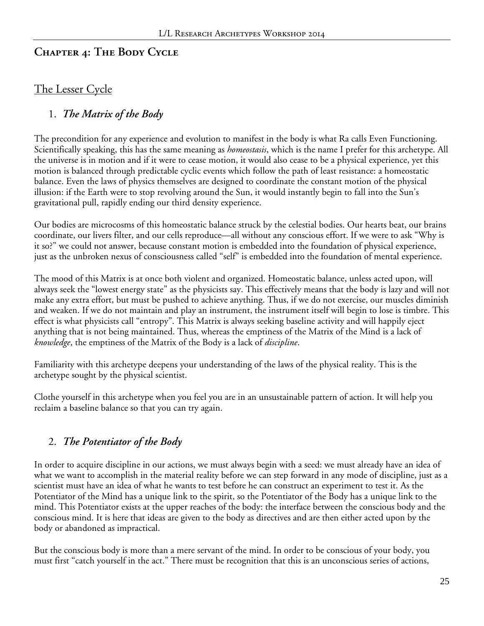## **Chapter 4: The Body Cycle**

## The Lesser Cycle

#### 1. *The Matrix of the Body*

The precondition for any experience and evolution to manifest in the body is what Ra calls Even Functioning. Scientifically speaking, this has the same meaning as *homeostasis*, which is the name I prefer for this archetype. All the universe is in motion and if it were to cease motion, it would also cease to be a physical experience, yet this motion is balanced through predictable cyclic events which follow the path of least resistance: a homeostatic balance. Even the laws of physics themselves are designed to coordinate the constant motion of the physical illusion: if the Earth were to stop revolving around the Sun, it would instantly begin to fall into the Sun's gravitational pull, rapidly ending our third density experience.

Our bodies are microcosms of this homeostatic balance struck by the celestial bodies. Our hearts beat, our brains coordinate, our livers filter, and our cells reproduce—all without any conscious effort. If we were to ask "Why is it so?" we could not answer, because constant motion is embedded into the foundation of physical experience, just as the unbroken nexus of consciousness called "self" is embedded into the foundation of mental experience.

The mood of this Matrix is at once both violent and organized. Homeostatic balance, unless acted upon, will always seek the "lowest energy state" as the physicists say. This effectively means that the body is lazy and will not make any extra effort, but must be pushed to achieve anything. Thus, if we do not exercise, our muscles diminish and weaken. If we do not maintain and play an instrument, the instrument itself will begin to lose is timbre. This effect is what physicists call "entropy". This Matrix is always seeking baseline activity and will happily eject anything that is not being maintained. Thus, whereas the emptiness of the Matrix of the Mind is a lack of *knowledge*, the emptiness of the Matrix of the Body is a lack of *discipline*.

Familiarity with this archetype deepens your understanding of the laws of the physical reality. This is the archetype sought by the physical scientist.

Clothe yourself in this archetype when you feel you are in an unsustainable pattern of action. It will help you reclaim a baseline balance so that you can try again.

## 2. *The Potentiator of the Body*

In order to acquire discipline in our actions, we must always begin with a seed: we must already have an idea of what we want to accomplish in the material reality before we can step forward in any mode of discipline, just as a scientist must have an idea of what he wants to test before he can construct an experiment to test it. As the Potentiator of the Mind has a unique link to the spirit, so the Potentiator of the Body has a unique link to the mind. This Potentiator exists at the upper reaches of the body: the interface between the conscious body and the conscious mind. It is here that ideas are given to the body as directives and are then either acted upon by the body or abandoned as impractical.

But the conscious body is more than a mere servant of the mind. In order to be conscious of your body, you must first "catch yourself in the act." There must be recognition that this is an unconscious series of actions,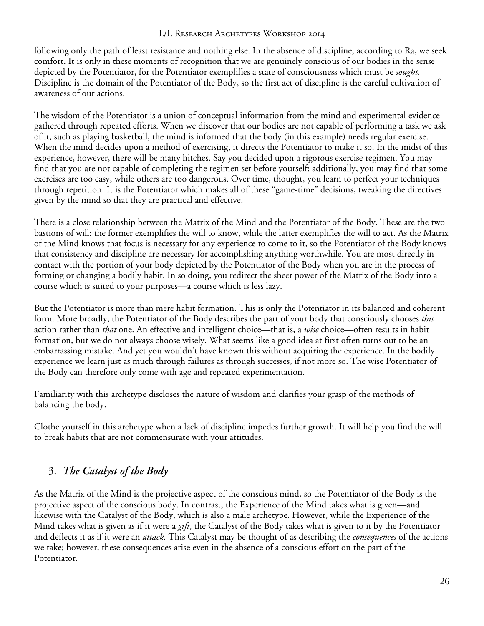following only the path of least resistance and nothing else. In the absence of discipline, according to Ra, we seek comfort. It is only in these moments of recognition that we are genuinely conscious of our bodies in the sense depicted by the Potentiator, for the Potentiator exemplifies a state of consciousness which must be *sought.* Discipline is the domain of the Potentiator of the Body, so the first act of discipline is the careful cultivation of awareness of our actions.

The wisdom of the Potentiator is a union of conceptual information from the mind and experimental evidence gathered through repeated efforts. When we discover that our bodies are not capable of performing a task we ask of it, such as playing basketball, the mind is informed that the body (in this example) needs regular exercise. When the mind decides upon a method of exercising, it directs the Potentiator to make it so. In the midst of this experience, however, there will be many hitches. Say you decided upon a rigorous exercise regimen. You may find that you are not capable of completing the regimen set before yourself; additionally, you may find that some exercises are too easy, while others are too dangerous. Over time, thought, you learn to perfect your techniques through repetition. It is the Potentiator which makes all of these "game-time" decisions, tweaking the directives given by the mind so that they are practical and effective.

There is a close relationship between the Matrix of the Mind and the Potentiator of the Body. These are the two bastions of will: the former exemplifies the will to know, while the latter exemplifies the will to act. As the Matrix of the Mind knows that focus is necessary for any experience to come to it, so the Potentiator of the Body knows that consistency and discipline are necessary for accomplishing anything worthwhile. You are most directly in contact with the portion of your body depicted by the Potentiator of the Body when you are in the process of forming or changing a bodily habit. In so doing, you redirect the sheer power of the Matrix of the Body into a course which is suited to your purposes—a course which is less lazy.

But the Potentiator is more than mere habit formation. This is only the Potentiator in its balanced and coherent form. More broadly, the Potentiator of the Body describes the part of your body that consciously chooses *this* action rather than *that* one. An effective and intelligent choice—that is, a *wise* choice—often results in habit formation, but we do not always choose wisely. What seems like a good idea at first often turns out to be an embarrassing mistake. And yet you wouldn't have known this without acquiring the experience. In the bodily experience we learn just as much through failures as through successes, if not more so. The wise Potentiator of the Body can therefore only come with age and repeated experimentation.

Familiarity with this archetype discloses the nature of wisdom and clarifies your grasp of the methods of balancing the body.

Clothe yourself in this archetype when a lack of discipline impedes further growth. It will help you find the will to break habits that are not commensurate with your attitudes.

# 3. *The Catalyst of the Body*

As the Matrix of the Mind is the projective aspect of the conscious mind, so the Potentiator of the Body is the projective aspect of the conscious body. In contrast, the Experience of the Mind takes what is given—and likewise with the Catalyst of the Body, which is also a male archetype. However, while the Experience of the Mind takes what is given as if it were a *gift*, the Catalyst of the Body takes what is given to it by the Potentiator and deflects it as if it were an *attack.* This Catalyst may be thought of as describing the *consequences* of the actions we take; however, these consequences arise even in the absence of a conscious effort on the part of the Potentiator.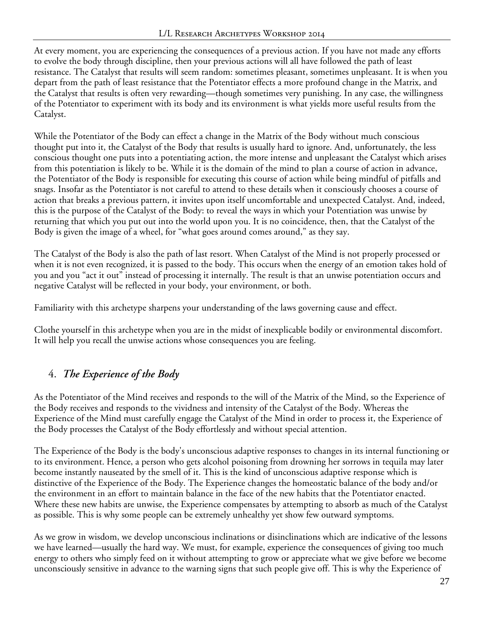At every moment, you are experiencing the consequences of a previous action. If you have not made any efforts to evolve the body through discipline, then your previous actions will all have followed the path of least resistance. The Catalyst that results will seem random: sometimes pleasant, sometimes unpleasant. It is when you depart from the path of least resistance that the Potentiator effects a more profound change in the Matrix, and the Catalyst that results is often very rewarding—though sometimes very punishing. In any case, the willingness of the Potentiator to experiment with its body and its environment is what yields more useful results from the Catalyst.

While the Potentiator of the Body can effect a change in the Matrix of the Body without much conscious thought put into it, the Catalyst of the Body that results is usually hard to ignore. And, unfortunately, the less conscious thought one puts into a potentiating action, the more intense and unpleasant the Catalyst which arises from this potentiation is likely to be. While it is the domain of the mind to plan a course of action in advance, the Potentiator of the Body is responsible for executing this course of action while being mindful of pitfalls and snags. Insofar as the Potentiator is not careful to attend to these details when it consciously chooses a course of action that breaks a previous pattern, it invites upon itself uncomfortable and unexpected Catalyst. And, indeed, this is the purpose of the Catalyst of the Body: to reveal the ways in which your Potentiation was unwise by returning that which you put out into the world upon you. It is no coincidence, then, that the Catalyst of the Body is given the image of a wheel, for "what goes around comes around," as they say.

The Catalyst of the Body is also the path of last resort. When Catalyst of the Mind is not properly processed or when it is not even recognized, it is passed to the body. This occurs when the energy of an emotion takes hold of you and you "act it out" instead of processing it internally. The result is that an unwise potentiation occurs and negative Catalyst will be reflected in your body, your environment, or both.

Familiarity with this archetype sharpens your understanding of the laws governing cause and effect.

Clothe yourself in this archetype when you are in the midst of inexplicable bodily or environmental discomfort. It will help you recall the unwise actions whose consequences you are feeling.

## 4. *The Experience of the Body*

As the Potentiator of the Mind receives and responds to the will of the Matrix of the Mind, so the Experience of the Body receives and responds to the vividness and intensity of the Catalyst of the Body. Whereas the Experience of the Mind must carefully engage the Catalyst of the Mind in order to process it, the Experience of the Body processes the Catalyst of the Body effortlessly and without special attention.

The Experience of the Body is the body's unconscious adaptive responses to changes in its internal functioning or to its environment. Hence, a person who gets alcohol poisoning from drowning her sorrows in tequila may later become instantly nauseated by the smell of it. This is the kind of unconscious adaptive response which is distinctive of the Experience of the Body. The Experience changes the homeostatic balance of the body and/or the environment in an effort to maintain balance in the face of the new habits that the Potentiator enacted. Where these new habits are unwise, the Experience compensates by attempting to absorb as much of the Catalyst as possible. This is why some people can be extremely unhealthy yet show few outward symptoms.

As we grow in wisdom, we develop unconscious inclinations or disinclinations which are indicative of the lessons we have learned—usually the hard way. We must, for example, experience the consequences of giving too much energy to others who simply feed on it without attempting to grow or appreciate what we give before we become unconsciously sensitive in advance to the warning signs that such people give off. This is why the Experience of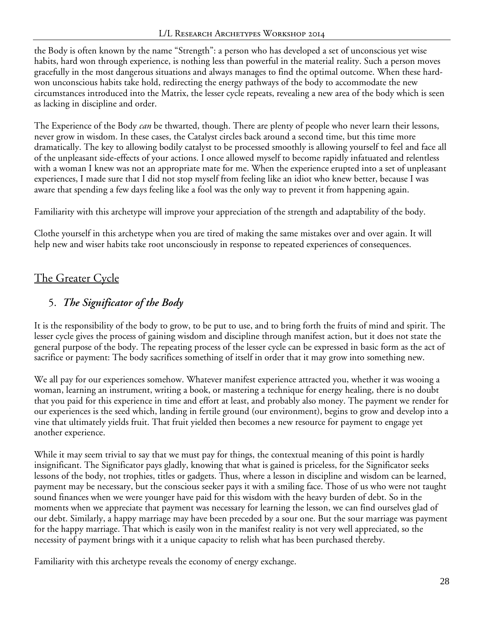the Body is often known by the name "Strength": a person who has developed a set of unconscious yet wise habits, hard won through experience, is nothing less than powerful in the material reality. Such a person moves gracefully in the most dangerous situations and always manages to find the optimal outcome. When these hardwon unconscious habits take hold, redirecting the energy pathways of the body to accommodate the new circumstances introduced into the Matrix, the lesser cycle repeats, revealing a new area of the body which is seen as lacking in discipline and order.

The Experience of the Body *can* be thwarted, though. There are plenty of people who never learn their lessons, never grow in wisdom. In these cases, the Catalyst circles back around a second time, but this time more dramatically. The key to allowing bodily catalyst to be processed smoothly is allowing yourself to feel and face all of the unpleasant side-effects of your actions. I once allowed myself to become rapidly infatuated and relentless with a woman I knew was not an appropriate mate for me. When the experience erupted into a set of unpleasant experiences, I made sure that I did not stop myself from feeling like an idiot who knew better, because I was aware that spending a few days feeling like a fool was the only way to prevent it from happening again.

Familiarity with this archetype will improve your appreciation of the strength and adaptability of the body.

Clothe yourself in this archetype when you are tired of making the same mistakes over and over again. It will help new and wiser habits take root unconsciously in response to repeated experiences of consequences.

# The Greater Cycle

## 5. *The Significator of the Body*

It is the responsibility of the body to grow, to be put to use, and to bring forth the fruits of mind and spirit. The lesser cycle gives the process of gaining wisdom and discipline through manifest action, but it does not state the general purpose of the body. The repeating process of the lesser cycle can be expressed in basic form as the act of sacrifice or payment: The body sacrifices something of itself in order that it may grow into something new.

We all pay for our experiences somehow. Whatever manifest experience attracted you, whether it was wooing a woman, learning an instrument, writing a book, or mastering a technique for energy healing, there is no doubt that you paid for this experience in time and effort at least, and probably also money. The payment we render for our experiences is the seed which, landing in fertile ground (our environment), begins to grow and develop into a vine that ultimately yields fruit. That fruit yielded then becomes a new resource for payment to engage yet another experience.

While it may seem trivial to say that we must pay for things, the contextual meaning of this point is hardly insignificant. The Significator pays gladly, knowing that what is gained is priceless, for the Significator seeks lessons of the body, not trophies, titles or gadgets. Thus, where a lesson in discipline and wisdom can be learned, payment may be necessary, but the conscious seeker pays it with a smiling face. Those of us who were not taught sound finances when we were younger have paid for this wisdom with the heavy burden of debt. So in the moments when we appreciate that payment was necessary for learning the lesson, we can find ourselves glad of our debt. Similarly, a happy marriage may have been preceded by a sour one. But the sour marriage was payment for the happy marriage. That which is easily won in the manifest reality is not very well appreciated, so the necessity of payment brings with it a unique capacity to relish what has been purchased thereby.

Familiarity with this archetype reveals the economy of energy exchange.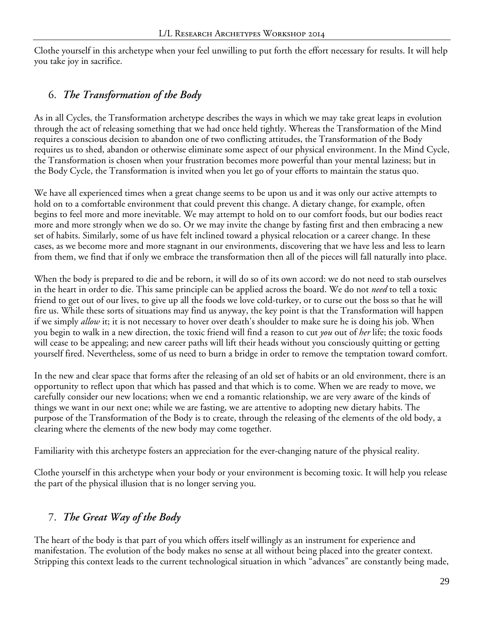Clothe yourself in this archetype when your feel unwilling to put forth the effort necessary for results. It will help you take joy in sacrifice.

#### 6. *The Transformation of the Body*

As in all Cycles, the Transformation archetype describes the ways in which we may take great leaps in evolution through the act of releasing something that we had once held tightly. Whereas the Transformation of the Mind requires a conscious decision to abandon one of two conflicting attitudes, the Transformation of the Body requires us to shed, abandon or otherwise eliminate some aspect of our physical environment. In the Mind Cycle, the Transformation is chosen when your frustration becomes more powerful than your mental laziness; but in the Body Cycle, the Transformation is invited when you let go of your efforts to maintain the status quo.

We have all experienced times when a great change seems to be upon us and it was only our active attempts to hold on to a comfortable environment that could prevent this change. A dietary change, for example, often begins to feel more and more inevitable. We may attempt to hold on to our comfort foods, but our bodies react more and more strongly when we do so. Or we may invite the change by fasting first and then embracing a new set of habits. Similarly, some of us have felt inclined toward a physical relocation or a career change. In these cases, as we become more and more stagnant in our environments, discovering that we have less and less to learn from them, we find that if only we embrace the transformation then all of the pieces will fall naturally into place.

When the body is prepared to die and be reborn, it will do so of its own accord: we do not need to stab ourselves in the heart in order to die. This same principle can be applied across the board. We do not *need* to tell a toxic friend to get out of our lives, to give up all the foods we love cold-turkey, or to curse out the boss so that he will fire us. While these sorts of situations may find us anyway, the key point is that the Transformation will happen if we simply *allow* it; it is not necessary to hover over death's shoulder to make sure he is doing his job. When you begin to walk in a new direction, the toxic friend will find a reason to cut *you* out of *her* life; the toxic foods will cease to be appealing; and new career paths will lift their heads without you consciously quitting or getting yourself fired. Nevertheless, some of us need to burn a bridge in order to remove the temptation toward comfort.

In the new and clear space that forms after the releasing of an old set of habits or an old environment, there is an opportunity to reflect upon that which has passed and that which is to come. When we are ready to move, we carefully consider our new locations; when we end a romantic relationship, we are very aware of the kinds of things we want in our next one; while we are fasting, we are attentive to adopting new dietary habits. The purpose of the Transformation of the Body is to create, through the releasing of the elements of the old body, a clearing where the elements of the new body may come together.

Familiarity with this archetype fosters an appreciation for the ever-changing nature of the physical reality.

Clothe yourself in this archetype when your body or your environment is becoming toxic. It will help you release the part of the physical illusion that is no longer serving you.

#### 7. *The Great Way of the Body*

The heart of the body is that part of you which offers itself willingly as an instrument for experience and manifestation. The evolution of the body makes no sense at all without being placed into the greater context. Stripping this context leads to the current technological situation in which "advances" are constantly being made,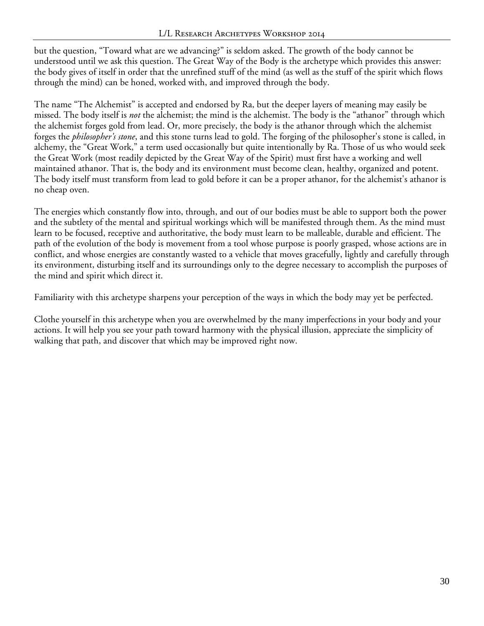but the question, "Toward what are we advancing?" is seldom asked. The growth of the body cannot be understood until we ask this question. The Great Way of the Body is the archetype which provides this answer: the body gives of itself in order that the unrefined stuff of the mind (as well as the stuff of the spirit which flows through the mind) can be honed, worked with, and improved through the body.

The name "The Alchemist" is accepted and endorsed by Ra, but the deeper layers of meaning may easily be missed. The body itself is *not* the alchemist; the mind is the alchemist. The body is the "athanor" through which the alchemist forges gold from lead. Or, more precisely, the body is the athanor through which the alchemist forges the *philosopher's stone*, and this stone turns lead to gold. The forging of the philosopher's stone is called, in alchemy, the "Great Work," a term used occasionally but quite intentionally by Ra. Those of us who would seek the Great Work (most readily depicted by the Great Way of the Spirit) must first have a working and well maintained athanor. That is, the body and its environment must become clean, healthy, organized and potent. The body itself must transform from lead to gold before it can be a proper athanor, for the alchemist's athanor is no cheap oven.

The energies which constantly flow into, through, and out of our bodies must be able to support both the power and the subtlety of the mental and spiritual workings which will be manifested through them. As the mind must learn to be focused, receptive and authoritative, the body must learn to be malleable, durable and efficient. The path of the evolution of the body is movement from a tool whose purpose is poorly grasped, whose actions are in conflict, and whose energies are constantly wasted to a vehicle that moves gracefully, lightly and carefully through its environment, disturbing itself and its surroundings only to the degree necessary to accomplish the purposes of the mind and spirit which direct it.

Familiarity with this archetype sharpens your perception of the ways in which the body may yet be perfected.

Clothe yourself in this archetype when you are overwhelmed by the many imperfections in your body and your actions. It will help you see your path toward harmony with the physical illusion, appreciate the simplicity of walking that path, and discover that which may be improved right now.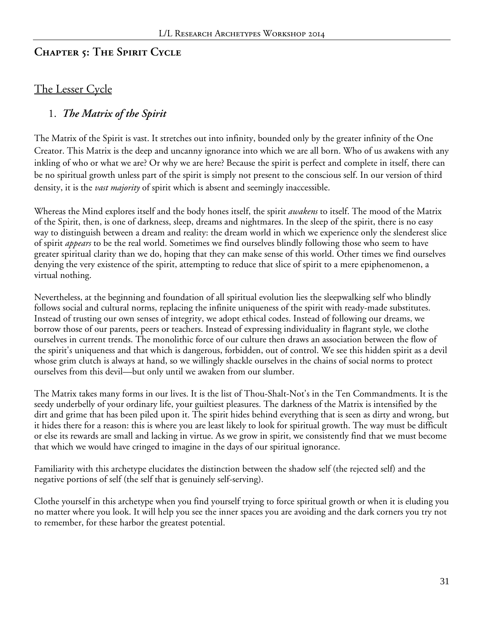#### **Chapter 5: The Spirit Cycle**

#### The Lesser Cycle

#### 1. *The Matrix of the Spirit*

The Matrix of the Spirit is vast. It stretches out into infinity, bounded only by the greater infinity of the One Creator. This Matrix is the deep and uncanny ignorance into which we are all born. Who of us awakens with any inkling of who or what we are? Or why we are here? Because the spirit is perfect and complete in itself, there can be no spiritual growth unless part of the spirit is simply not present to the conscious self. In our version of third density, it is the *vast majority* of spirit which is absent and seemingly inaccessible.

Whereas the Mind explores itself and the body hones itself, the spirit *awakens* to itself. The mood of the Matrix of the Spirit, then, is one of darkness, sleep, dreams and nightmares. In the sleep of the spirit, there is no easy way to distinguish between a dream and reality: the dream world in which we experience only the slenderest slice of spirit *appears* to be the real world. Sometimes we find ourselves blindly following those who seem to have greater spiritual clarity than we do, hoping that they can make sense of this world. Other times we find ourselves denying the very existence of the spirit, attempting to reduce that slice of spirit to a mere epiphenomenon, a virtual nothing.

Nevertheless, at the beginning and foundation of all spiritual evolution lies the sleepwalking self who blindly follows social and cultural norms, replacing the infinite uniqueness of the spirit with ready-made substitutes. Instead of trusting our own senses of integrity, we adopt ethical codes. Instead of following our dreams, we borrow those of our parents, peers or teachers. Instead of expressing individuality in flagrant style, we clothe ourselves in current trends. The monolithic force of our culture then draws an association between the flow of the spirit's uniqueness and that which is dangerous, forbidden, out of control. We see this hidden spirit as a devil whose grim clutch is always at hand, so we willingly shackle ourselves in the chains of social norms to protect ourselves from this devil—but only until we awaken from our slumber.

The Matrix takes many forms in our lives. It is the list of Thou-Shalt-Not's in the Ten Commandments. It is the seedy underbelly of your ordinary life, your guiltiest pleasures. The darkness of the Matrix is intensified by the dirt and grime that has been piled upon it. The spirit hides behind everything that is seen as dirty and wrong, but it hides there for a reason: this is where you are least likely to look for spiritual growth. The way must be difficult or else its rewards are small and lacking in virtue. As we grow in spirit, we consistently find that we must become that which we would have cringed to imagine in the days of our spiritual ignorance.

Familiarity with this archetype elucidates the distinction between the shadow self (the rejected self) and the negative portions of self (the self that is genuinely self-serving).

Clothe yourself in this archetype when you find yourself trying to force spiritual growth or when it is eluding you no matter where you look. It will help you see the inner spaces you are avoiding and the dark corners you try not to remember, for these harbor the greatest potential.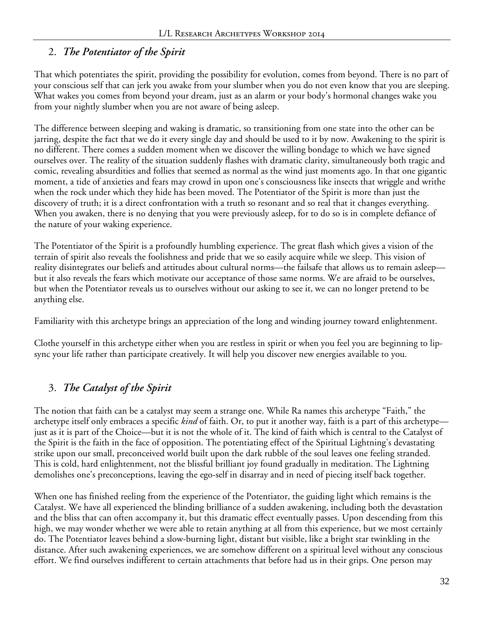#### 2. *The Potentiator of the Spirit*

That which potentiates the spirit, providing the possibility for evolution, comes from beyond. There is no part of your conscious self that can jerk you awake from your slumber when you do not even know that you are sleeping. What wakes you comes from beyond your dream, just as an alarm or your body's hormonal changes wake you from your nightly slumber when you are not aware of being asleep.

The difference between sleeping and waking is dramatic, so transitioning from one state into the other can be jarring, despite the fact that we do it every single day and should be used to it by now. Awakening to the spirit is no different. There comes a sudden moment when we discover the willing bondage to which we have signed ourselves over. The reality of the situation suddenly flashes with dramatic clarity, simultaneously both tragic and comic, revealing absurdities and follies that seemed as normal as the wind just moments ago. In that one gigantic moment, a tide of anxieties and fears may crowd in upon one's consciousness like insects that wriggle and writhe when the rock under which they hide has been moved. The Potentiator of the Spirit is more than just the discovery of truth; it is a direct confrontation with a truth so resonant and so real that it changes everything. When you awaken, there is no denying that you were previously asleep, for to do so is in complete defiance of the nature of your waking experience.

The Potentiator of the Spirit is a profoundly humbling experience. The great flash which gives a vision of the terrain of spirit also reveals the foolishness and pride that we so easily acquire while we sleep. This vision of reality disintegrates our beliefs and attitudes about cultural norms—the failsafe that allows us to remain asleep but it also reveals the fears which motivate our acceptance of those same norms. We are afraid to be ourselves, but when the Potentiator reveals us to ourselves without our asking to see it, we can no longer pretend to be anything else.

Familiarity with this archetype brings an appreciation of the long and winding journey toward enlightenment.

Clothe yourself in this archetype either when you are restless in spirit or when you feel you are beginning to lipsync your life rather than participate creatively. It will help you discover new energies available to you.

## 3. *The Catalyst of the Spirit*

The notion that faith can be a catalyst may seem a strange one. While Ra names this archetype "Faith," the archetype itself only embraces a specific *kind* of faith. Or, to put it another way, faith is a part of this archetype just as it is part of the Choice—but it is not the whole of it. The kind of faith which is central to the Catalyst of the Spirit is the faith in the face of opposition. The potentiating effect of the Spiritual Lightning's devastating strike upon our small, preconceived world built upon the dark rubble of the soul leaves one feeling stranded. This is cold, hard enlightenment, not the blissful brilliant joy found gradually in meditation. The Lightning demolishes one's preconceptions, leaving the ego-self in disarray and in need of piecing itself back together.

When one has finished reeling from the experience of the Potentiator, the guiding light which remains is the Catalyst. We have all experienced the blinding brilliance of a sudden awakening, including both the devastation and the bliss that can often accompany it, but this dramatic effect eventually passes. Upon descending from this high, we may wonder whether we were able to retain anything at all from this experience, but we most certainly do. The Potentiator leaves behind a slow-burning light, distant but visible, like a bright star twinkling in the distance. After such awakening experiences, we are somehow different on a spiritual level without any conscious effort. We find ourselves indifferent to certain attachments that before had us in their grips. One person may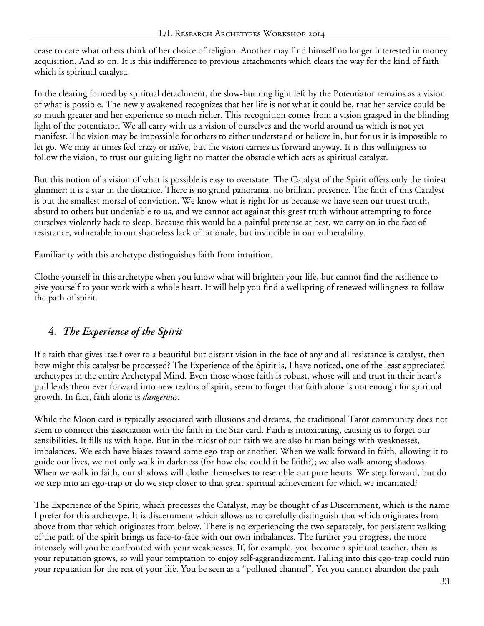cease to care what others think of her choice of religion. Another may find himself no longer interested in money acquisition. And so on. It is this indifference to previous attachments which clears the way for the kind of faith which is spiritual catalyst.

In the clearing formed by spiritual detachment, the slow-burning light left by the Potentiator remains as a vision of what is possible. The newly awakened recognizes that her life is not what it could be, that her service could be so much greater and her experience so much richer. This recognition comes from a vision grasped in the blinding light of the potentiator. We all carry with us a vision of ourselves and the world around us which is not yet manifest. The vision may be impossible for others to either understand or believe in, but for us it is impossible to let go. We may at times feel crazy or naïve, but the vision carries us forward anyway. It is this willingness to follow the vision, to trust our guiding light no matter the obstacle which acts as spiritual catalyst.

But this notion of a vision of what is possible is easy to overstate. The Catalyst of the Spirit offers only the tiniest glimmer: it is a star in the distance. There is no grand panorama, no brilliant presence. The faith of this Catalyst is but the smallest morsel of conviction. We know what is right for us because we have seen our truest truth, absurd to others but undeniable to us, and we cannot act against this great truth without attempting to force ourselves violently back to sleep. Because this would be a painful pretense at best, we carry on in the face of resistance, vulnerable in our shameless lack of rationale, but invincible in our vulnerability.

Familiarity with this archetype distinguishes faith from intuition.

Clothe yourself in this archetype when you know what will brighten your life, but cannot find the resilience to give yourself to your work with a whole heart. It will help you find a wellspring of renewed willingness to follow the path of spirit.

## 4. *The Experience of the Spirit*

If a faith that gives itself over to a beautiful but distant vision in the face of any and all resistance is catalyst, then how might this catalyst be processed? The Experience of the Spirit is, I have noticed, one of the least appreciated archetypes in the entire Archetypal Mind. Even those whose faith is robust, whose will and trust in their heart's pull leads them ever forward into new realms of spirit, seem to forget that faith alone is not enough for spiritual growth. In fact, faith alone is *dangerous*.

While the Moon card is typically associated with illusions and dreams, the traditional Tarot community does not seem to connect this association with the faith in the Star card. Faith is intoxicating, causing us to forget our sensibilities. It fills us with hope. But in the midst of our faith we are also human beings with weaknesses, imbalances. We each have biases toward some ego-trap or another. When we walk forward in faith, allowing it to guide our lives, we not only walk in darkness (for how else could it be faith?); we also walk among shadows. When we walk in faith, our shadows will clothe themselves to resemble our pure hearts. We step forward, but do we step into an ego-trap or do we step closer to that great spiritual achievement for which we incarnated?

The Experience of the Spirit, which processes the Catalyst, may be thought of as Discernment, which is the name I prefer for this archetype. It is discernment which allows us to carefully distinguish that which originates from above from that which originates from below. There is no experiencing the two separately, for persistent walking of the path of the spirit brings us face-to-face with our own imbalances. The further you progress, the more intensely will you be confronted with your weaknesses. If, for example, you become a spiritual teacher, then as your reputation grows, so will your temptation to enjoy self-aggrandizement. Falling into this ego-trap could ruin your reputation for the rest of your life. You be seen as a "polluted channel". Yet you cannot abandon the path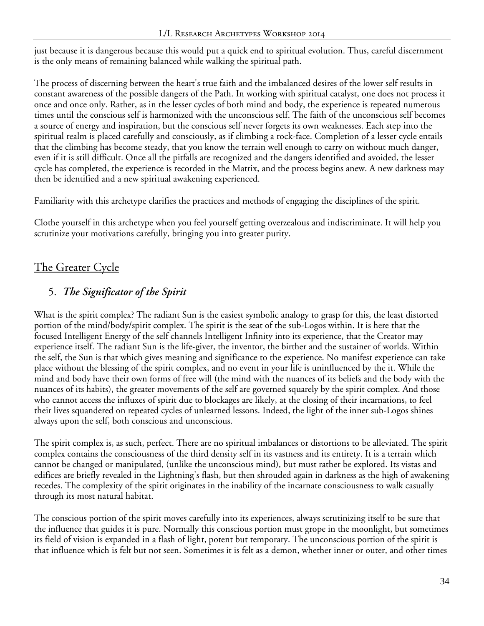just because it is dangerous because this would put a quick end to spiritual evolution. Thus, careful discernment is the only means of remaining balanced while walking the spiritual path.

The process of discerning between the heart's true faith and the imbalanced desires of the lower self results in constant awareness of the possible dangers of the Path. In working with spiritual catalyst, one does not process it once and once only. Rather, as in the lesser cycles of both mind and body, the experience is repeated numerous times until the conscious self is harmonized with the unconscious self. The faith of the unconscious self becomes a source of energy and inspiration, but the conscious self never forgets its own weaknesses. Each step into the spiritual realm is placed carefully and consciously, as if climbing a rock-face. Completion of a lesser cycle entails that the climbing has become steady, that you know the terrain well enough to carry on without much danger, even if it is still difficult. Once all the pitfalls are recognized and the dangers identified and avoided, the lesser cycle has completed, the experience is recorded in the Matrix, and the process begins anew. A new darkness may then be identified and a new spiritual awakening experienced.

Familiarity with this archetype clarifies the practices and methods of engaging the disciplines of the spirit.

Clothe yourself in this archetype when you feel yourself getting overzealous and indiscriminate. It will help you scrutinize your motivations carefully, bringing you into greater purity.

# The Greater Cycle

#### 5. *The Significator of the Spirit*

What is the spirit complex? The radiant Sun is the easiest symbolic analogy to grasp for this, the least distorted portion of the mind/body/spirit complex. The spirit is the seat of the sub-Logos within. It is here that the focused Intelligent Energy of the self channels Intelligent Infinity into its experience, that the Creator may experience itself. The radiant Sun is the life-giver, the inventor, the birther and the sustainer of worlds. Within the self, the Sun is that which gives meaning and significance to the experience. No manifest experience can take place without the blessing of the spirit complex, and no event in your life is uninfluenced by the it. While the mind and body have their own forms of free will (the mind with the nuances of its beliefs and the body with the nuances of its habits), the greater movements of the self are governed squarely by the spirit complex. And those who cannot access the influxes of spirit due to blockages are likely, at the closing of their incarnations, to feel their lives squandered on repeated cycles of unlearned lessons. Indeed, the light of the inner sub-Logos shines always upon the self, both conscious and unconscious.

The spirit complex is, as such, perfect. There are no spiritual imbalances or distortions to be alleviated. The spirit complex contains the consciousness of the third density self in its vastness and its entirety. It is a terrain which cannot be changed or manipulated, (unlike the unconscious mind), but must rather be explored. Its vistas and edifices are briefly revealed in the Lightning's flash, but then shrouded again in darkness as the high of awakening recedes. The complexity of the spirit originates in the inability of the incarnate consciousness to walk casually through its most natural habitat.

The conscious portion of the spirit moves carefully into its experiences, always scrutinizing itself to be sure that the influence that guides it is pure. Normally this conscious portion must grope in the moonlight, but sometimes its field of vision is expanded in a flash of light, potent but temporary. The unconscious portion of the spirit is that influence which is felt but not seen. Sometimes it is felt as a demon, whether inner or outer, and other times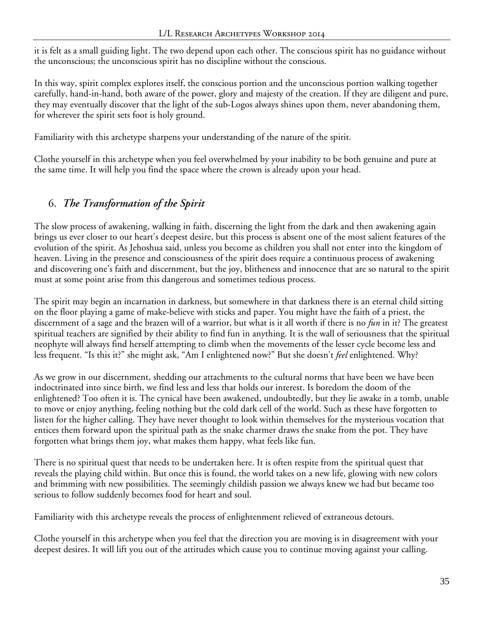it is felt as a small guiding light. The two depend upon each other. The conscious spirit has no guidance without the unconscious; the unconscious spirit has no discipline without the conscious.

In this way, spirit complex explores itself, the conscious portion and the unconscious portion walking together carefully, hand-in-hand, both aware of the power, glory and majesty of the creation. If they are diligent and pure, they may eventually discover that the light of the sub-Logos always shines upon them, never abandoning them, for wherever the spirit sets foot is holy ground.

Familiarity with this archetype sharpens your understanding of the nature of the spirit.

Clothe yourself in this archetype when you feel overwhelmed by your inability to be both genuine and pure at the same time. It will help you find the space where the crown is already upon your head.

# 6. *The Transformation of the Spirit*

The slow process of awakening, walking in faith, discerning the light from the dark and then awakening again brings us ever closer to our heart's deepest desire, but this process is absent one of the most salient features of the evolution of the spirit. As Jehoshua said, unless you become as children you shall not enter into the kingdom of heaven. Living in the presence and consciousness of the spirit does require a continuous process of awakening and discovering one's faith and discernment, but the joy, blitheness and innocence that are so natural to the spirit must at some point arise from this dangerous and sometimes tedious process.

The spirit may begin an incarnation in darkness, but somewhere in that darkness there is an eternal child sitting on the floor playing a game of make-believe with sticks and paper. You might have the faith of a priest, the discernment of a sage and the brazen will of a warrior, but what is it all worth if there is no *fun* in it? The greatest spiritual teachers are signified by their ability to find fun in anything. It is the wall of seriousness that the spiritual neophyte will always find herself attempting to climb when the movements of the lesser cycle become less and less frequent. "Is this it?" she might ask, "Am I enlightened now?" But she doesn't *feel* enlightened. Why?

As we grow in our discernment, shedding our attachments to the cultural norms that have been we have been indoctrinated into since birth, we find less and less that holds our interest. Is boredom the doom of the enlightened? Too often it is. The cynical have been awakened, undoubtedly, but they lie awake in a tomb, unable to move or enjoy anything, feeling nothing but the cold dark cell of the world. Such as these have forgotten to listen for the higher calling. They have never thought to look within themselves for the mysterious vocation that entices them forward upon the spiritual path as the snake charmer draws the snake from the pot. They have forgotten what brings them joy, what makes them happy, what feels like fun.

There is no spiritual quest that needs to be undertaken here. It is often respite from the spiritual quest that reveals the playing child within. But once this is found, the world takes on a new life, glowing with new colors and brimming with new possibilities. The seemingly childish passion we always knew we had but became too serious to follow suddenly becomes food for heart and soul.

Familiarity with this archetype reveals the process of enlightenment relieved of extraneous detours.

Clothe yourself in this archetype when you feel that the direction you are moving is in disagreement with your deepest desires. It will lift you out of the attitudes which cause you to continue moving against your calling.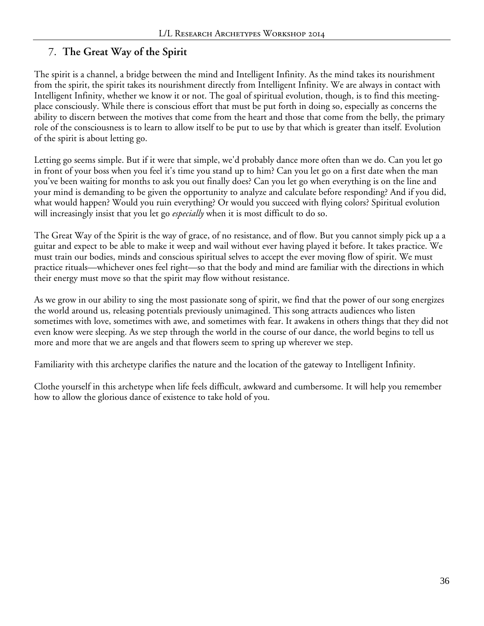# 7. **The Great Way of the Spirit**

The spirit is a channel, a bridge between the mind and Intelligent Infinity. As the mind takes its nourishment from the spirit, the spirit takes its nourishment directly from Intelligent Infinity. We are always in contact with Intelligent Infinity, whether we know it or not. The goal of spiritual evolution, though, is to find this meetingplace consciously. While there is conscious effort that must be put forth in doing so, especially as concerns the ability to discern between the motives that come from the heart and those that come from the belly, the primary role of the consciousness is to learn to allow itself to be put to use by that which is greater than itself. Evolution of the spirit is about letting go.

Letting go seems simple. But if it were that simple, we'd probably dance more often than we do. Can you let go in front of your boss when you feel it's time you stand up to him? Can you let go on a first date when the man you've been waiting for months to ask you out finally does? Can you let go when everything is on the line and your mind is demanding to be given the opportunity to analyze and calculate before responding? And if you did, what would happen? Would you ruin everything? Or would you succeed with flying colors? Spiritual evolution will increasingly insist that you let go *especially* when it is most difficult to do so.

The Great Way of the Spirit is the way of grace, of no resistance, and of flow. But you cannot simply pick up a a guitar and expect to be able to make it weep and wail without ever having played it before. It takes practice. We must train our bodies, minds and conscious spiritual selves to accept the ever moving flow of spirit. We must practice rituals—whichever ones feel right—so that the body and mind are familiar with the directions in which their energy must move so that the spirit may flow without resistance.

As we grow in our ability to sing the most passionate song of spirit, we find that the power of our song energizes the world around us, releasing potentials previously unimagined. This song attracts audiences who listen sometimes with love, sometimes with awe, and sometimes with fear. It awakens in others things that they did not even know were sleeping. As we step through the world in the course of our dance, the world begins to tell us more and more that we are angels and that flowers seem to spring up wherever we step.

Familiarity with this archetype clarifies the nature and the location of the gateway to Intelligent Infinity.

Clothe yourself in this archetype when life feels difficult, awkward and cumbersome. It will help you remember how to allow the glorious dance of existence to take hold of you.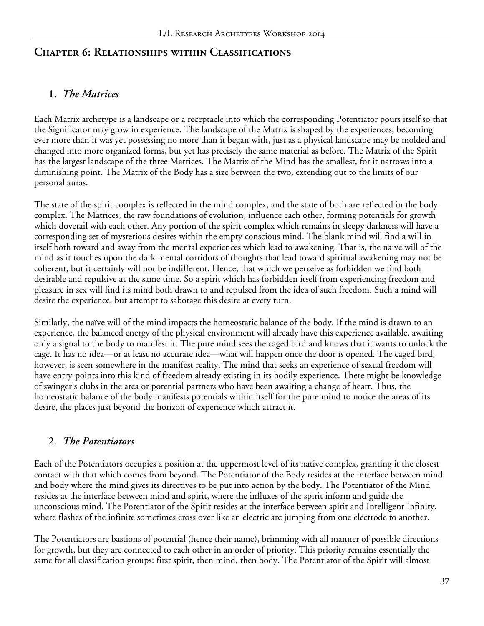### **Chapter 6: Relationships within Classifications**

### **1.** *The Matrices*

Each Matrix archetype is a landscape or a receptacle into which the corresponding Potentiator pours itself so that the Significator may grow in experience. The landscape of the Matrix is shaped by the experiences, becoming ever more than it was yet possessing no more than it began with, just as a physical landscape may be molded and changed into more organized forms, but yet has precisely the same material as before. The Matrix of the Spirit has the largest landscape of the three Matrices. The Matrix of the Mind has the smallest, for it narrows into a diminishing point. The Matrix of the Body has a size between the two, extending out to the limits of our personal auras.

The state of the spirit complex is reflected in the mind complex, and the state of both are reflected in the body complex. The Matrices, the raw foundations of evolution, influence each other, forming potentials for growth which dovetail with each other. Any portion of the spirit complex which remains in sleepy darkness will have a corresponding set of mysterious desires within the empty conscious mind. The blank mind will find a will in itself both toward and away from the mental experiences which lead to awakening. That is, the naïve will of the mind as it touches upon the dark mental corridors of thoughts that lead toward spiritual awakening may not be coherent, but it certainly will not be indifferent. Hence, that which we perceive as forbidden we find both desirable and repulsive at the same time. So a spirit which has forbidden itself from experiencing freedom and pleasure in sex will find its mind both drawn to and repulsed from the idea of such freedom. Such a mind will desire the experience, but attempt to sabotage this desire at every turn.

Similarly, the naïve will of the mind impacts the homeostatic balance of the body. If the mind is drawn to an experience, the balanced energy of the physical environment will already have this experience available, awaiting only a signal to the body to manifest it. The pure mind sees the caged bird and knows that it wants to unlock the cage. It has no idea—or at least no accurate idea—what will happen once the door is opened. The caged bird, however, is seen somewhere in the manifest reality. The mind that seeks an experience of sexual freedom will have entry-points into this kind of freedom already existing in its bodily experience. There might be knowledge of swinger's clubs in the area or potential partners who have been awaiting a change of heart. Thus, the homeostatic balance of the body manifests potentials within itself for the pure mind to notice the areas of its desire, the places just beyond the horizon of experience which attract it.

### 2. *The Potentiators*

Each of the Potentiators occupies a position at the uppermost level of its native complex, granting it the closest contact with that which comes from beyond. The Potentiator of the Body resides at the interface between mind and body where the mind gives its directives to be put into action by the body. The Potentiator of the Mind resides at the interface between mind and spirit, where the influxes of the spirit inform and guide the unconscious mind. The Potentiator of the Spirit resides at the interface between spirit and Intelligent Infinity, where flashes of the infinite sometimes cross over like an electric arc jumping from one electrode to another.

The Potentiators are bastions of potential (hence their name), brimming with all manner of possible directions for growth, but they are connected to each other in an order of priority. This priority remains essentially the same for all classification groups: first spirit, then mind, then body. The Potentiator of the Spirit will almost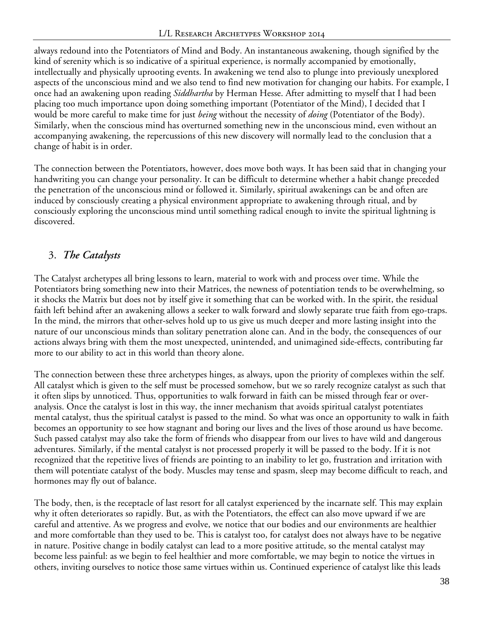always redound into the Potentiators of Mind and Body. An instantaneous awakening, though signified by the kind of serenity which is so indicative of a spiritual experience, is normally accompanied by emotionally, intellectually and physically uprooting events. In awakening we tend also to plunge into previously unexplored aspects of the unconscious mind and we also tend to find new motivation for changing our habits. For example, I once had an awakening upon reading *Siddhartha* by Herman Hesse. After admitting to myself that I had been placing too much importance upon doing something important (Potentiator of the Mind), I decided that I would be more careful to make time for just *being* without the necessity of *doing* (Potentiator of the Body). Similarly, when the conscious mind has overturned something new in the unconscious mind, even without an accompanying awakening, the repercussions of this new discovery will normally lead to the conclusion that a change of habit is in order.

The connection between the Potentiators, however, does move both ways. It has been said that in changing your handwriting you can change your personality. It can be difficult to determine whether a habit change preceded the penetration of the unconscious mind or followed it. Similarly, spiritual awakenings can be and often are induced by consciously creating a physical environment appropriate to awakening through ritual, and by consciously exploring the unconscious mind until something radical enough to invite the spiritual lightning is discovered.

# 3. *The Catalysts*

The Catalyst archetypes all bring lessons to learn, material to work with and process over time. While the Potentiators bring something new into their Matrices, the newness of potentiation tends to be overwhelming, so it shocks the Matrix but does not by itself give it something that can be worked with. In the spirit, the residual faith left behind after an awakening allows a seeker to walk forward and slowly separate true faith from ego-traps. In the mind, the mirrors that other-selves hold up to us give us much deeper and more lasting insight into the nature of our unconscious minds than solitary penetration alone can. And in the body, the consequences of our actions always bring with them the most unexpected, unintended, and unimagined side-effects, contributing far more to our ability to act in this world than theory alone.

The connection between these three archetypes hinges, as always, upon the priority of complexes within the self. All catalyst which is given to the self must be processed somehow, but we so rarely recognize catalyst as such that it often slips by unnoticed. Thus, opportunities to walk forward in faith can be missed through fear or overanalysis. Once the catalyst is lost in this way, the inner mechanism that avoids spiritual catalyst potentiates mental catalyst, thus the spiritual catalyst is passed to the mind. So what was once an opportunity to walk in faith becomes an opportunity to see how stagnant and boring our lives and the lives of those around us have become. Such passed catalyst may also take the form of friends who disappear from our lives to have wild and dangerous adventures. Similarly, if the mental catalyst is not processed properly it will be passed to the body. If it is not recognized that the repetitive lives of friends are pointing to an inability to let go, frustration and irritation with them will potentiate catalyst of the body. Muscles may tense and spasm, sleep may become difficult to reach, and hormones may fly out of balance.

The body, then, is the receptacle of last resort for all catalyst experienced by the incarnate self. This may explain why it often deteriorates so rapidly. But, as with the Potentiators, the effect can also move upward if we are careful and attentive. As we progress and evolve, we notice that our bodies and our environments are healthier and more comfortable than they used to be. This is catalyst too, for catalyst does not always have to be negative in nature. Positive change in bodily catalyst can lead to a more positive attitude, so the mental catalyst may become less painful: as we begin to feel healthier and more comfortable, we may begin to notice the virtues in others, inviting ourselves to notice those same virtues within us. Continued experience of catalyst like this leads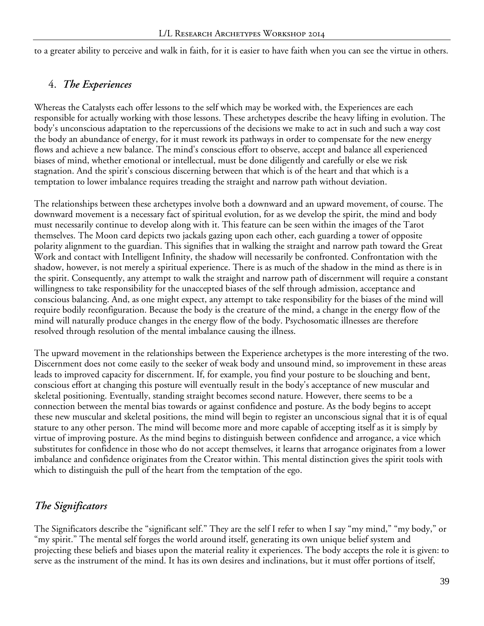to a greater ability to perceive and walk in faith, for it is easier to have faith when you can see the virtue in others.

#### 4. *The Experiences*

Whereas the Catalysts each offer lessons to the self which may be worked with, the Experiences are each responsible for actually working with those lessons. These archetypes describe the heavy lifting in evolution. The body's unconscious adaptation to the repercussions of the decisions we make to act in such and such a way cost the body an abundance of energy, for it must rework its pathways in order to compensate for the new energy flows and achieve a new balance. The mind's conscious effort to observe, accept and balance all experienced biases of mind, whether emotional or intellectual, must be done diligently and carefully or else we risk stagnation. And the spirit's conscious discerning between that which is of the heart and that which is a temptation to lower imbalance requires treading the straight and narrow path without deviation.

The relationships between these archetypes involve both a downward and an upward movement, of course. The downward movement is a necessary fact of spiritual evolution, for as we develop the spirit, the mind and body must necessarily continue to develop along with it. This feature can be seen within the images of the Tarot themselves. The Moon card depicts two jackals gazing upon each other, each guarding a tower of opposite polarity alignment to the guardian. This signifies that in walking the straight and narrow path toward the Great Work and contact with Intelligent Infinity, the shadow will necessarily be confronted. Confrontation with the shadow, however, is not merely a spiritual experience. There is as much of the shadow in the mind as there is in the spirit. Consequently, any attempt to walk the straight and narrow path of discernment will require a constant willingness to take responsibility for the unaccepted biases of the self through admission, acceptance and conscious balancing. And, as one might expect, any attempt to take responsibility for the biases of the mind will require bodily reconfiguration. Because the body is the creature of the mind, a change in the energy flow of the mind will naturally produce changes in the energy flow of the body. Psychosomatic illnesses are therefore resolved through resolution of the mental imbalance causing the illness.

The upward movement in the relationships between the Experience archetypes is the more interesting of the two. Discernment does not come easily to the seeker of weak body and unsound mind, so improvement in these areas leads to improved capacity for discernment. If, for example, you find your posture to be slouching and bent, conscious effort at changing this posture will eventually result in the body's acceptance of new muscular and skeletal positioning. Eventually, standing straight becomes second nature. However, there seems to be a connection between the mental bias towards or against confidence and posture. As the body begins to accept these new muscular and skeletal positions, the mind will begin to register an unconscious signal that it is of equal stature to any other person. The mind will become more and more capable of accepting itself as it is simply by virtue of improving posture. As the mind begins to distinguish between confidence and arrogance, a vice which substitutes for confidence in those who do not accept themselves, it learns that arrogance originates from a lower imbalance and confidence originates from the Creator within. This mental distinction gives the spirit tools with which to distinguish the pull of the heart from the temptation of the ego.

### *The Significators*

The Significators describe the "significant self." They are the self I refer to when I say "my mind," "my body," or "my spirit." The mental self forges the world around itself, generating its own unique belief system and projecting these beliefs and biases upon the material reality it experiences. The body accepts the role it is given: to serve as the instrument of the mind. It has its own desires and inclinations, but it must offer portions of itself,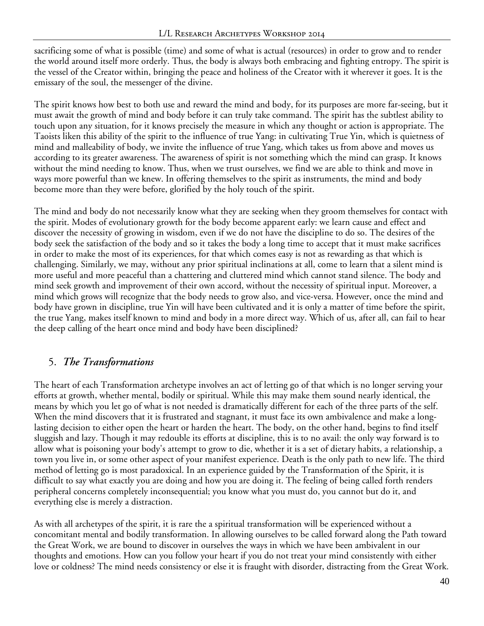sacrificing some of what is possible (time) and some of what is actual (resources) in order to grow and to render the world around itself more orderly. Thus, the body is always both embracing and fighting entropy. The spirit is the vessel of the Creator within, bringing the peace and holiness of the Creator with it wherever it goes. It is the emissary of the soul, the messenger of the divine.

The spirit knows how best to both use and reward the mind and body, for its purposes are more far-seeing, but it must await the growth of mind and body before it can truly take command. The spirit has the subtlest ability to touch upon any situation, for it knows precisely the measure in which any thought or action is appropriate. The Taoists liken this ability of the spirit to the influence of true Yang: in cultivating True Yin, which is quietness of mind and malleability of body, we invite the influence of true Yang, which takes us from above and moves us according to its greater awareness. The awareness of spirit is not something which the mind can grasp. It knows without the mind needing to know. Thus, when we trust ourselves, we find we are able to think and move in ways more powerful than we knew. In offering themselves to the spirit as instruments, the mind and body become more than they were before, glorified by the holy touch of the spirit.

The mind and body do not necessarily know what they are seeking when they groom themselves for contact with the spirit. Modes of evolutionary growth for the body become apparent early: we learn cause and effect and discover the necessity of growing in wisdom, even if we do not have the discipline to do so. The desires of the body seek the satisfaction of the body and so it takes the body a long time to accept that it must make sacrifices in order to make the most of its experiences, for that which comes easy is not as rewarding as that which is challenging. Similarly, we may, without any prior spiritual inclinations at all, come to learn that a silent mind is more useful and more peaceful than a chattering and cluttered mind which cannot stand silence. The body and mind seek growth and improvement of their own accord, without the necessity of spiritual input. Moreover, a mind which grows will recognize that the body needs to grow also, and vice-versa. However, once the mind and body have grown in discipline, true Yin will have been cultivated and it is only a matter of time before the spirit, the true Yang, makes itself known to mind and body in a more direct way. Which of us, after all, can fail to hear the deep calling of the heart once mind and body have been disciplined?

### 5. *The Transformations*

The heart of each Transformation archetype involves an act of letting go of that which is no longer serving your efforts at growth, whether mental, bodily or spiritual. While this may make them sound nearly identical, the means by which you let go of what is not needed is dramatically different for each of the three parts of the self. When the mind discovers that it is frustrated and stagnant, it must face its own ambivalence and make a longlasting decision to either open the heart or harden the heart. The body, on the other hand, begins to find itself sluggish and lazy. Though it may redouble its efforts at discipline, this is to no avail: the only way forward is to allow what is poisoning your body's attempt to grow to die, whether it is a set of dietary habits, a relationship, a town you live in, or some other aspect of your manifest experience. Death is the only path to new life. The third method of letting go is most paradoxical. In an experience guided by the Transformation of the Spirit, it is difficult to say what exactly you are doing and how you are doing it. The feeling of being called forth renders peripheral concerns completely inconsequential; you know what you must do, you cannot but do it, and everything else is merely a distraction.

As with all archetypes of the spirit, it is rare the a spiritual transformation will be experienced without a concomitant mental and bodily transformation. In allowing ourselves to be called forward along the Path toward the Great Work, we are bound to discover in ourselves the ways in which we have been ambivalent in our thoughts and emotions. How can you follow your heart if you do not treat your mind consistently with either love or coldness? The mind needs consistency or else it is fraught with disorder, distracting from the Great Work.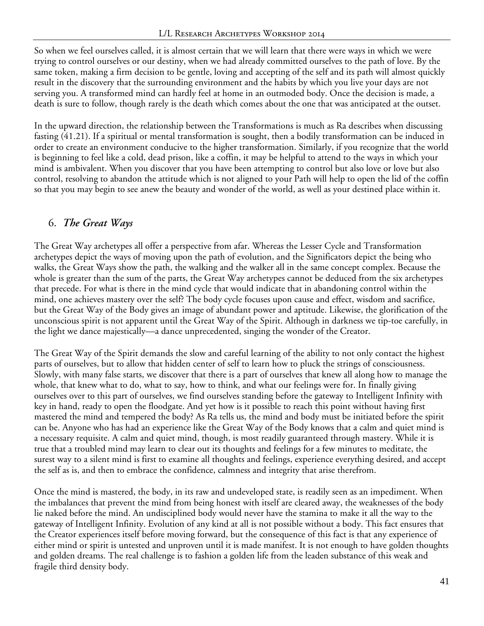So when we feel ourselves called, it is almost certain that we will learn that there were ways in which we were trying to control ourselves or our destiny, when we had already committed ourselves to the path of love. By the same token, making a firm decision to be gentle, loving and accepting of the self and its path will almost quickly result in the discovery that the surrounding environment and the habits by which you live your days are not serving you. A transformed mind can hardly feel at home in an outmoded body. Once the decision is made, a death is sure to follow, though rarely is the death which comes about the one that was anticipated at the outset.

In the upward direction, the relationship between the Transformations is much as Ra describes when discussing fasting (41.21). If a spiritual or mental transformation is sought, then a bodily transformation can be induced in order to create an environment conducive to the higher transformation. Similarly, if you recognize that the world is beginning to feel like a cold, dead prison, like a coffin, it may be helpful to attend to the ways in which your mind is ambivalent. When you discover that you have been attempting to control but also love or love but also control, resolving to abandon the attitude which is not aligned to your Path will help to open the lid of the coffin so that you may begin to see anew the beauty and wonder of the world, as well as your destined place within it.

# 6. *The Great Ways*

The Great Way archetypes all offer a perspective from afar. Whereas the Lesser Cycle and Transformation archetypes depict the ways of moving upon the path of evolution, and the Significators depict the being who walks, the Great Ways show the path, the walking and the walker all in the same concept complex. Because the whole is greater than the sum of the parts, the Great Way archetypes cannot be deduced from the six archetypes that precede. For what is there in the mind cycle that would indicate that in abandoning control within the mind, one achieves mastery over the self? The body cycle focuses upon cause and effect, wisdom and sacrifice, but the Great Way of the Body gives an image of abundant power and aptitude. Likewise, the glorification of the unconscious spirit is not apparent until the Great Way of the Spirit. Although in darkness we tip-toe carefully, in the light we dance majestically—a dance unprecedented, singing the wonder of the Creator.

The Great Way of the Spirit demands the slow and careful learning of the ability to not only contact the highest parts of ourselves, but to allow that hidden center of self to learn how to pluck the strings of consciousness. Slowly, with many false starts, we discover that there is a part of ourselves that knew all along how to manage the whole, that knew what to do, what to say, how to think, and what our feelings were for. In finally giving ourselves over to this part of ourselves, we find ourselves standing before the gateway to Intelligent Infinity with key in hand, ready to open the floodgate. And yet how is it possible to reach this point without having first mastered the mind and tempered the body? As Ra tells us, the mind and body must be initiated before the spirit can be. Anyone who has had an experience like the Great Way of the Body knows that a calm and quiet mind is a necessary requisite. A calm and quiet mind, though, is most readily guaranteed through mastery. While it is true that a troubled mind may learn to clear out its thoughts and feelings for a few minutes to meditate, the surest way to a silent mind is first to examine all thoughts and feelings, experience everything desired, and accept the self as is, and then to embrace the confidence, calmness and integrity that arise therefrom.

Once the mind is mastered, the body, in its raw and undeveloped state, is readily seen as an impediment. When the imbalances that prevent the mind from being honest with itself are cleared away, the weaknesses of the body lie naked before the mind. An undisciplined body would never have the stamina to make it all the way to the gateway of Intelligent Infinity. Evolution of any kind at all is not possible without a body. This fact ensures that the Creator experiences itself before moving forward, but the consequence of this fact is that any experience of either mind or spirit is untested and unproven until it is made manifest. It is not enough to have golden thoughts and golden dreams. The real challenge is to fashion a golden life from the leaden substance of this weak and fragile third density body.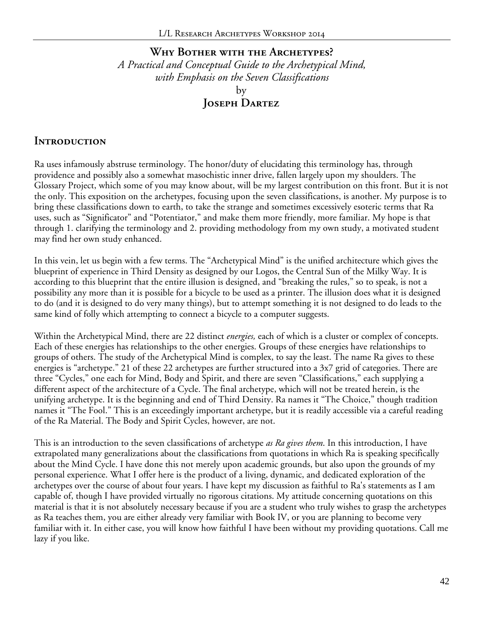### **Why Bother with the Archetypes?** *A Practical and Conceptual Guide to the Archetypical Mind, with Emphasis on the Seven Classifications* by **Joseph Dartez**

#### **Introduction**

Ra uses infamously abstruse terminology. The honor/duty of elucidating this terminology has, through providence and possibly also a somewhat masochistic inner drive, fallen largely upon my shoulders. The Glossary Project, which some of you may know about, will be my largest contribution on this front. But it is not the only. This exposition on the archetypes, focusing upon the seven classifications, is another. My purpose is to bring these classifications down to earth, to take the strange and sometimes excessively esoteric terms that Ra uses, such as "Significator" and "Potentiator," and make them more friendly, more familiar. My hope is that through 1. clarifying the terminology and 2. providing methodology from my own study, a motivated student may find her own study enhanced.

In this vein, let us begin with a few terms. The "Archetypical Mind" is the unified architecture which gives the blueprint of experience in Third Density as designed by our Logos, the Central Sun of the Milky Way. It is according to this blueprint that the entire illusion is designed, and "breaking the rules," so to speak, is not a possibility any more than it is possible for a bicycle to be used as a printer. The illusion does what it is designed to do (and it is designed to do very many things), but to attempt something it is not designed to do leads to the same kind of folly which attempting to connect a bicycle to a computer suggests.

Within the Archetypical Mind, there are 22 distinct *energies,* each of which is a cluster or complex of concepts. Each of these energies has relationships to the other energies. Groups of these energies have relationships to groups of others. The study of the Archetypical Mind is complex, to say the least. The name Ra gives to these energies is "archetype." 21 of these 22 archetypes are further structured into a 3x7 grid of categories. There are three "Cycles," one each for Mind, Body and Spirit, and there are seven "Classifications," each supplying a different aspect of the architecture of a Cycle. The final archetype, which will not be treated herein, is the unifying archetype. It is the beginning and end of Third Density. Ra names it "The Choice," though tradition names it "The Fool." This is an exceedingly important archetype, but it is readily accessible via a careful reading of the Ra Material. The Body and Spirit Cycles, however, are not.

This is an introduction to the seven classifications of archetype *as Ra gives them*. In this introduction, I have extrapolated many generalizations about the classifications from quotations in which Ra is speaking specifically about the Mind Cycle. I have done this not merely upon academic grounds, but also upon the grounds of my personal experience. What I offer here is the product of a living, dynamic, and dedicated exploration of the archetypes over the course of about four years. I have kept my discussion as faithful to Ra's statements as I am capable of, though I have provided virtually no rigorous citations. My attitude concerning quotations on this material is that it is not absolutely necessary because if you are a student who truly wishes to grasp the archetypes as Ra teaches them, you are either already very familiar with Book IV, or you are planning to become very familiar with it. In either case, you will know how faithful I have been without my providing quotations. Call me lazy if you like.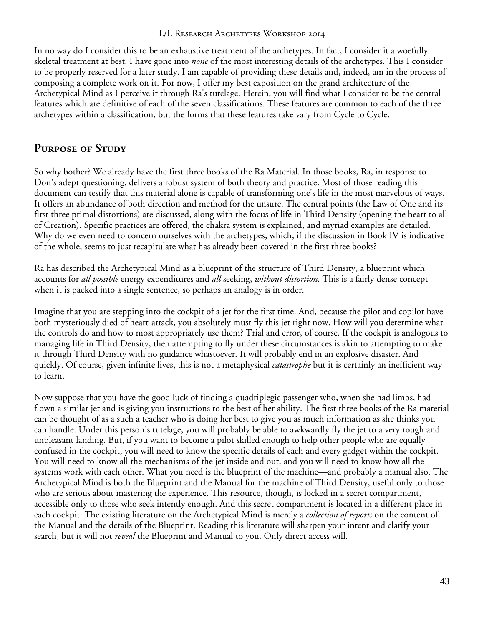In no way do I consider this to be an exhaustive treatment of the archetypes. In fact, I consider it a woefully skeletal treatment at best. I have gone into *none* of the most interesting details of the archetypes. This I consider to be properly reserved for a later study. I am capable of providing these details and, indeed, am in the process of composing a complete work on it. For now, I offer my best exposition on the grand architecture of the Archetypical Mind as I perceive it through Ra's tutelage. Herein, you will find what I consider to be the central features which are definitive of each of the seven classifications. These features are common to each of the three archetypes within a classification, but the forms that these features take vary from Cycle to Cycle.

# **Purpose of Study**

So why bother? We already have the first three books of the Ra Material. In those books, Ra, in response to Don's adept questioning, delivers a robust system of both theory and practice. Most of those reading this document can testify that this material alone is capable of transforming one's life in the most marvelous of ways. It offers an abundance of both direction and method for the unsure. The central points (the Law of One and its first three primal distortions) are discussed, along with the focus of life in Third Density (opening the heart to all of Creation). Specific practices are offered, the chakra system is explained, and myriad examples are detailed. Why do we even need to concern ourselves with the archetypes, which, if the discussion in Book IV is indicative of the whole, seems to just recapitulate what has already been covered in the first three books?

Ra has described the Archetypical Mind as a blueprint of the structure of Third Density, a blueprint which accounts for *all possible* energy expenditures and *all* seeking, *without distortion*. This is a fairly dense concept when it is packed into a single sentence, so perhaps an analogy is in order.

Imagine that you are stepping into the cockpit of a jet for the first time. And, because the pilot and copilot have both mysteriously died of heart-attack, you absolutely must fly this jet right now. How will you determine what the controls do and how to most appropriately use them? Trial and error, of course. If the cockpit is analogous to managing life in Third Density, then attempting to fly under these circumstances is akin to attempting to make it through Third Density with no guidance whastoever. It will probably end in an explosive disaster. And quickly. Of course, given infinite lives, this is not a metaphysical *catastrophe* but it is certainly an inefficient way to learn.

Now suppose that you have the good luck of finding a quadriplegic passenger who, when she had limbs, had flown a similar jet and is giving you instructions to the best of her ability. The first three books of the Ra material can be thought of as a such a teacher who is doing her best to give you as much information as she thinks you can handle. Under this person's tutelage, you will probably be able to awkwardly fly the jet to a very rough and unpleasant landing. But, if you want to become a pilot skilled enough to help other people who are equally confused in the cockpit, you will need to know the specific details of each and every gadget within the cockpit. You will need to know all the mechanisms of the jet inside and out, and you will need to know how all the systems work with each other. What you need is the blueprint of the machine—and probably a manual also. The Archetypical Mind is both the Blueprint and the Manual for the machine of Third Density, useful only to those who are serious about mastering the experience. This resource, though, is locked in a secret compartment, accessible only to those who seek intently enough. And this secret compartment is located in a different place in each cockpit. The existing literature on the Archetypical Mind is merely a *collection of reports* on the content of the Manual and the details of the Blueprint. Reading this literature will sharpen your intent and clarify your search, but it will not *reveal* the Blueprint and Manual to you. Only direct access will.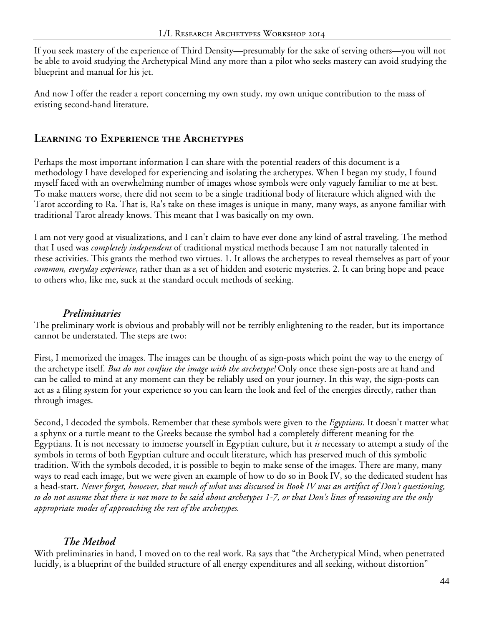If you seek mastery of the experience of Third Density—presumably for the sake of serving others—you will not be able to avoid studying the Archetypical Mind any more than a pilot who seeks mastery can avoid studying the blueprint and manual for his jet.

And now I offer the reader a report concerning my own study, my own unique contribution to the mass of existing second-hand literature.

### **Learning to Experience the Archetypes**

Perhaps the most important information I can share with the potential readers of this document is a methodology I have developed for experiencing and isolating the archetypes. When I began my study, I found myself faced with an overwhelming number of images whose symbols were only vaguely familiar to me at best. To make matters worse, there did not seem to be a single traditional body of literature which aligned with the Tarot according to Ra. That is, Ra's take on these images is unique in many, many ways, as anyone familiar with traditional Tarot already knows. This meant that I was basically on my own.

I am not very good at visualizations, and I can't claim to have ever done any kind of astral traveling. The method that I used was *completely independent* of traditional mystical methods because I am not naturally talented in these activities. This grants the method two virtues. 1. It allows the archetypes to reveal themselves as part of your *common, everyday experience*, rather than as a set of hidden and esoteric mysteries. 2. It can bring hope and peace to others who, like me, suck at the standard occult methods of seeking.

### *Preliminaries*

The preliminary work is obvious and probably will not be terribly enlightening to the reader, but its importance cannot be understated. The steps are two:

First, I memorized the images. The images can be thought of as sign-posts which point the way to the energy of the archetype itself. *But do not confuse the image with the archetype!* Only once these sign-posts are at hand and can be called to mind at any moment can they be reliably used on your journey. In this way, the sign-posts can act as a filing system for your experience so you can learn the look and feel of the energies directly, rather than through images.

Second, I decoded the symbols. Remember that these symbols were given to the *Egyptians*. It doesn't matter what a sphynx or a turtle meant to the Greeks because the symbol had a completely different meaning for the Egyptians. It is not necessary to immerse yourself in Egyptian culture, but it *is* necessary to attempt a study of the symbols in terms of both Egyptian culture and occult literature, which has preserved much of this symbolic tradition. With the symbols decoded, it is possible to begin to make sense of the images. There are many, many ways to read each image, but we were given an example of how to do so in Book IV, so the dedicated student has a head-start. *Never forget, however, that much of what was discussed in Book IV was an artifact of Don's questioning, so do not assume that there is not more to be said about archetypes 1-7, or that Don's lines of reasoning are the only appropriate modes of approaching the rest of the archetypes.*

### *The Method*

With preliminaries in hand, I moved on to the real work. Ra says that "the Archetypical Mind, when penetrated lucidly, is a blueprint of the builded structure of all energy expenditures and all seeking, without distortion"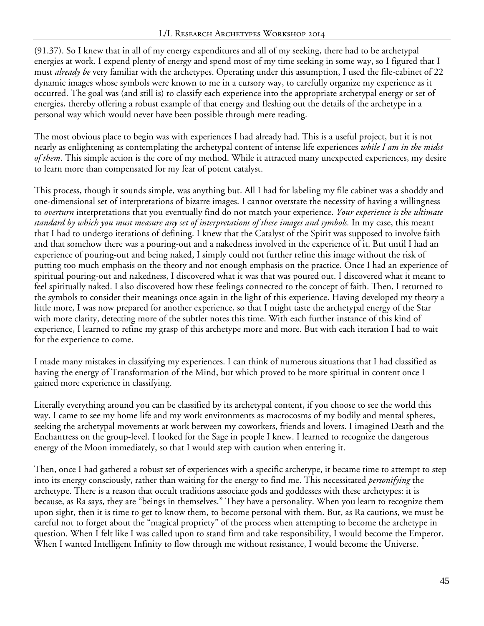(91.37). So I knew that in all of my energy expenditures and all of my seeking, there had to be archetypal energies at work. I expend plenty of energy and spend most of my time seeking in some way, so I figured that I must *already be* very familiar with the archetypes. Operating under this assumption, I used the file-cabinet of 22 dynamic images whose symbols were known to me in a cursory way, to carefully organize my experience as it occurred. The goal was (and still is) to classify each experience into the appropriate archetypal energy or set of energies, thereby offering a robust example of that energy and fleshing out the details of the archetype in a personal way which would never have been possible through mere reading.

The most obvious place to begin was with experiences I had already had. This is a useful project, but it is not nearly as enlightening as contemplating the archetypal content of intense life experiences *while I am in the midst of them*. This simple action is the core of my method. While it attracted many unexpected experiences, my desire to learn more than compensated for my fear of potent catalyst.

This process, though it sounds simple, was anything but. All I had for labeling my file cabinet was a shoddy and one-dimensional set of interpretations of bizarre images. I cannot overstate the necessity of having a willingness to *overturn* interpretations that you eventually find do not match your experience. *Your experience is the ultimate standard by which you must measure any set of interpretations of these images and symbols.* In my case, this meant that I had to undergo iterations of defining. I knew that the Catalyst of the Spirit was supposed to involve faith and that somehow there was a pouring-out and a nakedness involved in the experience of it. But until I had an experience of pouring-out and being naked, I simply could not further refine this image without the risk of putting too much emphasis on the theory and not enough emphasis on the practice. Once I had an experience of spiritual pouring-out and nakedness, I discovered what it was that was poured out. I discovered what it meant to feel spiritually naked. I also discovered how these feelings connected to the concept of faith. Then, I returned to the symbols to consider their meanings once again in the light of this experience. Having developed my theory a little more, I was now prepared for another experience, so that I might taste the archetypal energy of the Star with more clarity, detecting more of the subtler notes this time. With each further instance of this kind of experience, I learned to refine my grasp of this archetype more and more. But with each iteration I had to wait for the experience to come.

I made many mistakes in classifying my experiences. I can think of numerous situations that I had classified as having the energy of Transformation of the Mind, but which proved to be more spiritual in content once I gained more experience in classifying.

Literally everything around you can be classified by its archetypal content, if you choose to see the world this way. I came to see my home life and my work environments as macrocosms of my bodily and mental spheres, seeking the archetypal movements at work between my coworkers, friends and lovers. I imagined Death and the Enchantress on the group-level. I looked for the Sage in people I knew. I learned to recognize the dangerous energy of the Moon immediately, so that I would step with caution when entering it.

Then, once I had gathered a robust set of experiences with a specific archetype, it became time to attempt to step into its energy consciously, rather than waiting for the energy to find me. This necessitated *personifying* the archetype. There is a reason that occult traditions associate gods and goddesses with these archetypes: it is because, as Ra says, they are "beings in themselves." They have a personality. When you learn to recognize them upon sight, then it is time to get to know them, to become personal with them. But, as Ra cautions, we must be careful not to forget about the "magical propriety" of the process when attempting to become the archetype in question. When I felt like I was called upon to stand firm and take responsibility, I would become the Emperor. When I wanted Intelligent Infinity to flow through me without resistance, I would become the Universe.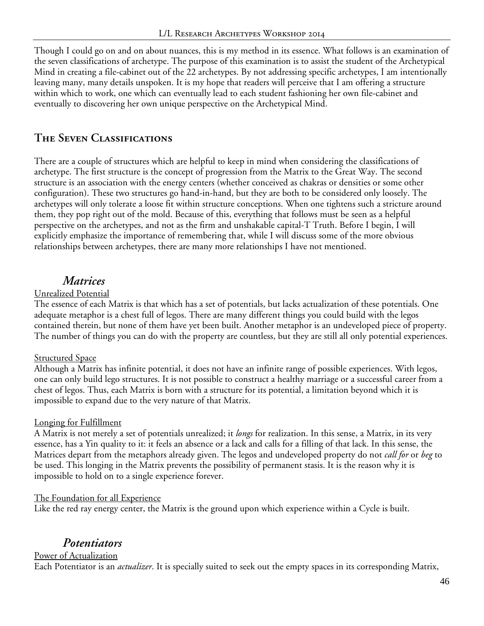Though I could go on and on about nuances, this is my method in its essence. What follows is an examination of the seven classifications of archetype. The purpose of this examination is to assist the student of the Archetypical Mind in creating a file-cabinet out of the 22 archetypes. By not addressing specific archetypes, I am intentionally leaving many, many details unspoken. It is my hope that readers will perceive that I am offering a structure within which to work, one which can eventually lead to each student fashioning her own file-cabinet and eventually to discovering her own unique perspective on the Archetypical Mind.

# **The Seven Classifications**

There are a couple of structures which are helpful to keep in mind when considering the classifications of archetype. The first structure is the concept of progression from the Matrix to the Great Way. The second structure is an association with the energy centers (whether conceived as chakras or densities or some other configuration). These two structures go hand-in-hand, but they are both to be considered only loosely. The archetypes will only tolerate a loose fit within structure conceptions. When one tightens such a stricture around them, they pop right out of the mold. Because of this, everything that follows must be seen as a helpful perspective on the archetypes, and not as the firm and unshakable capital-T Truth. Before I begin, I will explicitly emphasize the importance of remembering that, while I will discuss some of the more obvious relationships between archetypes, there are many more relationships I have not mentioned.

# *Matrices*

#### Unrealized Potential

The essence of each Matrix is that which has a set of potentials, but lacks actualization of these potentials. One adequate metaphor is a chest full of legos. There are many different things you could build with the legos contained therein, but none of them have yet been built. Another metaphor is an undeveloped piece of property. The number of things you can do with the property are countless, but they are still all only potential experiences.

#### **Structured Space**

Although a Matrix has infinite potential, it does not have an infinite range of possible experiences. With legos, one can only build lego structures. It is not possible to construct a healthy marriage or a successful career from a chest of legos. Thus, each Matrix is born with a structure for its potential, a limitation beyond which it is impossible to expand due to the very nature of that Matrix.

#### Longing for Fulfillment

A Matrix is not merely a set of potentials unrealized; it *longs* for realization. In this sense, a Matrix, in its very essence, has a Yin quality to it: it feels an absence or a lack and calls for a filling of that lack. In this sense, the Matrices depart from the metaphors already given. The legos and undeveloped property do not *call for* or *beg* to be used. This longing in the Matrix prevents the possibility of permanent stasis. It is the reason why it is impossible to hold on to a single experience forever.

#### The Foundation for all Experience

Like the red ray energy center, the Matrix is the ground upon which experience within a Cycle is built.

# *Potentiators*

#### Power of Actualization

Each Potentiator is an *actualizer*. It is specially suited to seek out the empty spaces in its corresponding Matrix,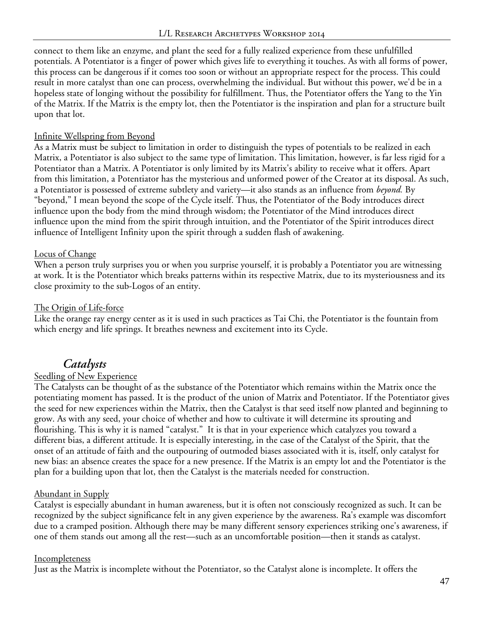connect to them like an enzyme, and plant the seed for a fully realized experience from these unfulfilled potentials. A Potentiator is a finger of power which gives life to everything it touches. As with all forms of power, this process can be dangerous if it comes too soon or without an appropriate respect for the process. This could result in more catalyst than one can process, overwhelming the individual. But without this power, we'd be in a hopeless state of longing without the possibility for fulfillment. Thus, the Potentiator offers the Yang to the Yin of the Matrix. If the Matrix is the empty lot, then the Potentiator is the inspiration and plan for a structure built upon that lot.

#### Infinite Wellspring from Beyond

As a Matrix must be subject to limitation in order to distinguish the types of potentials to be realized in each Matrix, a Potentiator is also subject to the same type of limitation. This limitation, however, is far less rigid for a Potentiator than a Matrix. A Potentiator is only limited by its Matrix's ability to receive what it offers. Apart from this limitation, a Potentiator has the mysterious and unformed power of the Creator at its disposal. As such, a Potentiator is possessed of extreme subtlety and variety—it also stands as an influence from *beyond.* By "beyond," I mean beyond the scope of the Cycle itself. Thus, the Potentiator of the Body introduces direct influence upon the body from the mind through wisdom; the Potentiator of the Mind introduces direct influence upon the mind from the spirit through intuition, and the Potentiator of the Spirit introduces direct influence of Intelligent Infinity upon the spirit through a sudden flash of awakening.

#### Locus of Change

When a person truly surprises you or when you surprise yourself, it is probably a Potentiator you are witnessing at work. It is the Potentiator which breaks patterns within its respective Matrix, due to its mysteriousness and its close proximity to the sub-Logos of an entity.

#### The Origin of Life-force

Like the orange ray energy center as it is used in such practices as Tai Chi, the Potentiator is the fountain from which energy and life springs. It breathes newness and excitement into its Cycle.

# *Catalysts*

### Seedling of New Experience

The Catalysts can be thought of as the substance of the Potentiator which remains within the Matrix once the potentiating moment has passed. It is the product of the union of Matrix and Potentiator. If the Potentiator gives the seed for new experiences within the Matrix, then the Catalyst is that seed itself now planted and beginning to grow. As with any seed, your choice of whether and how to cultivate it will determine its sprouting and flourishing. This is why it is named "catalyst." It is that in your experience which catalyzes you toward a different bias, a different attitude. It is especially interesting, in the case of the Catalyst of the Spirit, that the onset of an attitude of faith and the outpouring of outmoded biases associated with it is, itself, only catalyst for new bias: an absence creates the space for a new presence. If the Matrix is an empty lot and the Potentiator is the plan for a building upon that lot, then the Catalyst is the materials needed for construction.

#### Abundant in Supply

Catalyst is especially abundant in human awareness, but it is often not consciously recognized as such. It can be recognized by the subject significance felt in any given experience by the awareness. Ra's example was discomfort due to a cramped position. Although there may be many different sensory experiences striking one's awareness, if one of them stands out among all the rest—such as an uncomfortable position—then it stands as catalyst.

#### Incompleteness

Just as the Matrix is incomplete without the Potentiator, so the Catalyst alone is incomplete. It offers the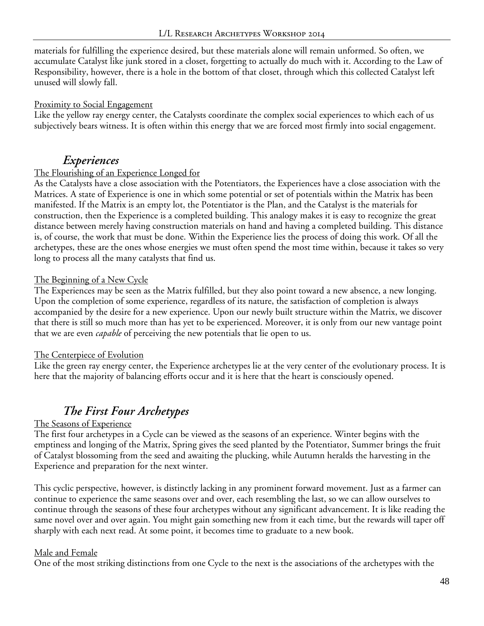materials for fulfilling the experience desired, but these materials alone will remain unformed. So often, we accumulate Catalyst like junk stored in a closet, forgetting to actually do much with it. According to the Law of Responsibility, however, there is a hole in the bottom of that closet, through which this collected Catalyst left unused will slowly fall.

#### Proximity to Social Engagement

Like the yellow ray energy center, the Catalysts coordinate the complex social experiences to which each of us subjectively bears witness. It is often within this energy that we are forced most firmly into social engagement.

# *Experiences*

#### The Flourishing of an Experience Longed for

As the Catalysts have a close association with the Potentiators, the Experiences have a close association with the Matrices. A state of Experience is one in which some potential or set of potentials within the Matrix has been manifested. If the Matrix is an empty lot, the Potentiator is the Plan, and the Catalyst is the materials for construction, then the Experience is a completed building. This analogy makes it is easy to recognize the great distance between merely having construction materials on hand and having a completed building. This distance is, of course, the work that must be done. Within the Experience lies the process of doing this work. Of all the archetypes, these are the ones whose energies we must often spend the most time within, because it takes so very long to process all the many catalysts that find us.

#### The Beginning of a New Cycle

The Experiences may be seen as the Matrix fulfilled, but they also point toward a new absence, a new longing. Upon the completion of some experience, regardless of its nature, the satisfaction of completion is always accompanied by the desire for a new experience. Upon our newly built structure within the Matrix, we discover that there is still so much more than has yet to be experienced. Moreover, it is only from our new vantage point that we are even *capable* of perceiving the new potentials that lie open to us.

### The Centerpiece of Evolution

Like the green ray energy center, the Experience archetypes lie at the very center of the evolutionary process. It is here that the majority of balancing efforts occur and it is here that the heart is consciously opened.

# *The First Four Archetypes*

### The Seasons of Experience

The first four archetypes in a Cycle can be viewed as the seasons of an experience. Winter begins with the emptiness and longing of the Matrix, Spring gives the seed planted by the Potentiator, Summer brings the fruit of Catalyst blossoming from the seed and awaiting the plucking, while Autumn heralds the harvesting in the Experience and preparation for the next winter.

This cyclic perspective, however, is distinctly lacking in any prominent forward movement. Just as a farmer can continue to experience the same seasons over and over, each resembling the last, so we can allow ourselves to continue through the seasons of these four archetypes without any significant advancement. It is like reading the same novel over and over again. You might gain something new from it each time, but the rewards will taper off sharply with each next read. At some point, it becomes time to graduate to a new book.

#### Male and Female

One of the most striking distinctions from one Cycle to the next is the associations of the archetypes with the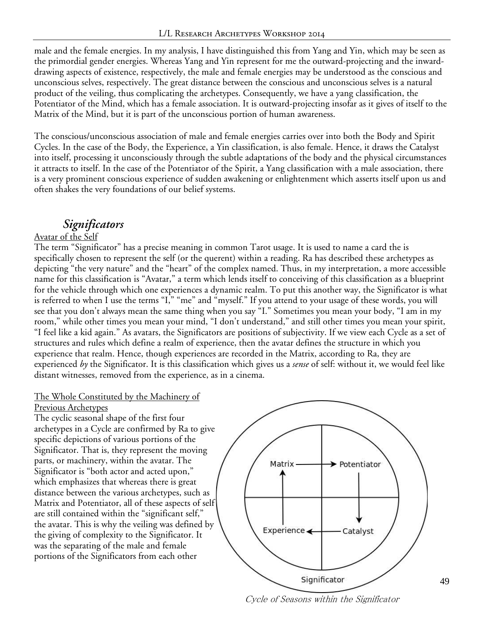male and the female energies. In my analysis, I have distinguished this from Yang and Yin, which may be seen as the primordial gender energies. Whereas Yang and Yin represent for me the outward-projecting and the inwarddrawing aspects of existence, respectively, the male and female energies may be understood as the conscious and unconscious selves, respectively. The great distance between the conscious and unconscious selves is a natural product of the veiling, thus complicating the archetypes. Consequently, we have a yang classification, the Potentiator of the Mind, which has a female association. It is outward-projecting insofar as it gives of itself to the Matrix of the Mind, but it is part of the unconscious portion of human awareness.

The conscious/unconscious association of male and female energies carries over into both the Body and Spirit Cycles. In the case of the Body, the Experience, a Yin classification, is also female. Hence, it draws the Catalyst into itself, processing it unconsciously through the subtle adaptations of the body and the physical circumstances it attracts to itself. In the case of the Potentiator of the Spirit, a Yang classification with a male association, there is a very prominent conscious experience of sudden awakening or enlightenment which asserts itself upon us and often shakes the very foundations of our belief systems.

# *Significators*

#### Avatar of the Self

The term "Significator" has a precise meaning in common Tarot usage. It is used to name a card the is specifically chosen to represent the self (or the querent) within a reading. Ra has described these archetypes as depicting "the very nature" and the "heart" of the complex named. Thus, in my interpretation, a more accessible name for this classification is "Avatar," a term which lends itself to conceiving of this classification as a blueprint for the vehicle through which one experiences a dynamic realm. To put this another way, the Significator is what is referred to when I use the terms "I," "me" and "myself." If you attend to your usage of these words, you will see that you don't always mean the same thing when you say "I." Sometimes you mean your body, "I am in my room," while other times you mean your mind, "I don't understand," and still other times you mean your spirit, "I feel like a kid again." As avatars, the Significators are positions of subjectivity. If we view each Cycle as a set of structures and rules which define a realm of experience, then the avatar defines the structure in which you experience that realm. Hence, though experiences are recorded in the Matrix, according to Ra, they are experienced *by* the Significator. It is this classification which gives us a *sense* of self: without it, we would feel like distant witnesses, removed from the experience, as in a cinema.

### The Whole Constituted by the Machinery of

#### Previous Archetypes

The cyclic seasonal shape of the first four archetypes in a Cycle are confirmed by Ra to give specific depictions of various portions of the Significator. That is, they represent the moving parts, or machinery, within the avatar. The Significator is "both actor and acted upon," which emphasizes that whereas there is great distance between the various archetypes, such as Matrix and Potentiator, all of these aspects of self are still contained within the "significant self," the avatar. This is why the veiling was defined by the giving of complexity to the Significator. It was the separating of the male and female portions of the Significators from each other



Cycle of Seasons within the Significator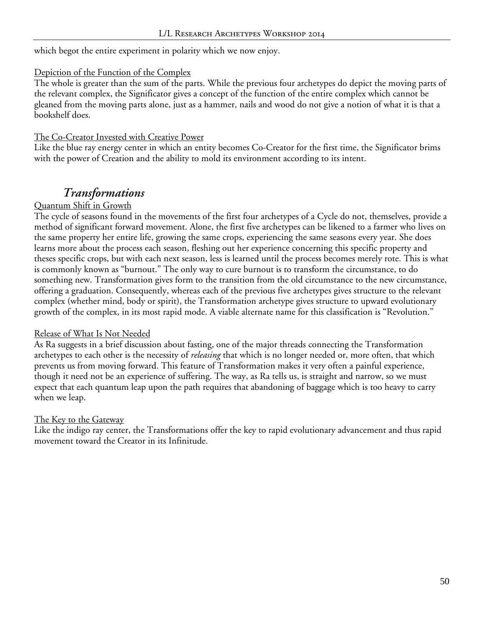which begot the entire experiment in polarity which we now enjoy.

#### Depiction of the Function of the Complex

The whole is greater than the sum of the parts. While the previous four archetypes do depict the moving parts of the relevant complex, the Significator gives a concept of the function of the entire complex which cannot be gleaned from the moving parts alone, just as a hammer, nails and wood do not give a notion of what it is that a bookshelf does.

#### The Co-Creator Invested with Creative Power

Like the blue ray energy center in which an entity becomes Co-Creator for the first time, the Significator brims with the power of Creation and the ability to mold its environment according to its intent.

# *Transformations*

#### Quantum Shift in Growth

The cycle of seasons found in the movements of the first four archetypes of a Cycle do not, themselves, provide a method of significant forward movement. Alone, the first five archetypes can be likened to a farmer who lives on the same property her entire life, growing the same crops, experiencing the same seasons every year. She does learns more about the process each season, fleshing out her experience concerning this specific property and theses specific crops, but with each next season, less is learned until the process becomes merely rote. This is what is commonly known as "burnout." The only way to cure burnout is to transform the circumstance, to do something new. Transformation gives form to the transition from the old circumstance to the new circumstance, offering a graduation. Consequently, whereas each of the previous five archetypes gives structure to the relevant complex (whether mind, body or spirit), the Transformation archetype gives structure to upward evolutionary growth of the complex, in its most rapid mode. A viable alternate name for this classification is "Revolution."

#### Release of What Is Not Needed

As Ra suggests in a brief discussion about fasting, one of the major threads connecting the Transformation archetypes to each other is the necessity of *releasing* that which is no longer needed or, more often, that which prevents us from moving forward. This feature of Transformation makes it very often a painful experience, though it need not be an experience of suffering. The way, as Ra tells us, is straight and narrow, so we must expect that each quantum leap upon the path requires that abandoning of baggage which is too heavy to carry when we leap.

#### The Key to the Gateway

Like the indigo ray center, the Transformations offer the key to rapid evolutionary advancement and thus rapid movement toward the Creator in its Infinitude.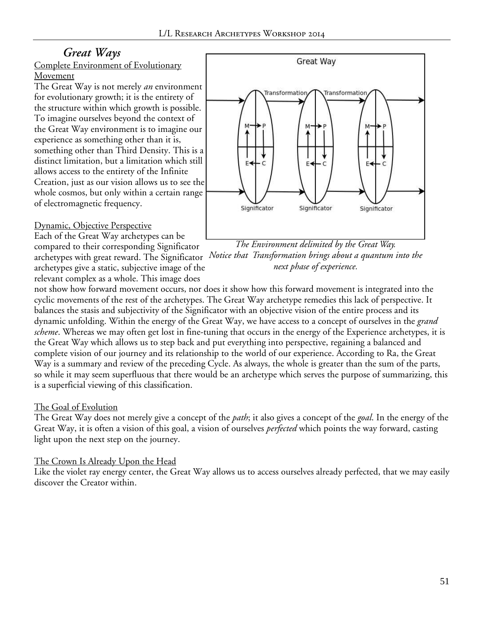# *Great Ways*

#### Complete Environment of Evolutionary Movement

The Great Way is not merely *an* environment for evolutionary growth; it is the entirety of the structure within which growth is possible. To imagine ourselves beyond the context of the Great Way environment is to imagine our experience as something other than it is, something other than Third Density. This is a distinct limitation, but a limitation which still allows access to the entirety of the Infinite Creation, just as our vision allows us to see the whole cosmos, but only within a certain range of electromagnetic frequency.

Dynamic, Objective Perspective

Each of the Great Way archetypes can be compared to their corresponding Significator

archetypes give a static, subjective image of the relevant complex as a whole. This image does



archetypes with great reward. The Significator *Notice that Transformation brings about a quantum into the The Environment delimited by the Great Way. next phase of experience.*

not show how forward movement occurs, nor does it show how this forward movement is integrated into the cyclic movements of the rest of the archetypes. The Great Way archetype remedies this lack of perspective. It balances the stasis and subjectivity of the Significator with an objective vision of the entire process and its dynamic unfolding. Within the energy of the Great Way, we have access to a concept of ourselves in the *grand scheme*. Whereas we may often get lost in fine-tuning that occurs in the energy of the Experience archetypes, it is the Great Way which allows us to step back and put everything into perspective, regaining a balanced and complete vision of our journey and its relationship to the world of our experience. According to Ra, the Great Way is a summary and review of the preceding Cycle. As always, the whole is greater than the sum of the parts, so while it may seem superfluous that there would be an archetype which serves the purpose of summarizing, this is a superficial viewing of this classification.

### The Goal of Evolution

The Great Way does not merely give a concept of the *path*; it also gives a concept of the *goal*. In the energy of the Great Way, it is often a vision of this goal, a vision of ourselves *perfected* which points the way forward, casting light upon the next step on the journey.

### The Crown Is Already Upon the Head

Like the violet ray energy center, the Great Way allows us to access ourselves already perfected, that we may easily discover the Creator within.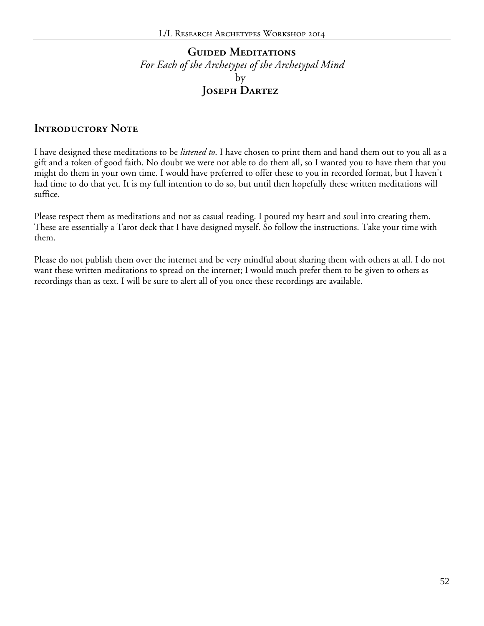# **Guided Meditations** *For Each of the Archetypes of the Archetypal Mind* by **Joseph Dartez**

### **INTRODUCTORY NOTE**

I have designed these meditations to be *listened to*. I have chosen to print them and hand them out to you all as a gift and a token of good faith. No doubt we were not able to do them all, so I wanted you to have them that you might do them in your own time. I would have preferred to offer these to you in recorded format, but I haven't had time to do that yet. It is my full intention to do so, but until then hopefully these written meditations will suffice.

Please respect them as meditations and not as casual reading. I poured my heart and soul into creating them. These are essentially a Tarot deck that I have designed myself. So follow the instructions. Take your time with them.

Please do not publish them over the internet and be very mindful about sharing them with others at all. I do not want these written meditations to spread on the internet; I would much prefer them to be given to others as recordings than as text. I will be sure to alert all of you once these recordings are available.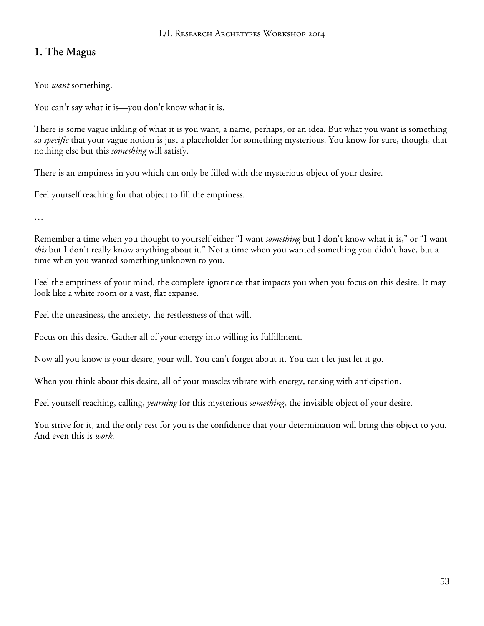# **1. The Magus**

You *want* something.

You can't say what it is—you don't know what it is.

There is some vague inkling of what it is you want, a name, perhaps, or an idea. But what you want is something so *specific* that your vague notion is just a placeholder for something mysterious. You know for sure, though, that nothing else but this *something* will satisfy.

There is an emptiness in you which can only be filled with the mysterious object of your desire.

Feel yourself reaching for that object to fill the emptiness.

…

Remember a time when you thought to yourself either "I want *something* but I don't know what it is," or "I want *this* but I don't really know anything about it." Not a time when you wanted something you didn't have, but a time when you wanted something unknown to you.

Feel the emptiness of your mind, the complete ignorance that impacts you when you focus on this desire. It may look like a white room or a vast, flat expanse.

Feel the uneasiness, the anxiety, the restlessness of that will.

Focus on this desire. Gather all of your energy into willing its fulfillment.

Now all you know is your desire, your will. You can't forget about it. You can't let just let it go.

When you think about this desire, all of your muscles vibrate with energy, tensing with anticipation.

Feel yourself reaching, calling, *yearning* for this mysterious *something*, the invisible object of your desire.

You strive for it, and the only rest for you is the confidence that your determination will bring this object to you. And even this is *work.*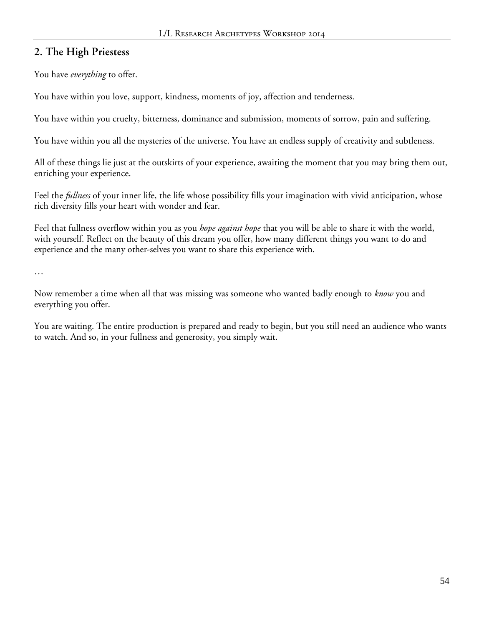# **2. The High Priestess**

You have *everything* to offer.

You have within you love, support, kindness, moments of joy, affection and tenderness.

You have within you cruelty, bitterness, dominance and submission, moments of sorrow, pain and suffering.

You have within you all the mysteries of the universe. You have an endless supply of creativity and subtleness.

All of these things lie just at the outskirts of your experience, awaiting the moment that you may bring them out, enriching your experience.

Feel the *fullness* of your inner life, the life whose possibility fills your imagination with vivid anticipation, whose rich diversity fills your heart with wonder and fear.

Feel that fullness overflow within you as you *hope against hope* that you will be able to share it with the world, with yourself. Reflect on the beauty of this dream you offer, how many different things you want to do and experience and the many other-selves you want to share this experience with.

…

Now remember a time when all that was missing was someone who wanted badly enough to *know* you and everything you offer.

You are waiting. The entire production is prepared and ready to begin, but you still need an audience who wants to watch. And so, in your fullness and generosity, you simply wait.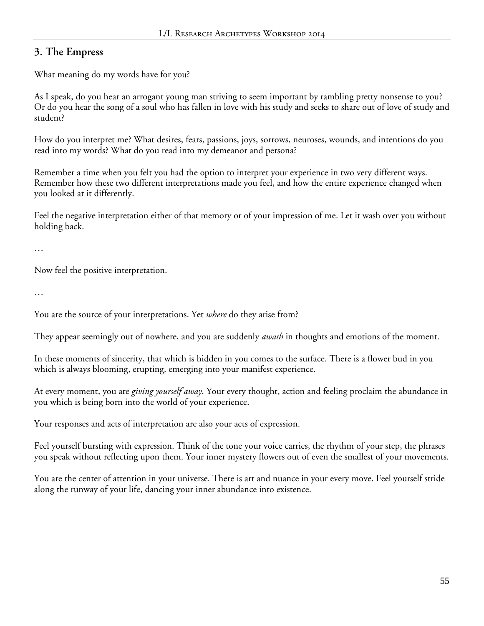# **3. The Empress**

What meaning do my words have for you?

As I speak, do you hear an arrogant young man striving to seem important by rambling pretty nonsense to you? Or do you hear the song of a soul who has fallen in love with his study and seeks to share out of love of study and student?

How do you interpret me? What desires, fears, passions, joys, sorrows, neuroses, wounds, and intentions do you read into my words? What do you read into my demeanor and persona?

Remember a time when you felt you had the option to interpret your experience in two very different ways. Remember how these two different interpretations made you feel, and how the entire experience changed when you looked at it differently.

Feel the negative interpretation either of that memory or of your impression of me. Let it wash over you without holding back.

…

Now feel the positive interpretation.

…

You are the source of your interpretations. Yet *where* do they arise from?

They appear seemingly out of nowhere, and you are suddenly *awash* in thoughts and emotions of the moment.

In these moments of sincerity, that which is hidden in you comes to the surface. There is a flower bud in you which is always blooming, erupting, emerging into your manifest experience.

At every moment, you are *giving yourself away*. Your every thought, action and feeling proclaim the abundance in you which is being born into the world of your experience.

Your responses and acts of interpretation are also your acts of expression.

Feel yourself bursting with expression. Think of the tone your voice carries, the rhythm of your step, the phrases you speak without reflecting upon them. Your inner mystery flowers out of even the smallest of your movements.

You are the center of attention in your universe. There is art and nuance in your every move. Feel yourself stride along the runway of your life, dancing your inner abundance into existence.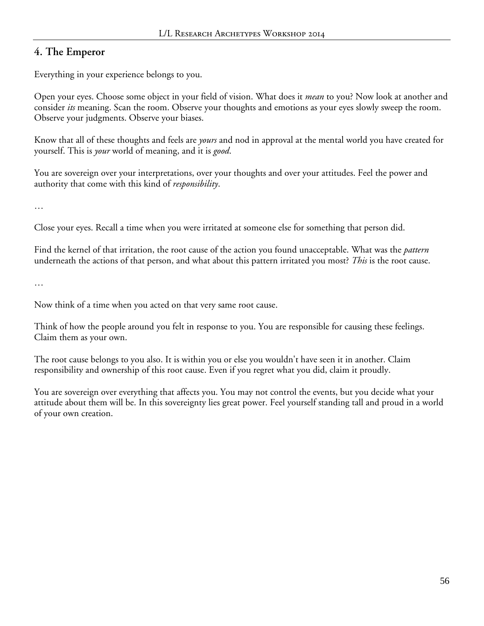## **4. The Emperor**

Everything in your experience belongs to you.

Open your eyes. Choose some object in your field of vision. What does it *mean* to you? Now look at another and consider *its* meaning. Scan the room. Observe your thoughts and emotions as your eyes slowly sweep the room. Observe your judgments. Observe your biases.

Know that all of these thoughts and feels are *yours* and nod in approval at the mental world you have created for yourself. This is *your* world of meaning, and it is *good*.

You are sovereign over your interpretations, over your thoughts and over your attitudes. Feel the power and authority that come with this kind of *responsibility*.

…

Close your eyes. Recall a time when you were irritated at someone else for something that person did.

Find the kernel of that irritation, the root cause of the action you found unacceptable. What was the *pattern* underneath the actions of that person, and what about this pattern irritated you most? *This* is the root cause.

…

Now think of a time when you acted on that very same root cause.

Think of how the people around you felt in response to you. You are responsible for causing these feelings. Claim them as your own.

The root cause belongs to you also. It is within you or else you wouldn't have seen it in another. Claim responsibility and ownership of this root cause. Even if you regret what you did, claim it proudly.

You are sovereign over everything that affects you. You may not control the events, but you decide what your attitude about them will be. In this sovereignty lies great power. Feel yourself standing tall and proud in a world of your own creation.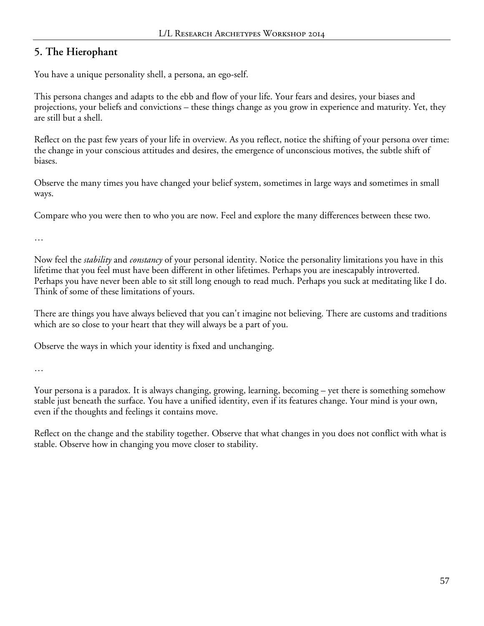## **5. The Hierophant**

You have a unique personality shell, a persona, an ego-self.

This persona changes and adapts to the ebb and flow of your life. Your fears and desires, your biases and projections, your beliefs and convictions – these things change as you grow in experience and maturity. Yet, they are still but a shell.

Reflect on the past few years of your life in overview. As you reflect, notice the shifting of your persona over time: the change in your conscious attitudes and desires, the emergence of unconscious motives, the subtle shift of biases.

Observe the many times you have changed your belief system, sometimes in large ways and sometimes in small ways.

Compare who you were then to who you are now. Feel and explore the many differences between these two.

…

Now feel the *stability* and *constancy* of your personal identity. Notice the personality limitations you have in this lifetime that you feel must have been different in other lifetimes. Perhaps you are inescapably introverted. Perhaps you have never been able to sit still long enough to read much. Perhaps you suck at meditating like I do. Think of some of these limitations of yours.

There are things you have always believed that you can't imagine not believing. There are customs and traditions which are so close to your heart that they will always be a part of you.

Observe the ways in which your identity is fixed and unchanging.

…

Your persona is a paradox. It is always changing, growing, learning, becoming – yet there is something somehow stable just beneath the surface. You have a unified identity, even if its features change. Your mind is your own, even if the thoughts and feelings it contains move.

Reflect on the change and the stability together. Observe that what changes in you does not conflict with what is stable. Observe how in changing you move closer to stability.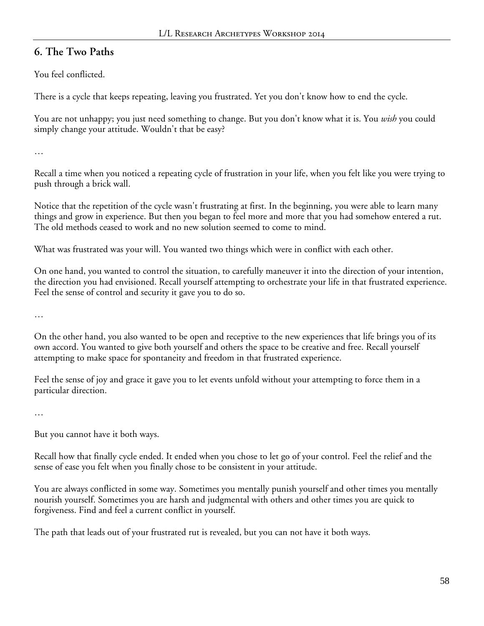### **6. The Two Paths**

You feel conflicted.

There is a cycle that keeps repeating, leaving you frustrated. Yet you don't know how to end the cycle.

You are not unhappy; you just need something to change. But you don't know what it is. You *wish* you could simply change your attitude. Wouldn't that be easy?

…

Recall a time when you noticed a repeating cycle of frustration in your life, when you felt like you were trying to push through a brick wall.

Notice that the repetition of the cycle wasn't frustrating at first. In the beginning, you were able to learn many things and grow in experience. But then you began to feel more and more that you had somehow entered a rut. The old methods ceased to work and no new solution seemed to come to mind.

What was frustrated was your will. You wanted two things which were in conflict with each other.

On one hand, you wanted to control the situation, to carefully maneuver it into the direction of your intention, the direction you had envisioned. Recall yourself attempting to orchestrate your life in that frustrated experience. Feel the sense of control and security it gave you to do so.

…

On the other hand, you also wanted to be open and receptive to the new experiences that life brings you of its own accord. You wanted to give both yourself and others the space to be creative and free. Recall yourself attempting to make space for spontaneity and freedom in that frustrated experience.

Feel the sense of joy and grace it gave you to let events unfold without your attempting to force them in a particular direction.

…

But you cannot have it both ways.

Recall how that finally cycle ended. It ended when you chose to let go of your control. Feel the relief and the sense of ease you felt when you finally chose to be consistent in your attitude.

You are always conflicted in some way. Sometimes you mentally punish yourself and other times you mentally nourish yourself. Sometimes you are harsh and judgmental with others and other times you are quick to forgiveness. Find and feel a current conflict in yourself.

The path that leads out of your frustrated rut is revealed, but you can not have it both ways.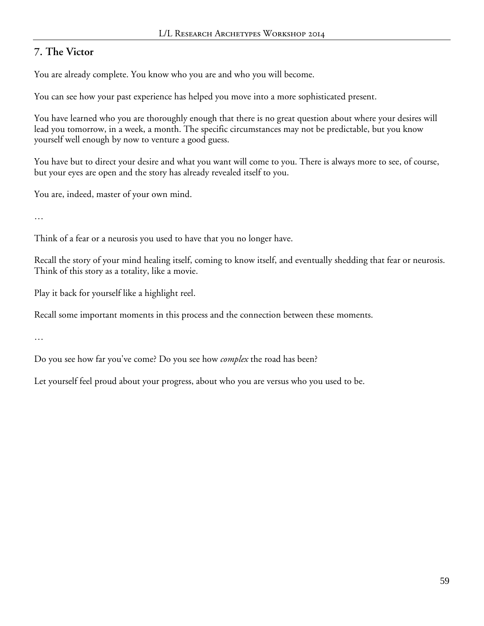# **7. The Victor**

You are already complete. You know who you are and who you will become.

You can see how your past experience has helped you move into a more sophisticated present.

You have learned who you are thoroughly enough that there is no great question about where your desires will lead you tomorrow, in a week, a month. The specific circumstances may not be predictable, but you know yourself well enough by now to venture a good guess.

You have but to direct your desire and what you want will come to you. There is always more to see, of course, but your eyes are open and the story has already revealed itself to you.

You are, indeed, master of your own mind.

…

Think of a fear or a neurosis you used to have that you no longer have.

Recall the story of your mind healing itself, coming to know itself, and eventually shedding that fear or neurosis. Think of this story as a totality, like a movie.

Play it back for yourself like a highlight reel.

Recall some important moments in this process and the connection between these moments.

…

Do you see how far you've come? Do you see how *complex* the road has been?

Let yourself feel proud about your progress, about who you are versus who you used to be.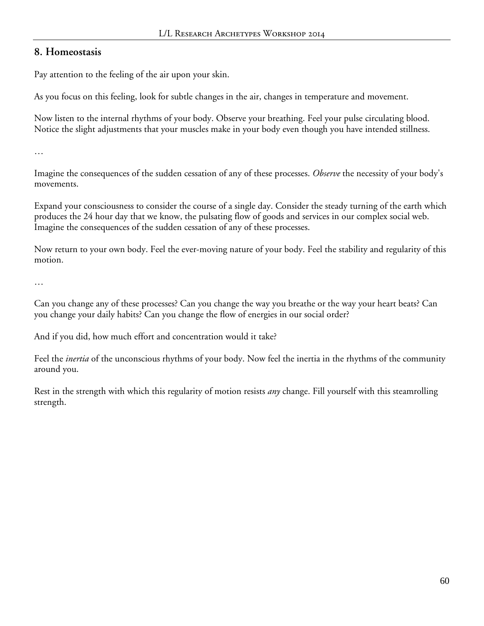### **8. Homeostasis**

Pay attention to the feeling of the air upon your skin.

As you focus on this feeling, look for subtle changes in the air, changes in temperature and movement.

Now listen to the internal rhythms of your body. Observe your breathing. Feel your pulse circulating blood. Notice the slight adjustments that your muscles make in your body even though you have intended stillness.

…

Imagine the consequences of the sudden cessation of any of these processes. *Observe* the necessity of your body's movements.

Expand your consciousness to consider the course of a single day. Consider the steady turning of the earth which produces the 24 hour day that we know, the pulsating flow of goods and services in our complex social web. Imagine the consequences of the sudden cessation of any of these processes.

Now return to your own body. Feel the ever-moving nature of your body. Feel the stability and regularity of this motion.

…

Can you change any of these processes? Can you change the way you breathe or the way your heart beats? Can you change your daily habits? Can you change the flow of energies in our social order?

And if you did, how much effort and concentration would it take?

Feel the *inertia* of the unconscious rhythms of your body. Now feel the inertia in the rhythms of the community around you.

Rest in the strength with which this regularity of motion resists *any* change. Fill yourself with this steamrolling strength.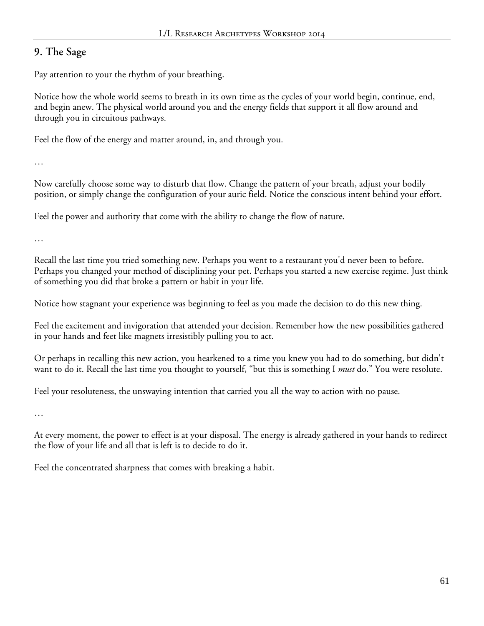# **9. The Sage**

Pay attention to your the rhythm of your breathing.

Notice how the whole world seems to breath in its own time as the cycles of your world begin, continue, end, and begin anew. The physical world around you and the energy fields that support it all flow around and through you in circuitous pathways.

Feel the flow of the energy and matter around, in, and through you.

…

Now carefully choose some way to disturb that flow. Change the pattern of your breath, adjust your bodily position, or simply change the configuration of your auric field. Notice the conscious intent behind your effort.

Feel the power and authority that come with the ability to change the flow of nature.

…

Recall the last time you tried something new. Perhaps you went to a restaurant you'd never been to before. Perhaps you changed your method of disciplining your pet. Perhaps you started a new exercise regime. Just think of something you did that broke a pattern or habit in your life.

Notice how stagnant your experience was beginning to feel as you made the decision to do this new thing.

Feel the excitement and invigoration that attended your decision. Remember how the new possibilities gathered in your hands and feet like magnets irresistibly pulling you to act.

Or perhaps in recalling this new action, you hearkened to a time you knew you had to do something, but didn't want to do it. Recall the last time you thought to yourself, "but this is something I *must* do." You were resolute.

Feel your resoluteness, the unswaying intention that carried you all the way to action with no pause.

…

At every moment, the power to effect is at your disposal. The energy is already gathered in your hands to redirect the flow of your life and all that is left is to decide to do it.

Feel the concentrated sharpness that comes with breaking a habit.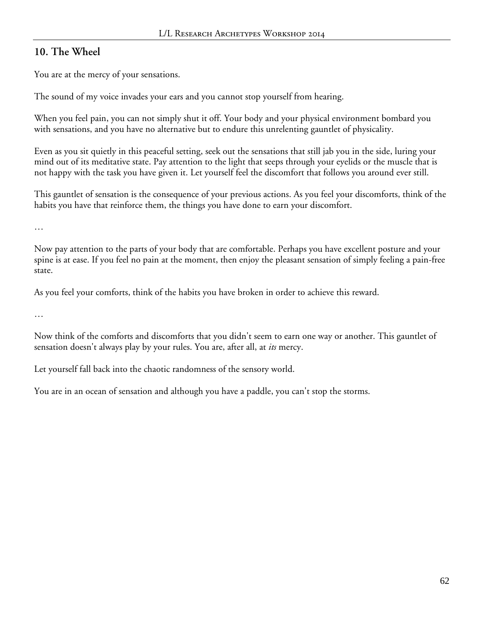### **10. The Wheel**

You are at the mercy of your sensations.

The sound of my voice invades your ears and you cannot stop yourself from hearing.

When you feel pain, you can not simply shut it off. Your body and your physical environment bombard you with sensations, and you have no alternative but to endure this unrelenting gauntlet of physicality.

Even as you sit quietly in this peaceful setting, seek out the sensations that still jab you in the side, luring your mind out of its meditative state. Pay attention to the light that seeps through your eyelids or the muscle that is not happy with the task you have given it. Let yourself feel the discomfort that follows you around ever still.

This gauntlet of sensation is the consequence of your previous actions. As you feel your discomforts, think of the habits you have that reinforce them, the things you have done to earn your discomfort.

…

Now pay attention to the parts of your body that are comfortable. Perhaps you have excellent posture and your spine is at ease. If you feel no pain at the moment, then enjoy the pleasant sensation of simply feeling a pain-free state.

As you feel your comforts, think of the habits you have broken in order to achieve this reward.

…

Now think of the comforts and discomforts that you didn't seem to earn one way or another. This gauntlet of sensation doesn't always play by your rules. You are, after all, at *its* mercy.

Let yourself fall back into the chaotic randomness of the sensory world.

You are in an ocean of sensation and although you have a paddle, you can't stop the storms.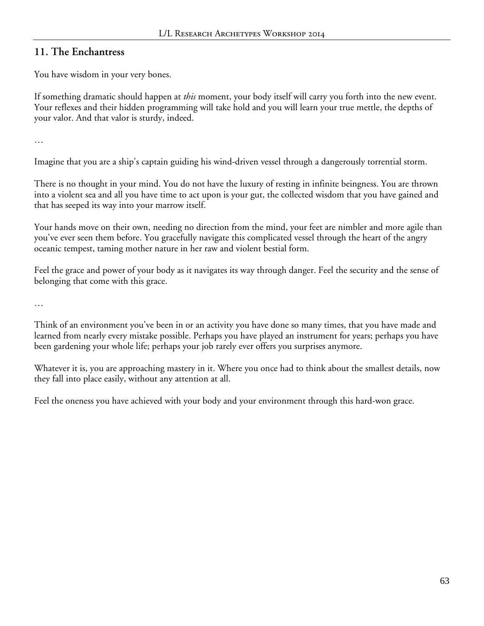### **11. The Enchantress**

You have wisdom in your very bones.

If something dramatic should happen at *this* moment, your body itself will carry you forth into the new event. Your reflexes and their hidden programming will take hold and you will learn your true mettle, the depths of your valor. And that valor is sturdy, indeed.

…

Imagine that you are a ship's captain guiding his wind-driven vessel through a dangerously torrential storm.

There is no thought in your mind. You do not have the luxury of resting in infinite beingness. You are thrown into a violent sea and all you have time to act upon is your gut, the collected wisdom that you have gained and that has seeped its way into your marrow itself.

Your hands move on their own, needing no direction from the mind, your feet are nimbler and more agile than you've ever seen them before. You gracefully navigate this complicated vessel through the heart of the angry oceanic tempest, taming mother nature in her raw and violent bestial form.

Feel the grace and power of your body as it navigates its way through danger. Feel the security and the sense of belonging that come with this grace.

…

Think of an environment you've been in or an activity you have done so many times, that you have made and learned from nearly every mistake possible. Perhaps you have played an instrument for years; perhaps you have been gardening your whole life; perhaps your job rarely ever offers you surprises anymore.

Whatever it is, you are approaching mastery in it. Where you once had to think about the smallest details, now they fall into place easily, without any attention at all.

Feel the oneness you have achieved with your body and your environment through this hard-won grace.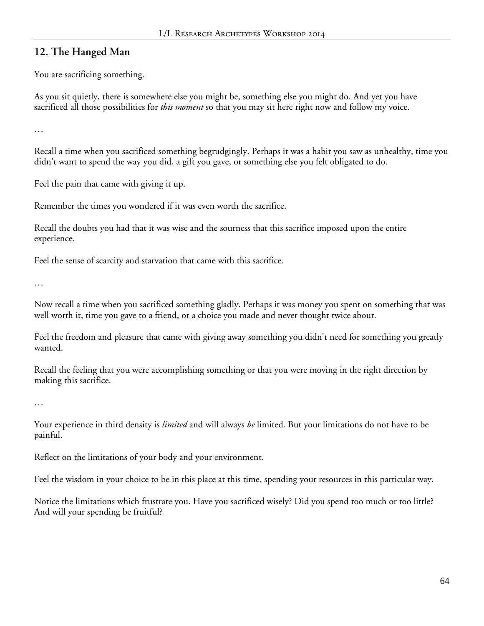### **12. The Hanged Man**

You are sacrificing something.

As you sit quietly, there is somewhere else you might be, something else you might do. And yet you have sacrificed all those possibilities for *this moment* so that you may sit here right now and follow my voice.

…

Recall a time when you sacrificed something begrudgingly. Perhaps it was a habit you saw as unhealthy, time you didn't want to spend the way you did, a gift you gave, or something else you felt obligated to do.

Feel the pain that came with giving it up.

Remember the times you wondered if it was even worth the sacrifice.

Recall the doubts you had that it was wise and the sourness that this sacrifice imposed upon the entire experience.

Feel the sense of scarcity and starvation that came with this sacrifice.

…

Now recall a time when you sacrificed something gladly. Perhaps it was money you spent on something that was well worth it, time you gave to a friend, or a choice you made and never thought twice about.

Feel the freedom and pleasure that came with giving away something you didn't need for something you greatly wanted.

Recall the feeling that you were accomplishing something or that you were moving in the right direction by making this sacrifice.

…

Your experience in third density is *limited* and will always *be* limited. But your limitations do not have to be painful.

Reflect on the limitations of your body and your environment.

Feel the wisdom in your choice to be in this place at this time, spending your resources in this particular way.

Notice the limitations which frustrate you. Have you sacrificed wisely? Did you spend too much or too little? And will your spending be fruitful?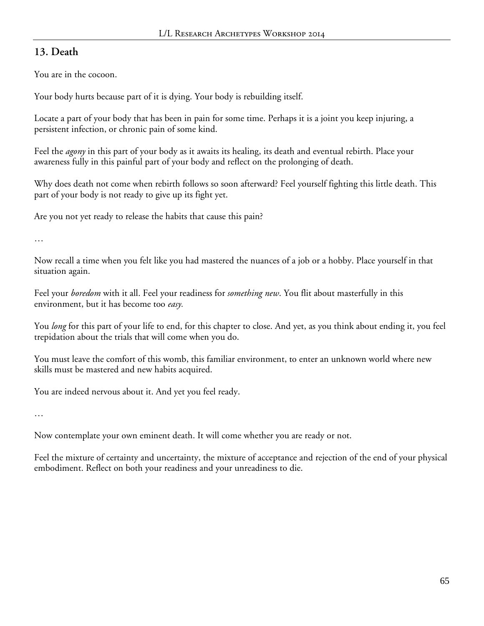# **13. Death**

You are in the cocoon.

Your body hurts because part of it is dying. Your body is rebuilding itself.

Locate a part of your body that has been in pain for some time. Perhaps it is a joint you keep injuring, a persistent infection, or chronic pain of some kind.

Feel the *agony* in this part of your body as it awaits its healing, its death and eventual rebirth. Place your awareness fully in this painful part of your body and reflect on the prolonging of death.

Why does death not come when rebirth follows so soon afterward? Feel yourself fighting this little death. This part of your body is not ready to give up its fight yet.

Are you not yet ready to release the habits that cause this pain?

…

Now recall a time when you felt like you had mastered the nuances of a job or a hobby. Place yourself in that situation again.

Feel your *boredom* with it all. Feel your readiness for *something new*. You flit about masterfully in this environment, but it has become too *easy.*

You *long* for this part of your life to end, for this chapter to close. And yet, as you think about ending it, you feel trepidation about the trials that will come when you do.

You must leave the comfort of this womb, this familiar environment, to enter an unknown world where new skills must be mastered and new habits acquired.

You are indeed nervous about it. And yet you feel ready.

…

Now contemplate your own eminent death. It will come whether you are ready or not.

Feel the mixture of certainty and uncertainty, the mixture of acceptance and rejection of the end of your physical embodiment. Reflect on both your readiness and your unreadiness to die.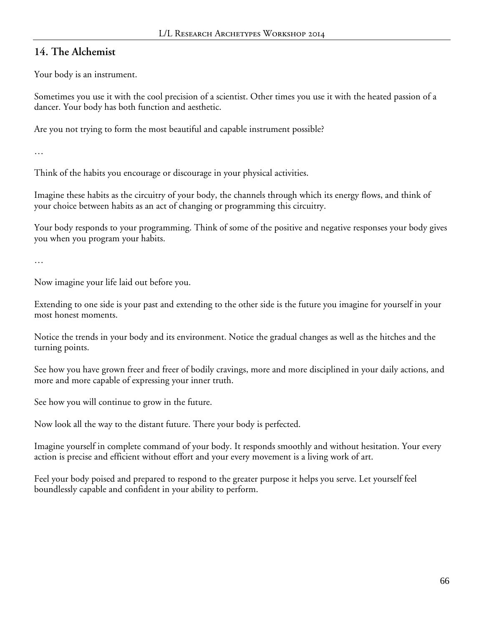### **14. The Alchemist**

Your body is an instrument.

Sometimes you use it with the cool precision of a scientist. Other times you use it with the heated passion of a dancer. Your body has both function and aesthetic.

Are you not trying to form the most beautiful and capable instrument possible?

…

Think of the habits you encourage or discourage in your physical activities.

Imagine these habits as the circuitry of your body, the channels through which its energy flows, and think of your choice between habits as an act of changing or programming this circuitry.

Your body responds to your programming. Think of some of the positive and negative responses your body gives you when you program your habits.

…

Now imagine your life laid out before you.

Extending to one side is your past and extending to the other side is the future you imagine for yourself in your most honest moments.

Notice the trends in your body and its environment. Notice the gradual changes as well as the hitches and the turning points.

See how you have grown freer and freer of bodily cravings, more and more disciplined in your daily actions, and more and more capable of expressing your inner truth.

See how you will continue to grow in the future.

Now look all the way to the distant future. There your body is perfected.

Imagine yourself in complete command of your body. It responds smoothly and without hesitation. Your every action is precise and efficient without effort and your every movement is a living work of art.

Feel your body poised and prepared to respond to the greater purpose it helps you serve. Let yourself feel boundlessly capable and confident in your ability to perform.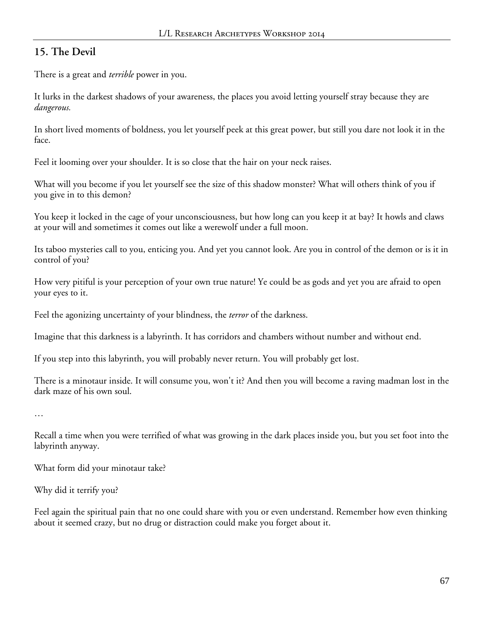# **15. The Devil**

There is a great and *terrible* power in you.

It lurks in the darkest shadows of your awareness, the places you avoid letting yourself stray because they are *dangerous.*

In short lived moments of boldness, you let yourself peek at this great power, but still you dare not look it in the face.

Feel it looming over your shoulder. It is so close that the hair on your neck raises.

What will you become if you let yourself see the size of this shadow monster? What will others think of you if you give in to this demon?

You keep it locked in the cage of your unconsciousness, but how long can you keep it at bay? It howls and claws at your will and sometimes it comes out like a werewolf under a full moon.

Its taboo mysteries call to you, enticing you. And yet you cannot look. Are you in control of the demon or is it in control of you?

How very pitiful is your perception of your own true nature! Ye could be as gods and yet you are afraid to open your eyes to it.

Feel the agonizing uncertainty of your blindness, the *terror* of the darkness.

Imagine that this darkness is a labyrinth. It has corridors and chambers without number and without end.

If you step into this labyrinth, you will probably never return. You will probably get lost.

There is a minotaur inside. It will consume you, won't it? And then you will become a raving madman lost in the dark maze of his own soul.

…

Recall a time when you were terrified of what was growing in the dark places inside you, but you set foot into the labyrinth anyway.

What form did your minotaur take?

Why did it terrify you?

Feel again the spiritual pain that no one could share with you or even understand. Remember how even thinking about it seemed crazy, but no drug or distraction could make you forget about it.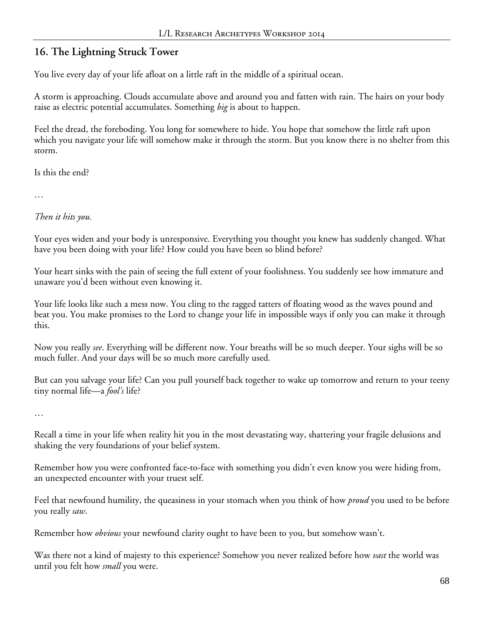# **16. The Lightning Struck Tower**

You live every day of your life afloat on a little raft in the middle of a spiritual ocean.

A storm is approaching. Clouds accumulate above and around you and fatten with rain. The hairs on your body raise as electric potential accumulates. Something *big* is about to happen.

Feel the dread, the foreboding. You long for somewhere to hide. You hope that somehow the little raft upon which you navigate your life will somehow make it through the storm. But you know there is no shelter from this storm.

Is this the end?

…

*Then it hits you.*

Your eyes widen and your body is unresponsive. Everything you thought you knew has suddenly changed. What have you been doing with your life? How could you have been so blind before?

Your heart sinks with the pain of seeing the full extent of your foolishness. You suddenly see how immature and unaware you'd been without even knowing it.

Your life looks like such a mess now. You cling to the ragged tatters of floating wood as the waves pound and beat you. You make promises to the Lord to change your life in impossible ways if only you can make it through this.

Now you really *see*. Everything will be different now. Your breaths will be so much deeper. Your sighs will be so much fuller. And your days will be so much more carefully used.

But can you salvage your life? Can you pull yourself back together to wake up tomorrow and return to your teeny tiny normal life—a *fool's* life?

…

Recall a time in your life when reality hit you in the most devastating way, shattering your fragile delusions and shaking the very foundations of your belief system.

Remember how you were confronted face-to-face with something you didn't even know you were hiding from, an unexpected encounter with your truest self.

Feel that newfound humility, the queasiness in your stomach when you think of how *proud* you used to be before you really *saw*.

Remember how *obvious* your newfound clarity ought to have been to you, but somehow wasn't.

Was there not a kind of majesty to this experience? Somehow you never realized before how *vast* the world was until you felt how *small* you were.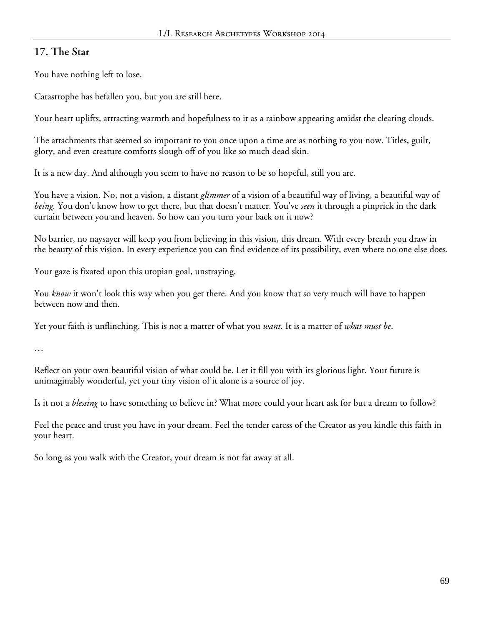### **17. The Star**

You have nothing left to lose.

Catastrophe has befallen you, but you are still here.

Your heart uplifts, attracting warmth and hopefulness to it as a rainbow appearing amidst the clearing clouds.

The attachments that seemed so important to you once upon a time are as nothing to you now. Titles, guilt, glory, and even creature comforts slough off of you like so much dead skin.

It is a new day. And although you seem to have no reason to be so hopeful, still you are.

You have a vision. No, not a vision, a distant *glimmer* of a vision of a beautiful way of living, a beautiful way of *being.* You don't know how to get there, but that doesn't matter. You've *seen* it through a pinprick in the dark curtain between you and heaven. So how can you turn your back on it now?

No barrier, no naysayer will keep you from believing in this vision, this dream. With every breath you draw in the beauty of this vision. In every experience you can find evidence of its possibility, even where no one else does.

Your gaze is fixated upon this utopian goal, unstraying.

You *know* it won't look this way when you get there. And you know that so very much will have to happen between now and then.

Yet your faith is unflinching. This is not a matter of what you *want*. It is a matter of *what must be*.

…

Reflect on your own beautiful vision of what could be. Let it fill you with its glorious light. Your future is unimaginably wonderful, yet your tiny vision of it alone is a source of joy.

Is it not a *blessing* to have something to believe in? What more could your heart ask for but a dream to follow?

Feel the peace and trust you have in your dream. Feel the tender caress of the Creator as you kindle this faith in your heart.

So long as you walk with the Creator, your dream is not far away at all.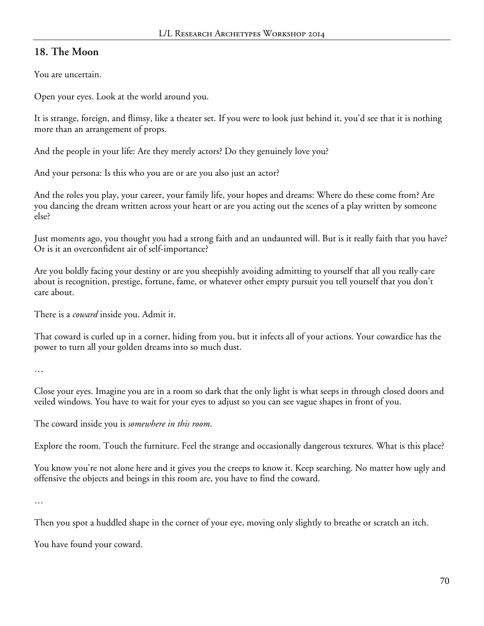# **18. The Moon**

You are uncertain.

Open your eyes. Look at the world around you.

It is strange, foreign, and flimsy, like a theater set. If you were to look just behind it, you'd see that it is nothing more than an arrangement of props.

And the people in your life: Are they merely actors? Do they genuinely love you?

And your persona: Is this who you are or are you also just an actor?

And the roles you play, your career, your family life, your hopes and dreams: Where do these come from? Are you dancing the dream written across your heart or are you acting out the scenes of a play written by someone else?

Just moments ago, you thought you had a strong faith and an undaunted will. But is it really faith that you have? Or is it an overconfident air of self-importance?

Are you boldly facing your destiny or are you sheepishly avoiding admitting to yourself that all you really care about is recognition, prestige, fortune, fame, or whatever other empty pursuit you tell yourself that you don't care about.

There is a *coward* inside you. Admit it.

That coward is curled up in a corner, hiding from you, but it infects all of your actions. Your cowardice has the power to turn all your golden dreams into so much dust.

…

Close your eyes. Imagine you are in a room so dark that the only light is what seeps in through closed doors and veiled windows. You have to wait for your eyes to adjust so you can see vague shapes in front of you.

The coward inside you is *somewhere in this room*.

Explore the room. Touch the furniture. Feel the strange and occasionally dangerous textures. What is this place?

You know you're not alone here and it gives you the creeps to know it. Keep searching. No matter how ugly and offensive the objects and beings in this room are, you have to find the coward.

…

Then you spot a huddled shape in the corner of your eye, moving only slightly to breathe or scratch an itch.

You have found your coward.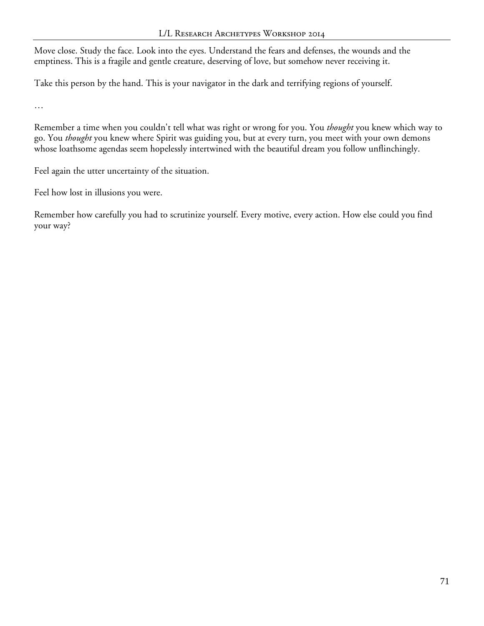Move close. Study the face. Look into the eyes. Understand the fears and defenses, the wounds and the emptiness. This is a fragile and gentle creature, deserving of love, but somehow never receiving it.

Take this person by the hand. This is your navigator in the dark and terrifying regions of yourself.

…

Remember a time when you couldn't tell what was right or wrong for you. You *thought* you knew which way to go. You *thought* you knew where Spirit was guiding you, but at every turn, you meet with your own demons whose loathsome agendas seem hopelessly intertwined with the beautiful dream you follow unflinchingly.

Feel again the utter uncertainty of the situation.

Feel how lost in illusions you were.

Remember how carefully you had to scrutinize yourself. Every motive, every action. How else could you find your way?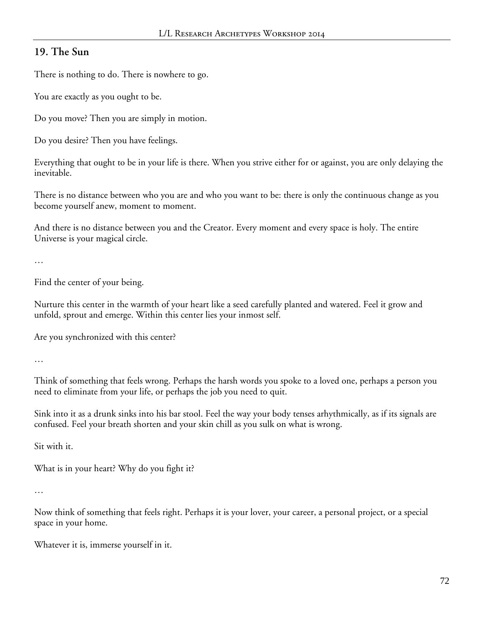## **19. The Sun**

There is nothing to do. There is nowhere to go.

You are exactly as you ought to be.

Do you move? Then you are simply in motion.

Do you desire? Then you have feelings.

Everything that ought to be in your life is there. When you strive either for or against, you are only delaying the inevitable.

There is no distance between who you are and who you want to be: there is only the continuous change as you become yourself anew, moment to moment.

And there is no distance between you and the Creator. Every moment and every space is holy. The entire Universe is your magical circle.

```
…
```
Find the center of your being.

Nurture this center in the warmth of your heart like a seed carefully planted and watered. Feel it grow and unfold, sprout and emerge. Within this center lies your inmost self.

Are you synchronized with this center?

…

Think of something that feels wrong. Perhaps the harsh words you spoke to a loved one, perhaps a person you need to eliminate from your life, or perhaps the job you need to quit.

Sink into it as a drunk sinks into his bar stool. Feel the way your body tenses arhythmically, as if its signals are confused. Feel your breath shorten and your skin chill as you sulk on what is wrong.

Sit with it.

What is in your heart? Why do you fight it?

…

Now think of something that feels right. Perhaps it is your lover, your career, a personal project, or a special space in your home.

Whatever it is, immerse yourself in it.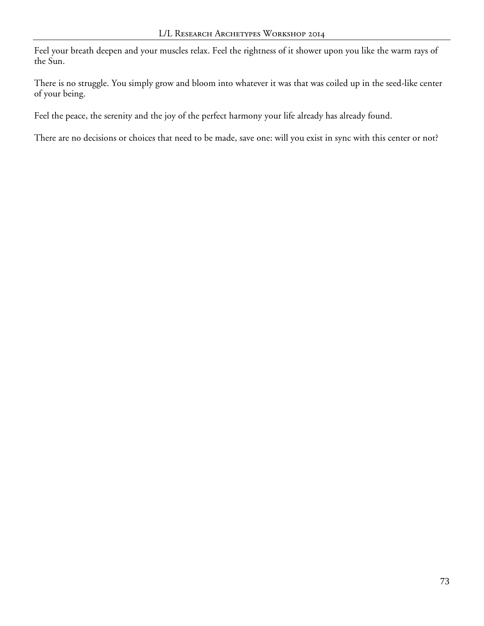Feel your breath deepen and your muscles relax. Feel the rightness of it shower upon you like the warm rays of the Sun.

There is no struggle. You simply grow and bloom into whatever it was that was coiled up in the seed-like center of your being.

Feel the peace, the serenity and the joy of the perfect harmony your life already has already found.

There are no decisions or choices that need to be made, save one: will you exist in sync with this center or not?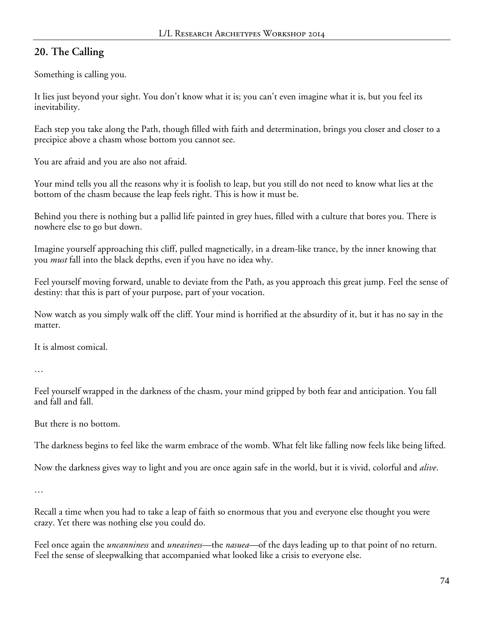## **20. The Calling**

Something is calling you.

It lies just beyond your sight. You don't know what it is; you can't even imagine what it is, but you feel its inevitability.

Each step you take along the Path, though filled with faith and determination, brings you closer and closer to a precipice above a chasm whose bottom you cannot see.

You are afraid and you are also not afraid.

Your mind tells you all the reasons why it is foolish to leap, but you still do not need to know what lies at the bottom of the chasm because the leap feels right. This is how it must be.

Behind you there is nothing but a pallid life painted in grey hues, filled with a culture that bores you. There is nowhere else to go but down.

Imagine yourself approaching this cliff, pulled magnetically, in a dream-like trance, by the inner knowing that you *must* fall into the black depths, even if you have no idea why.

Feel yourself moving forward, unable to deviate from the Path, as you approach this great jump. Feel the sense of destiny: that this is part of your purpose, part of your vocation.

Now watch as you simply walk off the cliff. Your mind is horrified at the absurdity of it, but it has no say in the matter.

It is almost comical.

…

Feel yourself wrapped in the darkness of the chasm, your mind gripped by both fear and anticipation. You fall and fall and fall.

But there is no bottom.

The darkness begins to feel like the warm embrace of the womb. What felt like falling now feels like being lifted.

Now the darkness gives way to light and you are once again safe in the world, but it is vivid, colorful and *alive*.

…

Recall a time when you had to take a leap of faith so enormous that you and everyone else thought you were crazy. Yet there was nothing else you could do.

Feel once again the *uncanniness* and *uneasiness—*the *nasuea—*of the days leading up to that point of no return. Feel the sense of sleepwalking that accompanied what looked like a crisis to everyone else.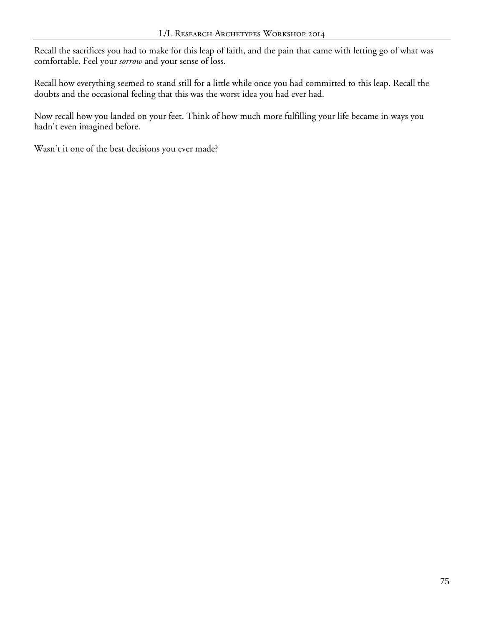Recall the sacrifices you had to make for this leap of faith, and the pain that came with letting go of what was comfortable. Feel your *sorrow* and your sense of loss.

Recall how everything seemed to stand still for a little while once you had committed to this leap. Recall the doubts and the occasional feeling that this was the worst idea you had ever had.

Now recall how you landed on your feet. Think of how much more fulfilling your life became in ways you hadn't even imagined before.

Wasn't it one of the best decisions you ever made?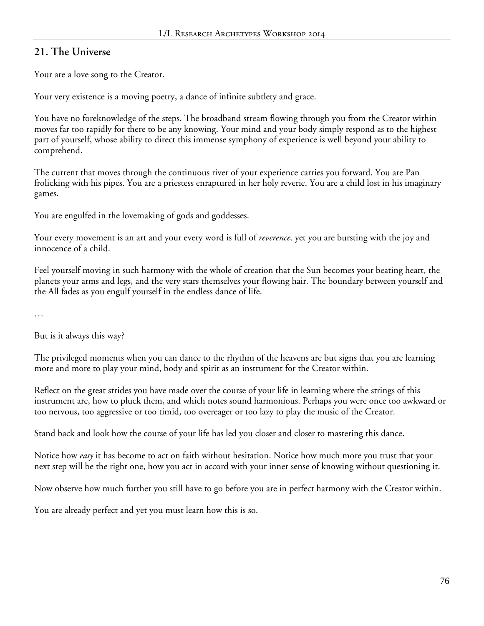## **21. The Universe**

Your are a love song to the Creator.

Your very existence is a moving poetry, a dance of infinite subtlety and grace.

You have no foreknowledge of the steps. The broadband stream flowing through you from the Creator within moves far too rapidly for there to be any knowing. Your mind and your body simply respond as to the highest part of yourself, whose ability to direct this immense symphony of experience is well beyond your ability to comprehend.

The current that moves through the continuous river of your experience carries you forward. You are Pan frolicking with his pipes. You are a priestess enraptured in her holy reverie. You are a child lost in his imaginary games.

You are engulfed in the lovemaking of gods and goddesses.

Your every movement is an art and your every word is full of *reverence,* yet you are bursting with the joy and innocence of a child.

Feel yourself moving in such harmony with the whole of creation that the Sun becomes your beating heart, the planets your arms and legs, and the very stars themselves your flowing hair. The boundary between yourself and the All fades as you engulf yourself in the endless dance of life.

…

But is it always this way?

The privileged moments when you can dance to the rhythm of the heavens are but signs that you are learning more and more to play your mind, body and spirit as an instrument for the Creator within.

Reflect on the great strides you have made over the course of your life in learning where the strings of this instrument are, how to pluck them, and which notes sound harmonious. Perhaps you were once too awkward or too nervous, too aggressive or too timid, too overeager or too lazy to play the music of the Creator.

Stand back and look how the course of your life has led you closer and closer to mastering this dance.

Notice how *easy* it has become to act on faith without hesitation. Notice how much more you trust that your next step will be the right one, how you act in accord with your inner sense of knowing without questioning it.

Now observe how much further you still have to go before you are in perfect harmony with the Creator within.

You are already perfect and yet you must learn how this is so.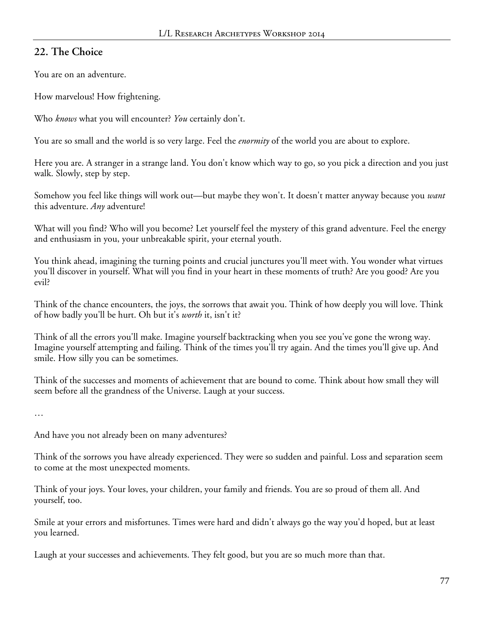## **22. The Choice**

You are on an adventure.

How marvelous! How frightening.

Who *knows* what you will encounter? *You* certainly don't.

You are so small and the world is so very large. Feel the *enormity* of the world you are about to explore.

Here you are. A stranger in a strange land. You don't know which way to go, so you pick a direction and you just walk. Slowly, step by step.

Somehow you feel like things will work out—but maybe they won't. It doesn't matter anyway because you *want* this adventure. *Any* adventure!

What will you find? Who will you become? Let yourself feel the mystery of this grand adventure. Feel the energy and enthusiasm in you, your unbreakable spirit, your eternal youth.

You think ahead, imagining the turning points and crucial junctures you'll meet with. You wonder what virtues you'll discover in yourself. What will you find in your heart in these moments of truth? Are you good? Are you evil?

Think of the chance encounters, the joys, the sorrows that await you. Think of how deeply you will love. Think of how badly you'll be hurt. Oh but it's *worth* it, isn't it?

Think of all the errors you'll make. Imagine yourself backtracking when you see you've gone the wrong way. Imagine yourself attempting and failing. Think of the times you'll try again. And the times you'll give up. And smile. How silly you can be sometimes.

Think of the successes and moments of achievement that are bound to come. Think about how small they will seem before all the grandness of the Universe. Laugh at your success.

…

And have you not already been on many adventures?

Think of the sorrows you have already experienced. They were so sudden and painful. Loss and separation seem to come at the most unexpected moments.

Think of your joys. Your loves, your children, your family and friends. You are so proud of them all. And yourself, too.

Smile at your errors and misfortunes. Times were hard and didn't always go the way you'd hoped, but at least you learned.

Laugh at your successes and achievements. They felt good, but you are so much more than that.